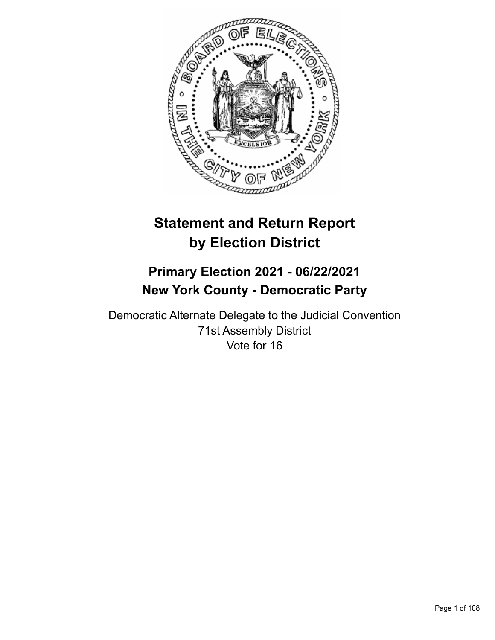

# **Statement and Return Report by Election District**

## **Primary Election 2021 - 06/22/2021 New York County - Democratic Party**

Democratic Alternate Delegate to the Judicial Convention 71st Assembly District Vote for 16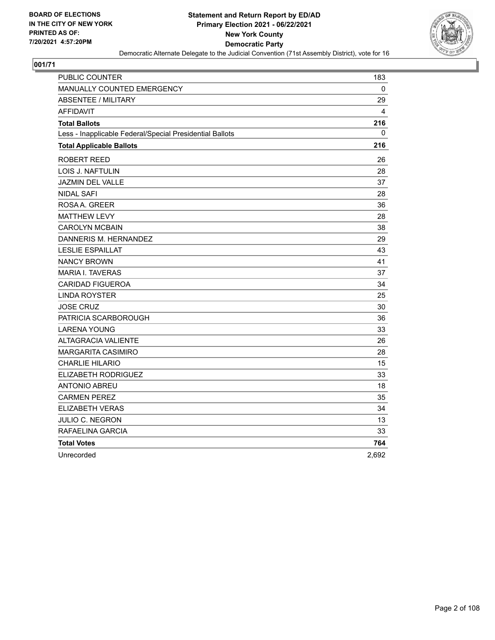

| PUBLIC COUNTER                                           | 183          |
|----------------------------------------------------------|--------------|
| MANUALLY COUNTED EMERGENCY                               | $\mathbf{0}$ |
| ABSENTEE / MILITARY                                      | 29           |
| AFFIDAVIT                                                | 4            |
| <b>Total Ballots</b>                                     | 216          |
| Less - Inapplicable Federal/Special Presidential Ballots | 0            |
| <b>Total Applicable Ballots</b>                          | 216          |
| ROBERT REED                                              | 26           |
| LOIS J. NAFTULIN                                         | 28           |
| <b>JAZMIN DEL VALLE</b>                                  | 37           |
| <b>NIDAL SAFI</b>                                        | 28           |
| ROSAA, GREER                                             | 36           |
| <b>MATTHEW LEVY</b>                                      | 28           |
| <b>CAROLYN MCBAIN</b>                                    | 38           |
| DANNERIS M. HERNANDEZ                                    | 29           |
| <b>LESLIE ESPAILLAT</b>                                  | 43           |
| <b>NANCY BROWN</b>                                       | 41           |
| <b>MARIA I. TAVERAS</b>                                  | 37           |
| <b>CARIDAD FIGUEROA</b>                                  | 34           |
| <b>LINDA ROYSTER</b>                                     | 25           |
| <b>JOSE CRUZ</b>                                         | 30           |
| PATRICIA SCARBOROUGH                                     | 36           |
| <b>LARENA YOUNG</b>                                      | 33           |
| <b>ALTAGRACIA VALIENTE</b>                               | 26           |
| MARGARITA CASIMIRO                                       | 28           |
| CHARLIE HILARIO                                          | 15           |
| ELIZABETH RODRIGUEZ                                      | 33           |
| ANTONIO ABREU                                            | 18           |
| <b>CARMEN PEREZ</b>                                      | 35           |
| <b>ELIZABETH VERAS</b>                                   | 34           |
| JULIO C. NEGRON                                          | 13           |
| RAFAELINA GARCIA                                         | 33           |
| <b>Total Votes</b>                                       | 764          |
| Unrecorded                                               | 2,692        |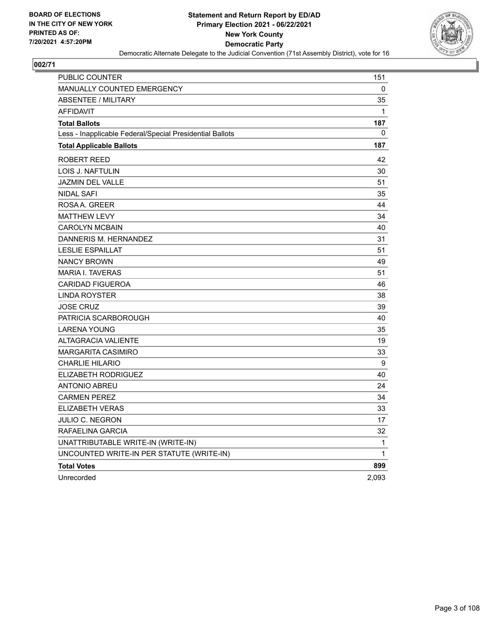

| PUBLIC COUNTER                                           | 151   |
|----------------------------------------------------------|-------|
| <b>MANUALLY COUNTED EMERGENCY</b>                        | 0     |
| <b>ABSENTEE / MILITARY</b>                               | 35    |
| <b>AFFIDAVIT</b>                                         | 1     |
| <b>Total Ballots</b>                                     | 187   |
| Less - Inapplicable Federal/Special Presidential Ballots | 0     |
| <b>Total Applicable Ballots</b>                          | 187   |
| ROBERT REED                                              | 42    |
| LOIS J. NAFTULIN                                         | 30    |
| JAZMIN DEL VALLE                                         | 51    |
| <b>NIDAL SAFI</b>                                        | 35    |
| ROSA A. GREER                                            | 44    |
| <b>MATTHEW LEVY</b>                                      | 34    |
| <b>CAROLYN MCBAIN</b>                                    | 40    |
| DANNERIS M. HERNANDEZ                                    | 31    |
| <b>LESLIE ESPAILLAT</b>                                  | 51    |
| <b>NANCY BROWN</b>                                       | 49    |
| <b>MARIA I. TAVERAS</b>                                  | 51    |
| <b>CARIDAD FIGUEROA</b>                                  | 46    |
| <b>LINDA ROYSTER</b>                                     | 38    |
| <b>JOSE CRUZ</b>                                         | 39    |
| PATRICIA SCARBOROUGH                                     | 40    |
| <b>LARENA YOUNG</b>                                      | 35    |
| <b>ALTAGRACIA VALIENTE</b>                               | 19    |
| <b>MARGARITA CASIMIRO</b>                                | 33    |
| <b>CHARLIE HILARIO</b>                                   | 9     |
| <b>ELIZABETH RODRIGUEZ</b>                               | 40    |
| <b>ANTONIO ABREU</b>                                     | 24    |
| <b>CARMEN PEREZ</b>                                      | 34    |
| <b>ELIZABETH VERAS</b>                                   | 33    |
| JULIO C. NEGRON                                          | 17    |
| RAFAELINA GARCIA                                         | 32    |
| UNATTRIBUTABLE WRITE-IN (WRITE-IN)                       | 1     |
| UNCOUNTED WRITE-IN PER STATUTE (WRITE-IN)                | 1     |
| <b>Total Votes</b>                                       | 899   |
| Unrecorded                                               | 2,093 |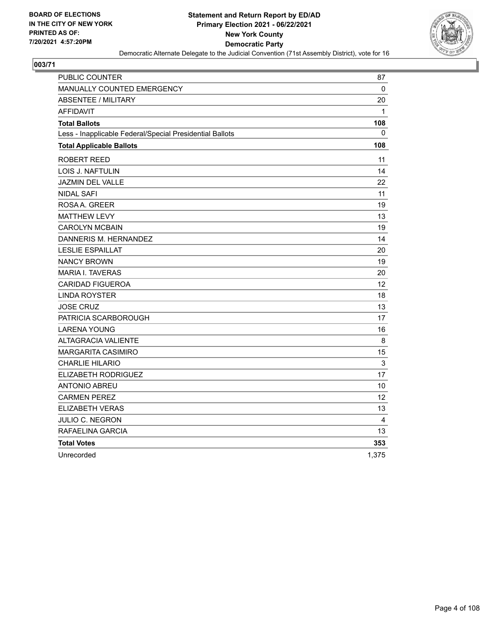

| PUBLIC COUNTER                                           | 87                |
|----------------------------------------------------------|-------------------|
| MANUALLY COUNTED EMERGENCY                               | 0                 |
| <b>ABSENTEE / MILITARY</b>                               | 20                |
| <b>AFFIDAVIT</b>                                         | 1                 |
| <b>Total Ballots</b>                                     | 108               |
| Less - Inapplicable Federal/Special Presidential Ballots | 0                 |
| <b>Total Applicable Ballots</b>                          | 108               |
| ROBERT REED                                              | 11                |
| LOIS J. NAFTULIN                                         | 14                |
| <b>JAZMIN DEL VALLE</b>                                  | 22                |
| <b>NIDAL SAFI</b>                                        | 11                |
| ROSA A. GREER                                            | 19                |
| <b>MATTHEW LEVY</b>                                      | 13                |
| <b>CAROLYN MCBAIN</b>                                    | 19                |
| DANNERIS M. HERNANDEZ                                    | 14                |
| <b>LESLIE ESPAILLAT</b>                                  | 20                |
| <b>NANCY BROWN</b>                                       | 19                |
| <b>MARIA I. TAVERAS</b>                                  | 20                |
| <b>CARIDAD FIGUEROA</b>                                  | $12 \overline{ }$ |
| <b>LINDA ROYSTER</b>                                     | 18                |
| <b>JOSE CRUZ</b>                                         | 13                |
| PATRICIA SCARBOROUGH                                     | 17                |
| <b>LARENA YOUNG</b>                                      | 16                |
| <b>ALTAGRACIA VALIENTE</b>                               | 8                 |
| <b>MARGARITA CASIMIRO</b>                                | 15                |
| <b>CHARLIE HILARIO</b>                                   | $\mathsf 3$       |
| ELIZABETH RODRIGUEZ                                      | 17                |
| <b>ANTONIO ABREU</b>                                     | 10                |
| <b>CARMEN PEREZ</b>                                      | 12                |
| <b>ELIZABETH VERAS</b>                                   | 13                |
| JULIO C. NEGRON                                          | 4                 |
| RAFAELINA GARCIA                                         | 13                |
| <b>Total Votes</b>                                       | 353               |
| Unrecorded                                               | 1,375             |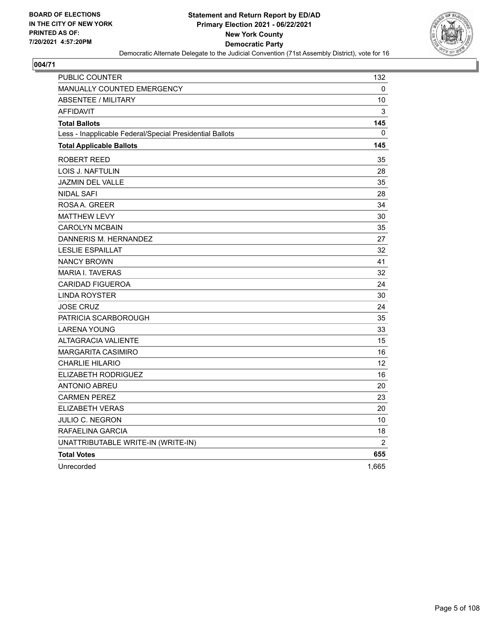

| PUBLIC COUNTER                                           | 132            |
|----------------------------------------------------------|----------------|
| <b>MANUALLY COUNTED EMERGENCY</b>                        | 0              |
| <b>ABSENTEE / MILITARY</b>                               | 10             |
| <b>AFFIDAVIT</b>                                         | 3              |
| <b>Total Ballots</b>                                     | 145            |
| Less - Inapplicable Federal/Special Presidential Ballots | $\Omega$       |
| <b>Total Applicable Ballots</b>                          | 145            |
| <b>ROBERT REED</b>                                       | 35             |
| LOIS J. NAFTULIN                                         | 28             |
| <b>JAZMIN DEL VALLE</b>                                  | 35             |
| <b>NIDAL SAFI</b>                                        | 28             |
| ROSAA, GREER                                             | 34             |
| <b>MATTHEW LEVY</b>                                      | 30             |
| <b>CAROLYN MCBAIN</b>                                    | 35             |
| DANNERIS M. HERNANDEZ                                    | 27             |
| <b>LESLIE ESPAILLAT</b>                                  | 32             |
| <b>NANCY BROWN</b>                                       | 41             |
| <b>MARIA I. TAVERAS</b>                                  | 32             |
| <b>CARIDAD FIGUEROA</b>                                  | 24             |
| <b>LINDA ROYSTER</b>                                     | 30             |
| <b>JOSE CRUZ</b>                                         | 24             |
| PATRICIA SCARBOROUGH                                     | 35             |
| <b>LARENA YOUNG</b>                                      | 33             |
| <b>ALTAGRACIA VALIENTE</b>                               | 15             |
| <b>MARGARITA CASIMIRO</b>                                | 16             |
| <b>CHARLIE HILARIO</b>                                   | 12             |
| ELIZABETH RODRIGUEZ                                      | 16             |
| <b>ANTONIO ABREU</b>                                     | 20             |
| <b>CARMEN PEREZ</b>                                      | 23             |
| <b>ELIZABETH VERAS</b>                                   | 20             |
| JULIO C. NEGRON                                          | 10             |
| RAFAELINA GARCIA                                         | 18             |
| UNATTRIBUTABLE WRITE-IN (WRITE-IN)                       | $\overline{2}$ |
| <b>Total Votes</b>                                       | 655            |
| Unrecorded                                               | 1,665          |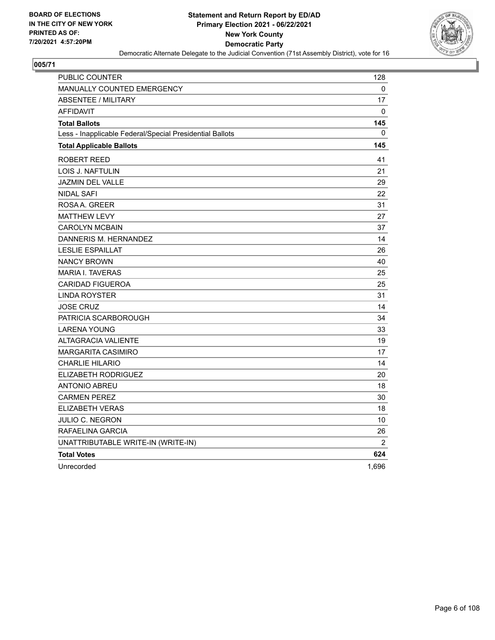

| PUBLIC COUNTER                                           | 128            |
|----------------------------------------------------------|----------------|
| MANUALLY COUNTED EMERGENCY                               | 0              |
| <b>ABSENTEE / MILITARY</b>                               | 17             |
| <b>AFFIDAVIT</b>                                         | 0              |
| <b>Total Ballots</b>                                     | 145            |
| Less - Inapplicable Federal/Special Presidential Ballots | 0              |
| <b>Total Applicable Ballots</b>                          | 145            |
| <b>ROBERT REED</b>                                       | 41             |
| LOIS J. NAFTULIN                                         | 21             |
| <b>JAZMIN DEL VALLE</b>                                  | 29             |
| <b>NIDAL SAFI</b>                                        | 22             |
| ROSA A. GREER                                            | 31             |
| <b>MATTHEW LEVY</b>                                      | 27             |
| <b>CAROLYN MCBAIN</b>                                    | 37             |
| DANNERIS M. HERNANDEZ                                    | 14             |
| <b>LESLIE ESPAILLAT</b>                                  | 26             |
| <b>NANCY BROWN</b>                                       | 40             |
| <b>MARIA I. TAVERAS</b>                                  | 25             |
| <b>CARIDAD FIGUEROA</b>                                  | 25             |
| <b>LINDA ROYSTER</b>                                     | 31             |
| <b>JOSE CRUZ</b>                                         | 14             |
| PATRICIA SCARBOROUGH                                     | 34             |
| <b>LARENA YOUNG</b>                                      | 33             |
| ALTAGRACIA VALIENTE                                      | 19             |
| <b>MARGARITA CASIMIRO</b>                                | 17             |
| <b>CHARLIE HILARIO</b>                                   | 14             |
| ELIZABETH RODRIGUEZ                                      | 20             |
| <b>ANTONIO ABREU</b>                                     | 18             |
| <b>CARMEN PEREZ</b>                                      | 30             |
| <b>ELIZABETH VERAS</b>                                   | 18             |
| <b>JULIO C. NEGRON</b>                                   | 10             |
| RAFAELINA GARCIA                                         | 26             |
| UNATTRIBUTABLE WRITE-IN (WRITE-IN)                       | $\overline{2}$ |
| <b>Total Votes</b>                                       | 624            |
| Unrecorded                                               | 1,696          |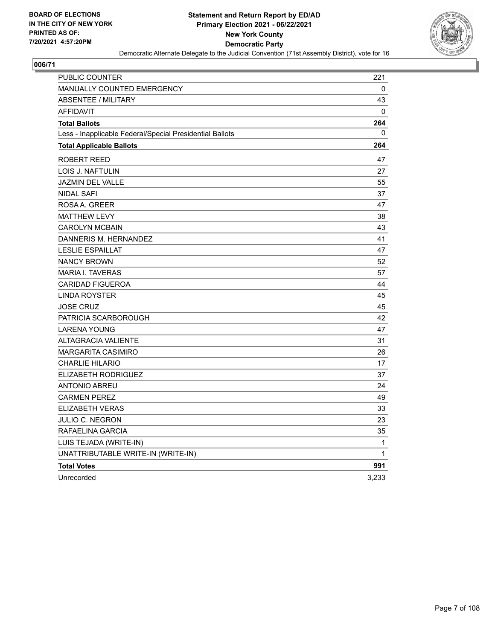

| PUBLIC COUNTER                                           | 221          |
|----------------------------------------------------------|--------------|
| <b>MANUALLY COUNTED EMERGENCY</b>                        | 0            |
| <b>ABSENTEE / MILITARY</b>                               | 43           |
| <b>AFFIDAVIT</b>                                         | $\mathbf{0}$ |
| <b>Total Ballots</b>                                     | 264          |
| Less - Inapplicable Federal/Special Presidential Ballots | 0            |
| <b>Total Applicable Ballots</b>                          | 264          |
| ROBERT REED                                              | 47           |
| LOIS J. NAFTULIN                                         | 27           |
| <b>JAZMIN DEL VALLE</b>                                  | 55           |
| <b>NIDAL SAFI</b>                                        | 37           |
| ROSA A. GREER                                            | 47           |
| <b>MATTHEW LEVY</b>                                      | 38           |
| <b>CAROLYN MCBAIN</b>                                    | 43           |
| DANNERIS M. HERNANDEZ                                    | 41           |
| <b>LESLIE ESPAILLAT</b>                                  | 47           |
| <b>NANCY BROWN</b>                                       | 52           |
| <b>MARIA I. TAVERAS</b>                                  | 57           |
| <b>CARIDAD FIGUEROA</b>                                  | 44           |
| LINDA ROYSTER                                            | 45           |
| <b>JOSE CRUZ</b>                                         | 45           |
| PATRICIA SCARBOROUGH                                     | 42           |
| <b>LARENA YOUNG</b>                                      | 47           |
| <b>ALTAGRACIA VALIENTE</b>                               | 31           |
| <b>MARGARITA CASIMIRO</b>                                | 26           |
| <b>CHARLIE HILARIO</b>                                   | 17           |
| ELIZABETH RODRIGUEZ                                      | 37           |
| <b>ANTONIO ABREU</b>                                     | 24           |
| <b>CARMEN PEREZ</b>                                      | 49           |
| <b>ELIZABETH VERAS</b>                                   | 33           |
| <b>JULIO C. NEGRON</b>                                   | 23           |
| RAFAELINA GARCIA                                         | 35           |
| LUIS TEJADA (WRITE-IN)                                   | 1            |
| UNATTRIBUTABLE WRITE-IN (WRITE-IN)                       | 1            |
| <b>Total Votes</b>                                       | 991          |
| Unrecorded                                               | 3,233        |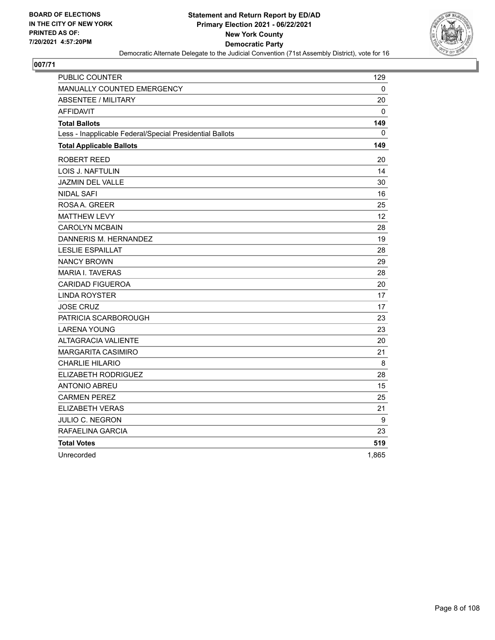

| PUBLIC COUNTER                                           | 129   |
|----------------------------------------------------------|-------|
| MANUALLY COUNTED EMERGENCY                               | 0     |
| <b>ABSENTEE / MILITARY</b>                               | 20    |
| <b>AFFIDAVIT</b>                                         | 0     |
| <b>Total Ballots</b>                                     | 149   |
| Less - Inapplicable Federal/Special Presidential Ballots | 0     |
| <b>Total Applicable Ballots</b>                          | 149   |
| ROBERT REED                                              | 20    |
| LOIS J. NAFTULIN                                         | 14    |
| JAZMIN DEL VALLE                                         | 30    |
| <b>NIDAL SAFI</b>                                        | 16    |
| ROSAA, GREER                                             | 25    |
| <b>MATTHEW LEVY</b>                                      | 12    |
| <b>CAROLYN MCBAIN</b>                                    | 28    |
| DANNERIS M. HERNANDEZ                                    | 19    |
| <b>LESLIE ESPAILLAT</b>                                  | 28    |
| <b>NANCY BROWN</b>                                       | 29    |
| <b>MARIA I. TAVERAS</b>                                  | 28    |
| <b>CARIDAD FIGUEROA</b>                                  | 20    |
| <b>LINDA ROYSTER</b>                                     | 17    |
| <b>JOSE CRUZ</b>                                         | 17    |
| PATRICIA SCARBOROUGH                                     | 23    |
| <b>LARENA YOUNG</b>                                      | 23    |
| ALTAGRACIA VALIENTE                                      | 20    |
| <b>MARGARITA CASIMIRO</b>                                | 21    |
| <b>CHARLIE HILARIO</b>                                   | 8     |
| ELIZABETH RODRIGUEZ                                      | 28    |
| <b>ANTONIO ABREU</b>                                     | 15    |
| <b>CARMEN PEREZ</b>                                      | 25    |
| ELIZABETH VERAS                                          | 21    |
| JULIO C. NEGRON                                          | 9     |
| RAFAELINA GARCIA                                         | 23    |
| <b>Total Votes</b>                                       | 519   |
| Unrecorded                                               | 1,865 |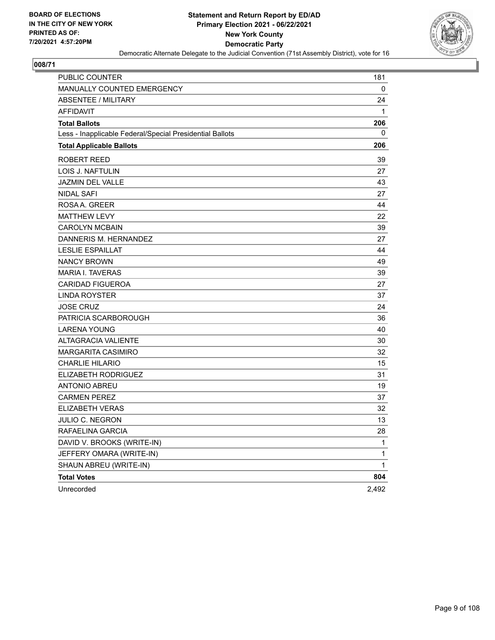

| PUBLIC COUNTER                                           | 181   |
|----------------------------------------------------------|-------|
| MANUALLY COUNTED EMERGENCY                               | 0     |
| <b>ABSENTEE / MILITARY</b>                               | 24    |
| <b>AFFIDAVIT</b>                                         | 1     |
| <b>Total Ballots</b>                                     | 206   |
| Less - Inapplicable Federal/Special Presidential Ballots | 0     |
| <b>Total Applicable Ballots</b>                          | 206   |
| <b>ROBERT REED</b>                                       | 39    |
| LOIS J. NAFTULIN                                         | 27    |
| <b>JAZMIN DEL VALLE</b>                                  | 43    |
| <b>NIDAL SAFI</b>                                        | 27    |
| ROSA A. GREER                                            | 44    |
| <b>MATTHEW LEVY</b>                                      | 22    |
| <b>CAROLYN MCBAIN</b>                                    | 39    |
| DANNERIS M. HERNANDEZ                                    | 27    |
| <b>LESLIE ESPAILLAT</b>                                  | 44    |
| <b>NANCY BROWN</b>                                       | 49    |
| <b>MARIA I. TAVERAS</b>                                  | 39    |
| <b>CARIDAD FIGUEROA</b>                                  | 27    |
| <b>LINDA ROYSTER</b>                                     | 37    |
| <b>JOSE CRUZ</b>                                         | 24    |
| PATRICIA SCARBOROUGH                                     | 36    |
| <b>LARENA YOUNG</b>                                      | 40    |
| <b>ALTAGRACIA VALIENTE</b>                               | 30    |
| <b>MARGARITA CASIMIRO</b>                                | 32    |
| <b>CHARLIE HILARIO</b>                                   | 15    |
| ELIZABETH RODRIGUEZ                                      | 31    |
| <b>ANTONIO ABREU</b>                                     | 19    |
| <b>CARMEN PEREZ</b>                                      | 37    |
| <b>ELIZABETH VERAS</b>                                   | 32    |
| JULIO C. NEGRON                                          | 13    |
| RAFAELINA GARCIA                                         | 28    |
| DAVID V. BROOKS (WRITE-IN)                               | 1     |
| JEFFERY OMARA (WRITE-IN)                                 | 1     |
| SHAUN ABREU (WRITE-IN)                                   | 1     |
| <b>Total Votes</b>                                       | 804   |
| Unrecorded                                               | 2,492 |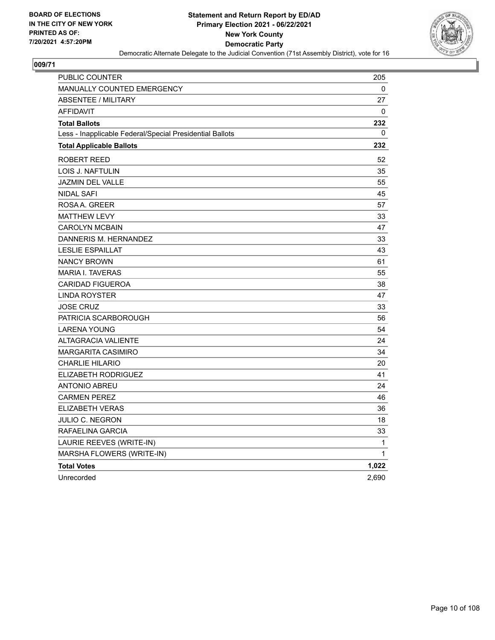

| <b>PUBLIC COUNTER</b>                                    | 205   |
|----------------------------------------------------------|-------|
| MANUALLY COUNTED EMERGENCY                               | 0     |
| <b>ABSENTEE / MILITARY</b>                               | 27    |
| <b>AFFIDAVIT</b>                                         | 0     |
| <b>Total Ballots</b>                                     | 232   |
| Less - Inapplicable Federal/Special Presidential Ballots | 0     |
| <b>Total Applicable Ballots</b>                          | 232   |
| ROBERT REED                                              | 52    |
| LOIS J. NAFTULIN                                         | 35    |
| <b>JAZMIN DEL VALLE</b>                                  | 55    |
| <b>NIDAL SAFI</b>                                        | 45    |
| ROSAA. GREER                                             | 57    |
| <b>MATTHEW LEVY</b>                                      | 33    |
| <b>CAROLYN MCBAIN</b>                                    | 47    |
| DANNERIS M. HERNANDEZ                                    | 33    |
| <b>LESLIE ESPAILLAT</b>                                  | 43    |
| <b>NANCY BROWN</b>                                       | 61    |
| <b>MARIA I. TAVERAS</b>                                  | 55    |
| <b>CARIDAD FIGUEROA</b>                                  | 38    |
| <b>LINDA ROYSTER</b>                                     | 47    |
| <b>JOSE CRUZ</b>                                         | 33    |
| PATRICIA SCARBOROUGH                                     | 56    |
| <b>LARENA YOUNG</b>                                      | 54    |
| <b>ALTAGRACIA VALIENTE</b>                               | 24    |
| <b>MARGARITA CASIMIRO</b>                                | 34    |
| <b>CHARLIE HILARIO</b>                                   | 20    |
| ELIZABETH RODRIGUEZ                                      | 41    |
| <b>ANTONIO ABREU</b>                                     | 24    |
| <b>CARMEN PEREZ</b>                                      | 46    |
| ELIZABETH VERAS                                          | 36    |
| <b>JULIO C. NEGRON</b>                                   | 18    |
| RAFAELINA GARCIA                                         | 33    |
| LAURIE REEVES (WRITE-IN)                                 | 1     |
| MARSHA FLOWERS (WRITE-IN)                                | 1     |
| <b>Total Votes</b>                                       | 1,022 |
| Unrecorded                                               | 2,690 |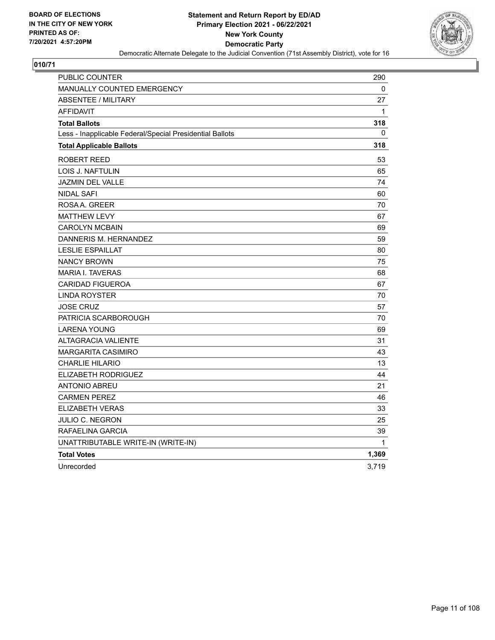

| <b>PUBLIC COUNTER</b>                                    | 290   |
|----------------------------------------------------------|-------|
| <b>MANUALLY COUNTED EMERGENCY</b>                        | 0     |
| <b>ABSENTEE / MILITARY</b>                               | 27    |
| <b>AFFIDAVIT</b>                                         | 1     |
| <b>Total Ballots</b>                                     | 318   |
| Less - Inapplicable Federal/Special Presidential Ballots | 0     |
| <b>Total Applicable Ballots</b>                          | 318   |
| <b>ROBERT REED</b>                                       | 53    |
| LOIS J. NAFTULIN                                         | 65    |
| <b>JAZMIN DEL VALLE</b>                                  | 74    |
| <b>NIDAL SAFI</b>                                        | 60    |
| ROSA A. GREER                                            | 70    |
| <b>MATTHEW LEVY</b>                                      | 67    |
| <b>CAROLYN MCBAIN</b>                                    | 69    |
| DANNERIS M. HERNANDEZ                                    | 59    |
| <b>LESLIE ESPAILLAT</b>                                  | 80    |
| <b>NANCY BROWN</b>                                       | 75    |
| <b>MARIA I. TAVERAS</b>                                  | 68    |
| <b>CARIDAD FIGUEROA</b>                                  | 67    |
| <b>LINDA ROYSTER</b>                                     | 70    |
| <b>JOSE CRUZ</b>                                         | 57    |
| PATRICIA SCARBOROUGH                                     | 70    |
| <b>LARENA YOUNG</b>                                      | 69    |
| ALTAGRACIA VALIENTE                                      | 31    |
| <b>MARGARITA CASIMIRO</b>                                | 43    |
| <b>CHARLIE HILARIO</b>                                   | 13    |
| ELIZABETH RODRIGUEZ                                      | 44    |
| ANTONIO ABREU                                            | 21    |
| <b>CARMEN PEREZ</b>                                      | 46    |
| <b>ELIZABETH VERAS</b>                                   | 33    |
| <b>JULIO C. NEGRON</b>                                   | 25    |
| RAFAELINA GARCIA                                         | 39    |
| UNATTRIBUTABLE WRITE-IN (WRITE-IN)                       | 1     |
| <b>Total Votes</b>                                       | 1,369 |
| Unrecorded                                               | 3,719 |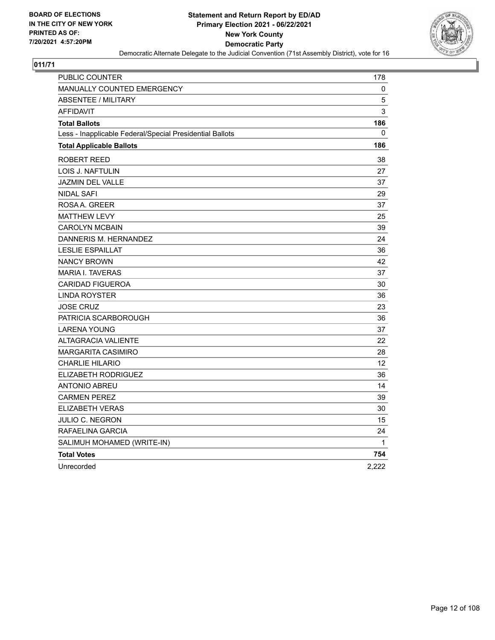

| PUBLIC COUNTER                                           | 178   |
|----------------------------------------------------------|-------|
| <b>MANUALLY COUNTED EMERGENCY</b>                        | 0     |
| <b>ABSENTEE / MILITARY</b>                               | 5     |
| <b>AFFIDAVIT</b>                                         | 3     |
| <b>Total Ballots</b>                                     | 186   |
| Less - Inapplicable Federal/Special Presidential Ballots | 0     |
| <b>Total Applicable Ballots</b>                          | 186   |
| <b>ROBERT REED</b>                                       | 38    |
| LOIS J. NAFTULIN                                         | 27    |
| <b>JAZMIN DEL VALLE</b>                                  | 37    |
| <b>NIDAL SAFI</b>                                        | 29    |
| ROSAA, GREER                                             | 37    |
| <b>MATTHEW LEVY</b>                                      | 25    |
| <b>CAROLYN MCBAIN</b>                                    | 39    |
| DANNERIS M. HERNANDEZ                                    | 24    |
| <b>LESLIE ESPAILLAT</b>                                  | 36    |
| <b>NANCY BROWN</b>                                       | 42    |
| <b>MARIA I. TAVERAS</b>                                  | 37    |
| <b>CARIDAD FIGUEROA</b>                                  | 30    |
| <b>LINDA ROYSTER</b>                                     | 36    |
| <b>JOSE CRUZ</b>                                         | 23    |
| PATRICIA SCARBOROUGH                                     | 36    |
| <b>LARENA YOUNG</b>                                      | 37    |
| <b>ALTAGRACIA VALIENTE</b>                               | 22    |
| <b>MARGARITA CASIMIRO</b>                                | 28    |
| <b>CHARLIE HILARIO</b>                                   | 12    |
| <b>ELIZABETH RODRIGUEZ</b>                               | 36    |
| <b>ANTONIO ABREU</b>                                     | 14    |
| <b>CARMEN PEREZ</b>                                      | 39    |
| <b>ELIZABETH VERAS</b>                                   | 30    |
| JULIO C. NEGRON                                          | 15    |
| RAFAELINA GARCIA                                         | 24    |
| SALIMUH MOHAMED (WRITE-IN)                               | 1     |
| <b>Total Votes</b>                                       | 754   |
| Unrecorded                                               | 2,222 |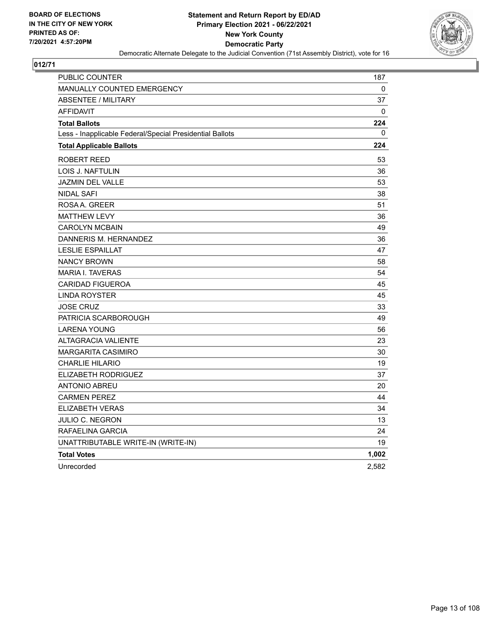

| PUBLIC COUNTER                                           | 187   |
|----------------------------------------------------------|-------|
| <b>MANUALLY COUNTED EMERGENCY</b>                        | 0     |
| <b>ABSENTEE / MILITARY</b>                               | 37    |
| <b>AFFIDAVIT</b>                                         | 0     |
| <b>Total Ballots</b>                                     | 224   |
| Less - Inapplicable Federal/Special Presidential Ballots | 0     |
| <b>Total Applicable Ballots</b>                          | 224   |
| ROBERT REED                                              | 53    |
| LOIS J. NAFTULIN                                         | 36    |
| <b>JAZMIN DEL VALLE</b>                                  | 53    |
| <b>NIDAL SAFI</b>                                        | 38    |
| ROSAA. GREER                                             | 51    |
| <b>MATTHEW LEVY</b>                                      | 36    |
| <b>CAROLYN MCBAIN</b>                                    | 49    |
| DANNERIS M. HERNANDEZ                                    | 36    |
| <b>LESLIE ESPAILLAT</b>                                  | 47    |
| <b>NANCY BROWN</b>                                       | 58    |
| <b>MARIA I. TAVERAS</b>                                  | 54    |
| <b>CARIDAD FIGUEROA</b>                                  | 45    |
| <b>LINDA ROYSTER</b>                                     | 45    |
| JOSE CRUZ                                                | 33    |
| PATRICIA SCARBOROUGH                                     | 49    |
| <b>LARENA YOUNG</b>                                      | 56    |
| <b>ALTAGRACIA VALIENTE</b>                               | 23    |
| <b>MARGARITA CASIMIRO</b>                                | 30    |
| <b>CHARLIE HILARIO</b>                                   | 19    |
| ELIZABETH RODRIGUEZ                                      | 37    |
| <b>ANTONIO ABREU</b>                                     | 20    |
| <b>CARMEN PEREZ</b>                                      | 44    |
| ELIZABETH VERAS                                          | 34    |
| JULIO C. NEGRON                                          | 13    |
| RAFAELINA GARCIA                                         | 24    |
| UNATTRIBUTABLE WRITE-IN (WRITE-IN)                       | 19    |
| <b>Total Votes</b>                                       | 1,002 |
| Unrecorded                                               | 2,582 |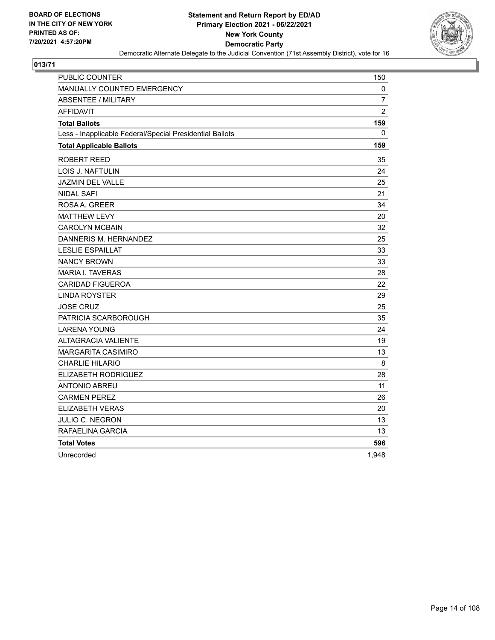

| PUBLIC COUNTER                                           | 150            |
|----------------------------------------------------------|----------------|
| MANUALLY COUNTED EMERGENCY                               | 0              |
| <b>ABSENTEE / MILITARY</b>                               | $\overline{7}$ |
| <b>AFFIDAVIT</b>                                         | $\overline{2}$ |
| <b>Total Ballots</b>                                     | 159            |
| Less - Inapplicable Federal/Special Presidential Ballots | 0              |
| <b>Total Applicable Ballots</b>                          | 159            |
| ROBERT REED                                              | 35             |
| LOIS J. NAFTULIN                                         | 24             |
| JAZMIN DEL VALLE                                         | 25             |
| <b>NIDAL SAFI</b>                                        | 21             |
| ROSAA, GREER                                             | 34             |
| <b>MATTHEW LEVY</b>                                      | 20             |
| <b>CAROLYN MCBAIN</b>                                    | 32             |
| DANNERIS M. HERNANDEZ                                    | 25             |
| <b>LESLIE ESPAILLAT</b>                                  | 33             |
| <b>NANCY BROWN</b>                                       | 33             |
| <b>MARIA I. TAVERAS</b>                                  | 28             |
| <b>CARIDAD FIGUEROA</b>                                  | 22             |
| <b>LINDA ROYSTER</b>                                     | 29             |
| <b>JOSE CRUZ</b>                                         | 25             |
| PATRICIA SCARBOROUGH                                     | 35             |
| <b>LARENA YOUNG</b>                                      | 24             |
| <b>ALTAGRACIA VALIENTE</b>                               | 19             |
| <b>MARGARITA CASIMIRO</b>                                | 13             |
| <b>CHARLIE HILARIO</b>                                   | 8              |
| ELIZABETH RODRIGUEZ                                      | 28             |
| <b>ANTONIO ABREU</b>                                     | 11             |
| <b>CARMEN PEREZ</b>                                      | 26             |
| ELIZABETH VERAS                                          | 20             |
| JULIO C. NEGRON                                          | 13             |
| RAFAELINA GARCIA                                         | 13             |
| <b>Total Votes</b>                                       | 596            |
| Unrecorded                                               | 1,948          |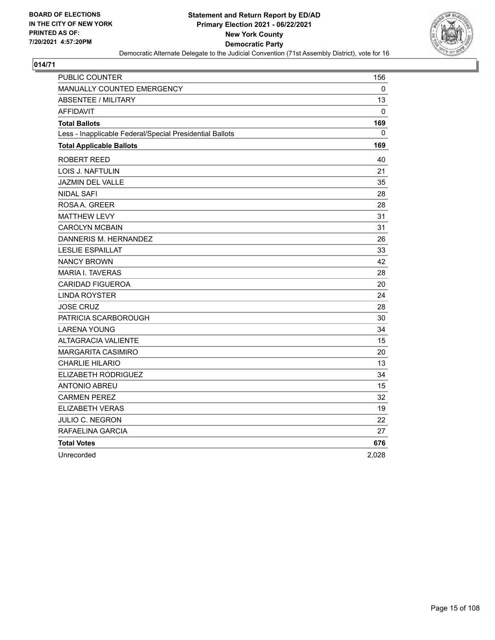

| PUBLIC COUNTER                                           | 156          |
|----------------------------------------------------------|--------------|
| MANUALLY COUNTED EMERGENCY                               | $\mathbf{0}$ |
| ABSENTEE / MILITARY                                      | 13           |
| AFFIDAVIT                                                | $\mathbf 0$  |
| <b>Total Ballots</b>                                     | 169          |
| Less - Inapplicable Federal/Special Presidential Ballots | 0            |
| <b>Total Applicable Ballots</b>                          | 169          |
| ROBERT REED                                              | 40           |
| LOIS J. NAFTULIN                                         | 21           |
| <b>JAZMIN DEL VALLE</b>                                  | 35           |
| <b>NIDAL SAFI</b>                                        | 28           |
| ROSAA, GREER                                             | 28           |
| <b>MATTHEW LEVY</b>                                      | 31           |
| <b>CAROLYN MCBAIN</b>                                    | 31           |
| DANNERIS M. HERNANDEZ                                    | 26           |
| <b>LESLIE ESPAILLAT</b>                                  | 33           |
| <b>NANCY BROWN</b>                                       | 42           |
| <b>MARIA I. TAVERAS</b>                                  | 28           |
| <b>CARIDAD FIGUEROA</b>                                  | 20           |
| <b>LINDA ROYSTER</b>                                     | 24           |
| <b>JOSE CRUZ</b>                                         | 28           |
| PATRICIA SCARBOROUGH                                     | 30           |
| <b>LARENA YOUNG</b>                                      | 34           |
| <b>ALTAGRACIA VALIENTE</b>                               | 15           |
| MARGARITA CASIMIRO                                       | 20           |
| <b>CHARLIE HILARIO</b>                                   | 13           |
| ELIZABETH RODRIGUEZ                                      | 34           |
| ANTONIO ABREU                                            | 15           |
| <b>CARMEN PEREZ</b>                                      | 32           |
| <b>ELIZABETH VERAS</b>                                   | 19           |
| JULIO C. NEGRON                                          | 22           |
| RAFAELINA GARCIA                                         | 27           |
| <b>Total Votes</b>                                       | 676          |
| Unrecorded                                               | 2,028        |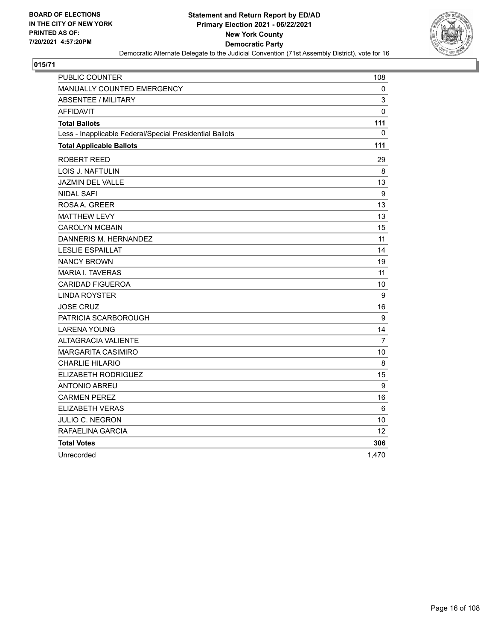

| PUBLIC COUNTER                                           | 108               |
|----------------------------------------------------------|-------------------|
| MANUALLY COUNTED EMERGENCY                               | 0                 |
| <b>ABSENTEE / MILITARY</b>                               | 3                 |
| <b>AFFIDAVIT</b>                                         | 0                 |
| <b>Total Ballots</b>                                     | 111               |
| Less - Inapplicable Federal/Special Presidential Ballots | 0                 |
| <b>Total Applicable Ballots</b>                          | 111               |
| ROBERT REED                                              | 29                |
| LOIS J. NAFTULIN                                         | 8                 |
| JAZMIN DEL VALLE                                         | 13                |
| <b>NIDAL SAFI</b>                                        | 9                 |
| ROSAA, GREER                                             | 13                |
| <b>MATTHEW LEVY</b>                                      | 13                |
| <b>CAROLYN MCBAIN</b>                                    | 15                |
| DANNERIS M. HERNANDEZ                                    | 11                |
| <b>LESLIE ESPAILLAT</b>                                  | 14                |
| <b>NANCY BROWN</b>                                       | 19                |
| <b>MARIA I. TAVERAS</b>                                  | 11                |
| <b>CARIDAD FIGUEROA</b>                                  | 10                |
| <b>LINDA ROYSTER</b>                                     | 9                 |
| <b>JOSE CRUZ</b>                                         | 16                |
| PATRICIA SCARBOROUGH                                     | 9                 |
| <b>LARENA YOUNG</b>                                      | 14                |
| <b>ALTAGRACIA VALIENTE</b>                               | $\overline{7}$    |
| <b>MARGARITA CASIMIRO</b>                                | 10                |
| <b>CHARLIE HILARIO</b>                                   | 8                 |
| ELIZABETH RODRIGUEZ                                      | 15                |
| <b>ANTONIO ABREU</b>                                     | 9                 |
| <b>CARMEN PEREZ</b>                                      | 16                |
| <b>ELIZABETH VERAS</b>                                   | 6                 |
| JULIO C. NEGRON                                          | 10                |
| RAFAELINA GARCIA                                         | $12 \overline{ }$ |
| <b>Total Votes</b>                                       | 306               |
| Unrecorded                                               | 1.470             |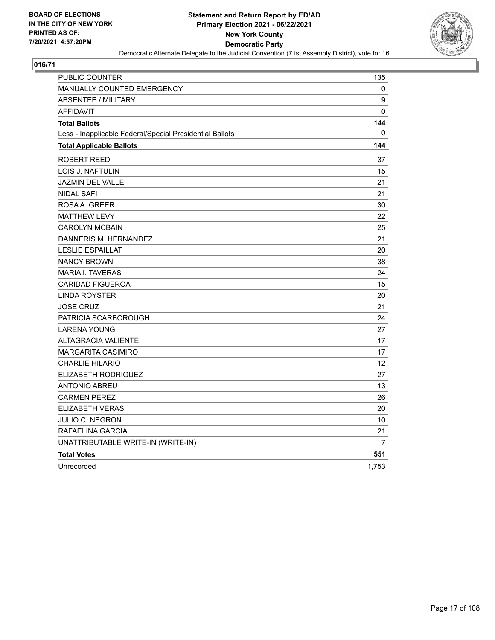

| PUBLIC COUNTER                                           | 135            |
|----------------------------------------------------------|----------------|
| <b>MANUALLY COUNTED EMERGENCY</b>                        | 0              |
| <b>ABSENTEE / MILITARY</b>                               | 9              |
| <b>AFFIDAVIT</b>                                         | $\mathbf{0}$   |
| <b>Total Ballots</b>                                     | 144            |
| Less - Inapplicable Federal/Special Presidential Ballots | $\mathbf{0}$   |
| <b>Total Applicable Ballots</b>                          | 144            |
| ROBERT REED                                              | 37             |
| <b>LOIS J. NAFTULIN</b>                                  | 15             |
| <b>JAZMIN DEL VALLE</b>                                  | 21             |
| <b>NIDAL SAFI</b>                                        | 21             |
| ROSAA, GREER                                             | 30             |
| <b>MATTHEW LEVY</b>                                      | 22             |
| <b>CAROLYN MCBAIN</b>                                    | 25             |
| DANNERIS M. HERNANDEZ                                    | 21             |
| <b>LESLIE ESPAILLAT</b>                                  | 20             |
| <b>NANCY BROWN</b>                                       | 38             |
| <b>MARIA I. TAVERAS</b>                                  | 24             |
| <b>CARIDAD FIGUEROA</b>                                  | 15             |
| <b>LINDA ROYSTER</b>                                     | 20             |
| <b>JOSE CRUZ</b>                                         | 21             |
| PATRICIA SCARBOROUGH                                     | 24             |
| LARENA YOUNG                                             | 27             |
| <b>ALTAGRACIA VALIENTE</b>                               | 17             |
| <b>MARGARITA CASIMIRO</b>                                | 17             |
| <b>CHARLIE HILARIO</b>                                   | 12             |
| ELIZABETH RODRIGUEZ                                      | 27             |
| <b>ANTONIO ABREU</b>                                     | 13             |
| <b>CARMEN PEREZ</b>                                      | 26             |
| ELIZABETH VERAS                                          | 20             |
| JULIO C. NEGRON                                          | 10             |
| RAFAELINA GARCIA                                         | 21             |
| UNATTRIBUTABLE WRITE-IN (WRITE-IN)                       | $\overline{7}$ |
| <b>Total Votes</b>                                       | 551            |
| Unrecorded                                               | 1,753          |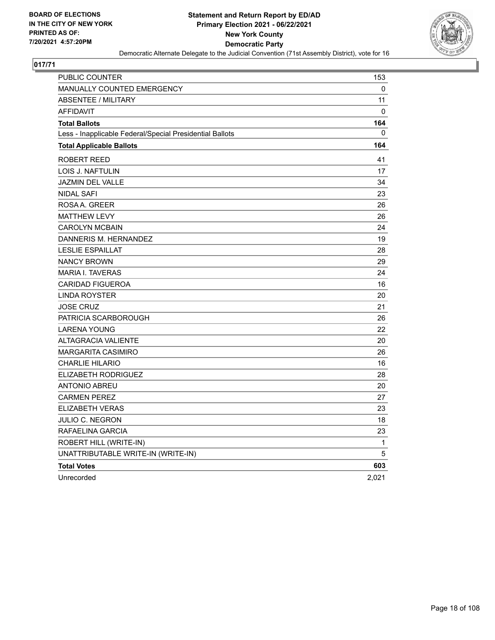

| PUBLIC COUNTER                                           | 153   |
|----------------------------------------------------------|-------|
| <b>MANUALLY COUNTED EMERGENCY</b>                        | 0     |
| <b>ABSENTEE / MILITARY</b>                               | 11    |
| <b>AFFIDAVIT</b>                                         | 0     |
| <b>Total Ballots</b>                                     | 164   |
| Less - Inapplicable Federal/Special Presidential Ballots | 0     |
| <b>Total Applicable Ballots</b>                          | 164   |
| ROBERT REED                                              | 41    |
| LOIS J. NAFTULIN                                         | 17    |
| <b>JAZMIN DEL VALLE</b>                                  | 34    |
| <b>NIDAL SAFI</b>                                        | 23    |
| ROSA A. GREER                                            | 26    |
| <b>MATTHEW LEVY</b>                                      | 26    |
| <b>CAROLYN MCBAIN</b>                                    | 24    |
| DANNERIS M. HERNANDEZ                                    | 19    |
| <b>LESLIE ESPAILLAT</b>                                  | 28    |
| <b>NANCY BROWN</b>                                       | 29    |
| <b>MARIA I. TAVERAS</b>                                  | 24    |
| <b>CARIDAD FIGUEROA</b>                                  | 16    |
| LINDA ROYSTER                                            | 20    |
| <b>JOSE CRUZ</b>                                         | 21    |
| PATRICIA SCARBOROUGH                                     | 26    |
| <b>LARENA YOUNG</b>                                      | 22    |
| <b>ALTAGRACIA VALIENTE</b>                               | 20    |
| <b>MARGARITA CASIMIRO</b>                                | 26    |
| <b>CHARLIE HILARIO</b>                                   | 16    |
| ELIZABETH RODRIGUEZ                                      | 28    |
| <b>ANTONIO ABREU</b>                                     | 20    |
| <b>CARMEN PEREZ</b>                                      | 27    |
| <b>ELIZABETH VERAS</b>                                   | 23    |
| <b>JULIO C. NEGRON</b>                                   | 18    |
| RAFAELINA GARCIA                                         | 23    |
| ROBERT HILL (WRITE-IN)                                   | 1     |
| UNATTRIBUTABLE WRITE-IN (WRITE-IN)                       | 5     |
| <b>Total Votes</b>                                       | 603   |
| Unrecorded                                               | 2,021 |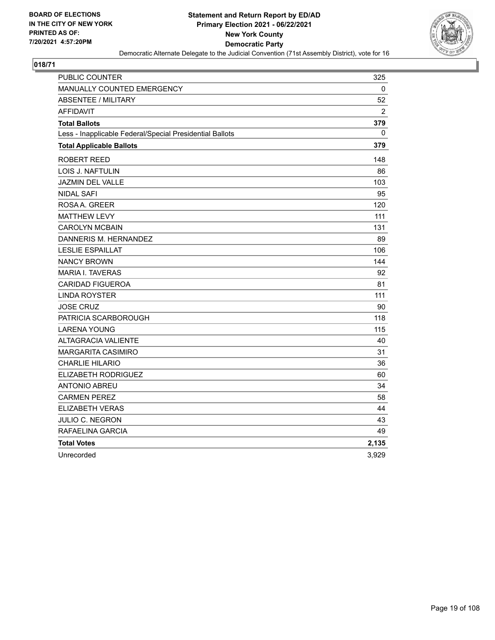

| PUBLIC COUNTER                                           | 325            |
|----------------------------------------------------------|----------------|
| MANUALLY COUNTED EMERGENCY                               | 0              |
| <b>ABSENTEE / MILITARY</b>                               | 52             |
| <b>AFFIDAVIT</b>                                         | $\overline{2}$ |
| <b>Total Ballots</b>                                     | 379            |
| Less - Inapplicable Federal/Special Presidential Ballots | 0              |
| <b>Total Applicable Ballots</b>                          | 379            |
| ROBERT REED                                              | 148            |
| LOIS J. NAFTULIN                                         | 86             |
| JAZMIN DEL VALLE                                         | 103            |
| <b>NIDAL SAFI</b>                                        | 95             |
| ROSAA, GREER                                             | 120            |
| <b>MATTHEW LEVY</b>                                      | 111            |
| <b>CAROLYN MCBAIN</b>                                    | 131            |
| DANNERIS M. HERNANDEZ                                    | 89             |
| <b>LESLIE ESPAILLAT</b>                                  | 106            |
| <b>NANCY BROWN</b>                                       | 144            |
| <b>MARIA I. TAVERAS</b>                                  | 92             |
| <b>CARIDAD FIGUEROA</b>                                  | 81             |
| <b>LINDA ROYSTER</b>                                     | 111            |
| <b>JOSE CRUZ</b>                                         | 90             |
| PATRICIA SCARBOROUGH                                     | 118            |
| <b>LARENA YOUNG</b>                                      | 115            |
| <b>ALTAGRACIA VALIENTE</b>                               | 40             |
| <b>MARGARITA CASIMIRO</b>                                | 31             |
| <b>CHARLIE HILARIO</b>                                   | 36             |
| ELIZABETH RODRIGUEZ                                      | 60             |
| <b>ANTONIO ABREU</b>                                     | 34             |
| <b>CARMEN PEREZ</b>                                      | 58             |
| ELIZABETH VERAS                                          | 44             |
| JULIO C. NEGRON                                          | 43             |
| RAFAELINA GARCIA                                         | 49             |
| <b>Total Votes</b>                                       | 2,135          |
| Unrecorded                                               | 3,929          |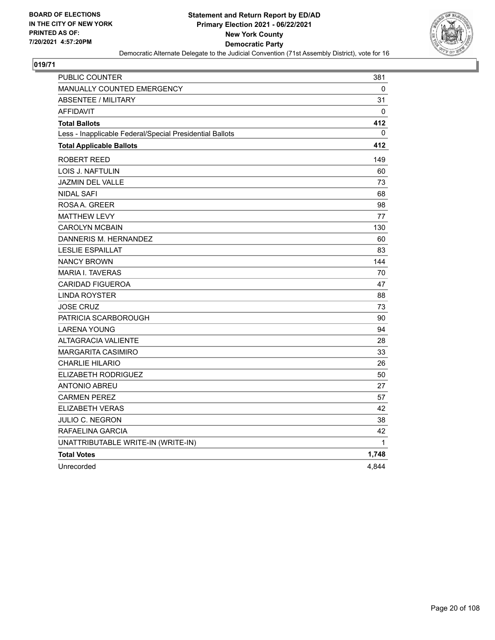

| PUBLIC COUNTER                                           | 381          |
|----------------------------------------------------------|--------------|
| <b>MANUALLY COUNTED EMERGENCY</b>                        | 0            |
| <b>ABSENTEE / MILITARY</b>                               | 31           |
| <b>AFFIDAVIT</b>                                         | $\Omega$     |
| <b>Total Ballots</b>                                     | 412          |
| Less - Inapplicable Federal/Special Presidential Ballots | $\mathbf{0}$ |
| <b>Total Applicable Ballots</b>                          | 412          |
| <b>ROBERT REED</b>                                       | 149          |
| <b>LOIS J. NAFTULIN</b>                                  | 60           |
| <b>JAZMIN DEL VALLE</b>                                  | 73           |
| <b>NIDAL SAFI</b>                                        | 68           |
| ROSA A. GREER                                            | 98           |
| <b>MATTHEW LEVY</b>                                      | 77           |
| <b>CAROLYN MCBAIN</b>                                    | 130          |
| DANNERIS M. HERNANDEZ                                    | 60           |
| <b>LESLIE ESPAILLAT</b>                                  | 83           |
| <b>NANCY BROWN</b>                                       | 144          |
| <b>MARIA I. TAVERAS</b>                                  | 70           |
| <b>CARIDAD FIGUEROA</b>                                  | 47           |
| <b>LINDA ROYSTER</b>                                     | 88           |
| <b>JOSE CRUZ</b>                                         | 73           |
| PATRICIA SCARBOROUGH                                     | 90           |
| <b>LARENA YOUNG</b>                                      | 94           |
| <b>ALTAGRACIA VALIENTE</b>                               | 28           |
| <b>MARGARITA CASIMIRO</b>                                | 33           |
| <b>CHARLIE HILARIO</b>                                   | 26           |
| ELIZABETH RODRIGUEZ                                      | 50           |
| <b>ANTONIO ABREU</b>                                     | 27           |
| <b>CARMEN PEREZ</b>                                      | 57           |
| <b>ELIZABETH VERAS</b>                                   | 42           |
| <b>JULIO C. NEGRON</b>                                   | 38           |
| RAFAELINA GARCIA                                         | 42           |
| UNATTRIBUTABLE WRITE-IN (WRITE-IN)                       | $\mathbf{1}$ |
| <b>Total Votes</b>                                       | 1,748        |
| Unrecorded                                               | 4,844        |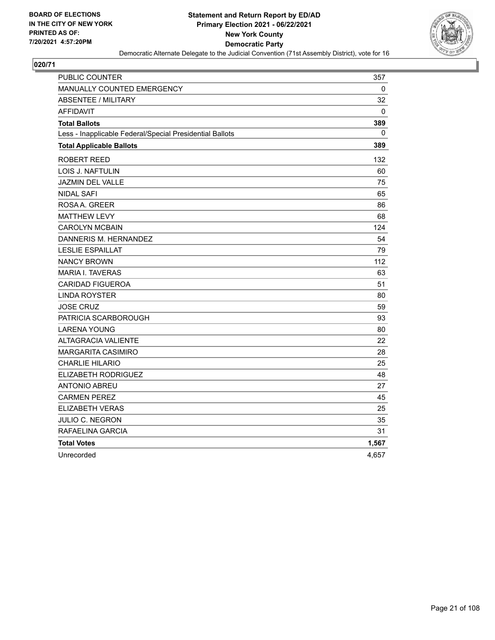

| PUBLIC COUNTER                                           | 357          |
|----------------------------------------------------------|--------------|
| <b>MANUALLY COUNTED EMERGENCY</b>                        | 0            |
| <b>ABSENTEE / MILITARY</b>                               | 32           |
| <b>AFFIDAVIT</b>                                         | 0            |
| <b>Total Ballots</b>                                     | 389          |
| Less - Inapplicable Federal/Special Presidential Ballots | $\mathbf{0}$ |
| <b>Total Applicable Ballots</b>                          | 389          |
| ROBERT REED                                              | 132          |
| LOIS J. NAFTULIN                                         | 60           |
| JAZMIN DEL VALLE                                         | 75           |
| <b>NIDAL SAFI</b>                                        | 65           |
| ROSAA, GREER                                             | 86           |
| <b>MATTHEW LEVY</b>                                      | 68           |
| <b>CAROLYN MCBAIN</b>                                    | 124          |
| DANNERIS M. HERNANDEZ                                    | 54           |
| <b>LESLIE ESPAILLAT</b>                                  | 79           |
| <b>NANCY BROWN</b>                                       | 112          |
| <b>MARIA I. TAVERAS</b>                                  | 63           |
| <b>CARIDAD FIGUEROA</b>                                  | 51           |
| <b>LINDA ROYSTER</b>                                     | 80           |
| <b>JOSE CRUZ</b>                                         | 59           |
| PATRICIA SCARBOROUGH                                     | 93           |
| <b>LARENA YOUNG</b>                                      | 80           |
| <b>ALTAGRACIA VALIENTE</b>                               | 22           |
| <b>MARGARITA CASIMIRO</b>                                | 28           |
| <b>CHARLIE HILARIO</b>                                   | 25           |
| ELIZABETH RODRIGUEZ                                      | 48           |
| <b>ANTONIO ABREU</b>                                     | 27           |
| <b>CARMEN PEREZ</b>                                      | 45           |
| <b>ELIZABETH VERAS</b>                                   | 25           |
| JULIO C. NEGRON                                          | 35           |
| RAFAELINA GARCIA                                         | 31           |
| <b>Total Votes</b>                                       | 1,567        |
| Unrecorded                                               | 4,657        |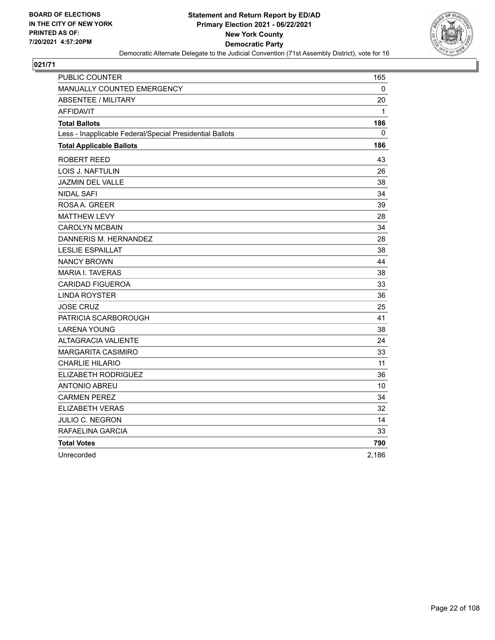

| PUBLIC COUNTER                                           | 165          |
|----------------------------------------------------------|--------------|
| MANUALLY COUNTED EMERGENCY                               | $\mathbf{0}$ |
| ABSENTEE / MILITARY                                      | 20           |
| AFFIDAVIT                                                | 1            |
| <b>Total Ballots</b>                                     | 186          |
| Less - Inapplicable Federal/Special Presidential Ballots | 0            |
| <b>Total Applicable Ballots</b>                          | 186          |
| ROBERT REED                                              | 43           |
| LOIS J. NAFTULIN                                         | 26           |
| JAZMIN DEL VALLE                                         | 38           |
| <b>NIDAL SAFI</b>                                        | 34           |
| ROSAA, GREER                                             | 39           |
| <b>MATTHEW LEVY</b>                                      | 28           |
| <b>CAROLYN MCBAIN</b>                                    | 34           |
| DANNERIS M. HERNANDEZ                                    | 28           |
| <b>LESLIE ESPAILLAT</b>                                  | 38           |
| <b>NANCY BROWN</b>                                       | 44           |
| <b>MARIA I. TAVERAS</b>                                  | 38           |
| <b>CARIDAD FIGUEROA</b>                                  | 33           |
| <b>LINDA ROYSTER</b>                                     | 36           |
| <b>JOSE CRUZ</b>                                         | 25           |
| PATRICIA SCARBOROUGH                                     | 41           |
| <b>LARENA YOUNG</b>                                      | 38           |
| <b>ALTAGRACIA VALIENTE</b>                               | 24           |
| MARGARITA CASIMIRO                                       | 33           |
| CHARLIE HILARIO                                          | 11           |
| ELIZABETH RODRIGUEZ                                      | 36           |
| ANTONIO ABREU                                            | 10           |
| <b>CARMEN PEREZ</b>                                      | 34           |
| <b>ELIZABETH VERAS</b>                                   | 32           |
| JULIO C. NEGRON                                          | 14           |
| RAFAELINA GARCIA                                         | 33           |
| <b>Total Votes</b>                                       | 790          |
| Unrecorded                                               | 2,186        |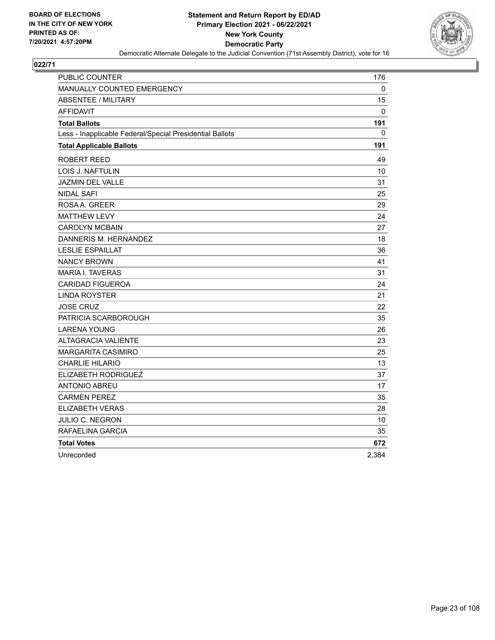

| PUBLIC COUNTER                                           | 176      |
|----------------------------------------------------------|----------|
| MANUALLY COUNTED EMERGENCY                               | 0        |
| <b>ABSENTEE / MILITARY</b>                               | 15       |
| <b>AFFIDAVIT</b>                                         | $\Omega$ |
| <b>Total Ballots</b>                                     | 191      |
| Less - Inapplicable Federal/Special Presidential Ballots | 0        |
| <b>Total Applicable Ballots</b>                          | 191      |
| ROBERT REED                                              | 49       |
| LOIS J. NAFTULIN                                         | 10       |
| <b>JAZMIN DEL VALLE</b>                                  | 31       |
| <b>NIDAL SAFI</b>                                        | 25       |
| ROSAA. GREER                                             | 29       |
| <b>MATTHEW LEVY</b>                                      | 24       |
| <b>CAROLYN MCBAIN</b>                                    | 27       |
| DANNERIS M. HERNANDEZ                                    | 18       |
| <b>LESLIE ESPAILLAT</b>                                  | 36       |
| <b>NANCY BROWN</b>                                       | 41       |
| <b>MARIA I. TAVERAS</b>                                  | 31       |
| <b>CARIDAD FIGUEROA</b>                                  | 24       |
| <b>LINDA ROYSTER</b>                                     | 21       |
| <b>JOSE CRUZ</b>                                         | 22       |
| PATRICIA SCARBOROUGH                                     | 35       |
| <b>LARENA YOUNG</b>                                      | 26       |
| <b>ALTAGRACIA VALIENTE</b>                               | 23       |
| <b>MARGARITA CASIMIRO</b>                                | 25       |
| <b>CHARLIE HILARIO</b>                                   | 13       |
| ELIZABETH RODRIGUEZ                                      | 37       |
| ANTONIO ABREU                                            | 17       |
| <b>CARMEN PEREZ</b>                                      | 35       |
| <b>ELIZABETH VERAS</b>                                   | 28       |
| JULIO C. NEGRON                                          | 10       |
| RAFAELINA GARCIA                                         | 35       |
| <b>Total Votes</b>                                       | 672      |
| Unrecorded                                               | 2.384    |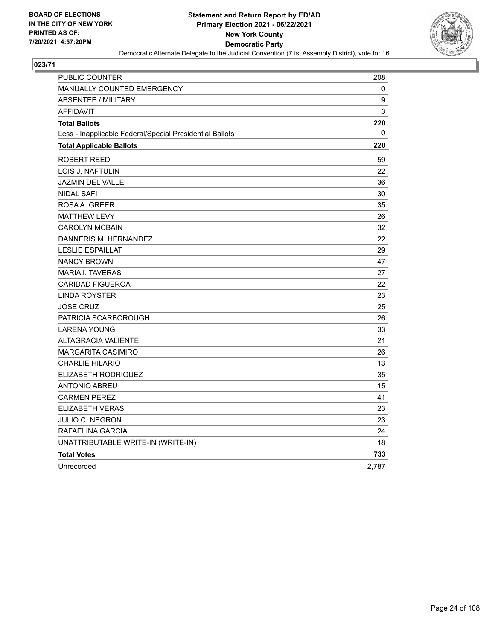

| PUBLIC COUNTER                                           | 208   |
|----------------------------------------------------------|-------|
| <b>MANUALLY COUNTED EMERGENCY</b>                        | 0     |
| <b>ABSENTEE / MILITARY</b>                               | 9     |
| <b>AFFIDAVIT</b>                                         | 3     |
| <b>Total Ballots</b>                                     | 220   |
| Less - Inapplicable Federal/Special Presidential Ballots | 0     |
| <b>Total Applicable Ballots</b>                          | 220   |
| ROBERT REED                                              | 59    |
| LOIS J. NAFTULIN                                         | 22    |
| <b>JAZMIN DEL VALLE</b>                                  | 36    |
| <b>NIDAL SAFI</b>                                        | 30    |
| ROSAA, GREER                                             | 35    |
| <b>MATTHEW LEVY</b>                                      | 26    |
| <b>CAROLYN MCBAIN</b>                                    | 32    |
| DANNERIS M. HERNANDEZ                                    | 22    |
| <b>LESLIE ESPAILLAT</b>                                  | 29    |
| <b>NANCY BROWN</b>                                       | 47    |
| <b>MARIA I. TAVERAS</b>                                  | 27    |
| <b>CARIDAD FIGUEROA</b>                                  | 22    |
| <b>LINDA ROYSTER</b>                                     | 23    |
| <b>JOSE CRUZ</b>                                         | 25    |
| PATRICIA SCARBOROUGH                                     | 26    |
| LARENA YOUNG                                             | 33    |
| <b>ALTAGRACIA VALIENTE</b>                               | 21    |
| <b>MARGARITA CASIMIRO</b>                                | 26    |
| <b>CHARLIE HILARIO</b>                                   | 13    |
| ELIZABETH RODRIGUEZ                                      | 35    |
| <b>ANTONIO ABREU</b>                                     | 15    |
| <b>CARMEN PEREZ</b>                                      | 41    |
| ELIZABETH VERAS                                          | 23    |
| JULIO C. NEGRON                                          | 23    |
| RAFAELINA GARCIA                                         | 24    |
| UNATTRIBUTABLE WRITE-IN (WRITE-IN)                       | 18    |
| <b>Total Votes</b>                                       | 733   |
| Unrecorded                                               | 2,787 |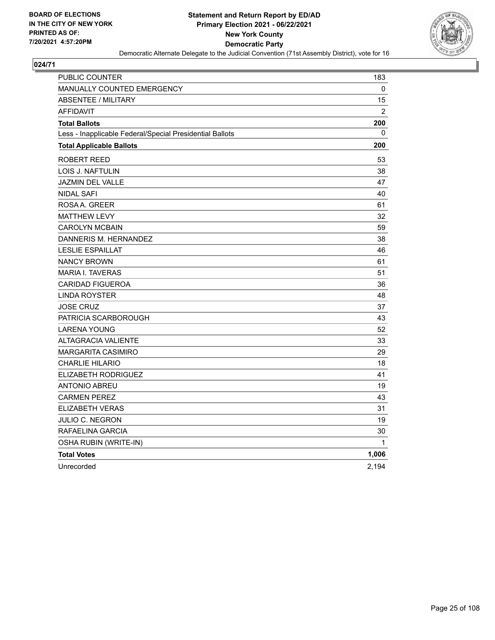

| PUBLIC COUNTER                                           | 183   |
|----------------------------------------------------------|-------|
| <b>MANUALLY COUNTED EMERGENCY</b>                        | 0     |
| <b>ABSENTEE / MILITARY</b>                               | 15    |
| <b>AFFIDAVIT</b>                                         | 2     |
| <b>Total Ballots</b>                                     | 200   |
| Less - Inapplicable Federal/Special Presidential Ballots | 0     |
| <b>Total Applicable Ballots</b>                          | 200   |
| <b>ROBERT REED</b>                                       | 53    |
| <b>LOIS J. NAFTULIN</b>                                  | 38    |
| <b>JAZMIN DEL VALLE</b>                                  | 47    |
| <b>NIDAL SAFI</b>                                        | 40    |
| ROSAA. GREER                                             | 61    |
| <b>MATTHEW LEVY</b>                                      | 32    |
| <b>CAROLYN MCBAIN</b>                                    | 59    |
| DANNERIS M. HERNANDEZ                                    | 38    |
| <b>LESLIE ESPAILLAT</b>                                  | 46    |
| <b>NANCY BROWN</b>                                       | 61    |
| <b>MARIA I. TAVERAS</b>                                  | 51    |
| <b>CARIDAD FIGUEROA</b>                                  | 36    |
| <b>LINDA ROYSTER</b>                                     | 48    |
| <b>JOSE CRUZ</b>                                         | 37    |
| PATRICIA SCARBOROUGH                                     | 43    |
| <b>LARENA YOUNG</b>                                      | 52    |
| <b>ALTAGRACIA VALIENTE</b>                               | 33    |
| <b>MARGARITA CASIMIRO</b>                                | 29    |
| <b>CHARLIE HILARIO</b>                                   | 18    |
| <b>ELIZABETH RODRIGUEZ</b>                               | 41    |
| <b>ANTONIO ABREU</b>                                     | 19    |
| <b>CARMEN PEREZ</b>                                      | 43    |
| <b>ELIZABETH VERAS</b>                                   | 31    |
| <b>JULIO C. NEGRON</b>                                   | 19    |
| RAFAELINA GARCIA                                         | 30    |
| OSHA RUBIN (WRITE-IN)                                    | 1     |
| <b>Total Votes</b>                                       | 1,006 |
| Unrecorded                                               | 2,194 |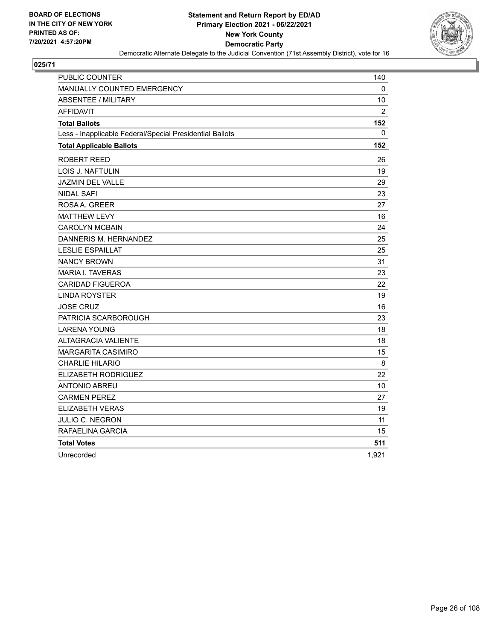

| <b>PUBLIC COUNTER</b>                                    | 140            |
|----------------------------------------------------------|----------------|
| <b>MANUALLY COUNTED EMERGENCY</b>                        | 0              |
| <b>ABSENTEE / MILITARY</b>                               | 10             |
| <b>AFFIDAVIT</b>                                         | $\overline{2}$ |
| <b>Total Ballots</b>                                     | 152            |
| Less - Inapplicable Federal/Special Presidential Ballots | $\mathbf{0}$   |
| <b>Total Applicable Ballots</b>                          | 152            |
| ROBERT REED                                              | 26             |
| LOIS J. NAFTULIN                                         | 19             |
| <b>JAZMIN DEL VALLE</b>                                  | 29             |
| <b>NIDAL SAFI</b>                                        | 23             |
| ROSAA, GREER                                             | 27             |
| <b>MATTHEW LEVY</b>                                      | 16             |
| <b>CAROLYN MCBAIN</b>                                    | 24             |
| DANNERIS M. HERNANDEZ                                    | 25             |
| <b>LESLIE ESPAILLAT</b>                                  | 25             |
| <b>NANCY BROWN</b>                                       | 31             |
| <b>MARIA I. TAVERAS</b>                                  | 23             |
| <b>CARIDAD FIGUEROA</b>                                  | 22             |
| <b>LINDA ROYSTER</b>                                     | 19             |
| <b>JOSE CRUZ</b>                                         | 16             |
| PATRICIA SCARBOROUGH                                     | 23             |
| <b>LARENA YOUNG</b>                                      | 18             |
| <b>ALTAGRACIA VALIENTE</b>                               | 18             |
| <b>MARGARITA CASIMIRO</b>                                | 15             |
| <b>CHARLIE HILARIO</b>                                   | 8              |
| ELIZABETH RODRIGUEZ                                      | 22             |
| <b>ANTONIO ABREU</b>                                     | 10             |
| <b>CARMEN PEREZ</b>                                      | 27             |
| <b>ELIZABETH VERAS</b>                                   | 19             |
| JULIO C. NEGRON                                          | 11             |
| RAFAELINA GARCIA                                         | 15             |
| <b>Total Votes</b>                                       | 511            |
| Unrecorded                                               | 1,921          |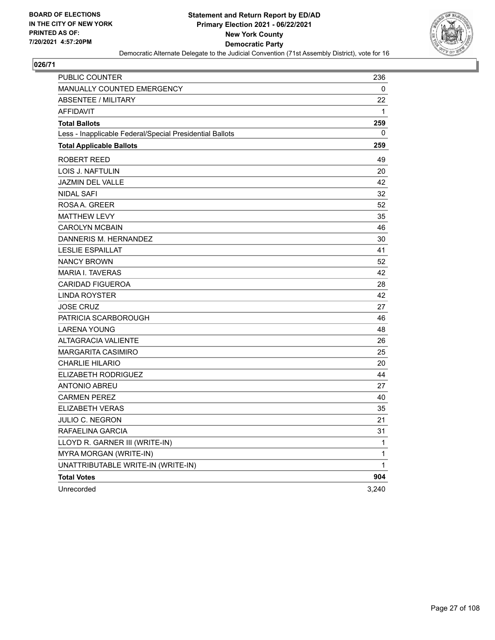

| PUBLIC COUNTER                                           | 236   |
|----------------------------------------------------------|-------|
| <b>MANUALLY COUNTED EMERGENCY</b>                        | 0     |
| <b>ABSENTEE / MILITARY</b>                               | 22    |
| <b>AFFIDAVIT</b>                                         | 1     |
| <b>Total Ballots</b>                                     | 259   |
| Less - Inapplicable Federal/Special Presidential Ballots | 0     |
| <b>Total Applicable Ballots</b>                          | 259   |
| ROBERT REED                                              | 49    |
| LOIS J. NAFTULIN                                         | 20    |
| <b>JAZMIN DEL VALLE</b>                                  | 42    |
| NIDAL SAFI                                               | 32    |
| ROSAA, GREER                                             | 52    |
| <b>MATTHEW LEVY</b>                                      | 35    |
| <b>CAROLYN MCBAIN</b>                                    | 46    |
| DANNERIS M. HERNANDEZ                                    | 30    |
| <b>LESLIE ESPAILLAT</b>                                  | 41    |
| <b>NANCY BROWN</b>                                       | 52    |
| <b>MARIA I. TAVERAS</b>                                  | 42    |
| <b>CARIDAD FIGUEROA</b>                                  | 28    |
| <b>LINDA ROYSTER</b>                                     | 42    |
| <b>JOSE CRUZ</b>                                         | 27    |
| PATRICIA SCARBOROUGH                                     | 46    |
| <b>LARENA YOUNG</b>                                      | 48    |
| <b>ALTAGRACIA VALIENTE</b>                               | 26    |
| <b>MARGARITA CASIMIRO</b>                                | 25    |
| <b>CHARLIE HILARIO</b>                                   | 20    |
| ELIZABETH RODRIGUEZ                                      | 44    |
| <b>ANTONIO ABREU</b>                                     | 27    |
| <b>CARMEN PEREZ</b>                                      | 40    |
| <b>ELIZABETH VERAS</b>                                   | 35    |
| <b>JULIO C. NEGRON</b>                                   | 21    |
| RAFAELINA GARCIA                                         | 31    |
| LLOYD R. GARNER III (WRITE-IN)                           | 1     |
| MYRA MORGAN (WRITE-IN)                                   | 1     |
| UNATTRIBUTABLE WRITE-IN (WRITE-IN)                       | 1     |
| <b>Total Votes</b>                                       | 904   |
| Unrecorded                                               | 3,240 |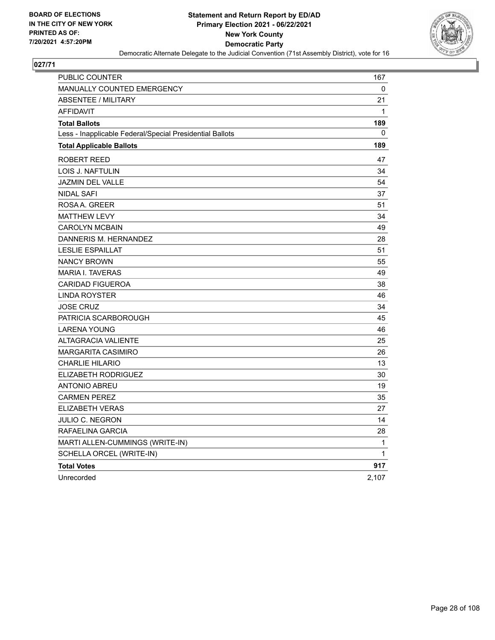

| PUBLIC COUNTER                                           | 167         |
|----------------------------------------------------------|-------------|
| <b>MANUALLY COUNTED EMERGENCY</b>                        | 0           |
| <b>ABSENTEE / MILITARY</b>                               | 21          |
| <b>AFFIDAVIT</b>                                         | $\mathbf 1$ |
| <b>Total Ballots</b>                                     | 189         |
| Less - Inapplicable Federal/Special Presidential Ballots | 0           |
| <b>Total Applicable Ballots</b>                          | 189         |
| ROBERT REED                                              | 47          |
| LOIS J. NAFTULIN                                         | 34          |
| JAZMIN DEL VALLE                                         | 54          |
| <b>NIDAL SAFI</b>                                        | 37          |
| ROSAA, GREER                                             | 51          |
| <b>MATTHEW LEVY</b>                                      | 34          |
| <b>CAROLYN MCBAIN</b>                                    | 49          |
| DANNERIS M. HERNANDEZ                                    | 28          |
| <b>LESLIE ESPAILLAT</b>                                  | 51          |
| <b>NANCY BROWN</b>                                       | 55          |
| <b>MARIA I. TAVERAS</b>                                  | 49          |
| <b>CARIDAD FIGUEROA</b>                                  | 38          |
| <b>LINDA ROYSTER</b>                                     | 46          |
| <b>JOSE CRUZ</b>                                         | 34          |
| PATRICIA SCARBOROUGH                                     | 45          |
| <b>LARENA YOUNG</b>                                      | 46          |
| <b>ALTAGRACIA VALIENTE</b>                               | 25          |
| <b>MARGARITA CASIMIRO</b>                                | 26          |
| <b>CHARLIE HILARIO</b>                                   | 13          |
| ELIZABETH RODRIGUEZ                                      | 30          |
| <b>ANTONIO ABREU</b>                                     | 19          |
| <b>CARMEN PEREZ</b>                                      | 35          |
| <b>ELIZABETH VERAS</b>                                   | 27          |
| JULIO C. NEGRON                                          | 14          |
| RAFAELINA GARCIA                                         | 28          |
| MARTI ALLEN-CUMMINGS (WRITE-IN)                          | 1           |
| SCHELLA ORCEL (WRITE-IN)                                 | 1           |
| <b>Total Votes</b>                                       | 917         |
| Unrecorded                                               | 2,107       |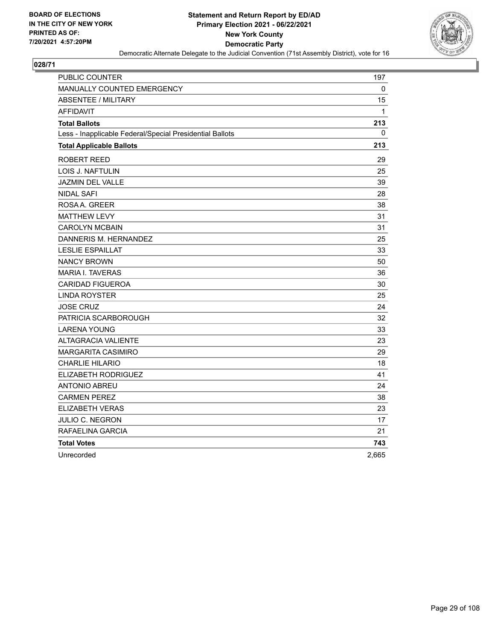

| PUBLIC COUNTER                                           | 197   |
|----------------------------------------------------------|-------|
| <b>MANUALLY COUNTED EMERGENCY</b>                        | 0     |
| <b>ABSENTEE / MILITARY</b>                               | 15    |
| <b>AFFIDAVIT</b>                                         | 1     |
| <b>Total Ballots</b>                                     | 213   |
| Less - Inapplicable Federal/Special Presidential Ballots | 0     |
| <b>Total Applicable Ballots</b>                          | 213   |
| ROBERT REED                                              | 29    |
| LOIS J. NAFTULIN                                         | 25    |
| JAZMIN DEL VALLE                                         | 39    |
| <b>NIDAL SAFI</b>                                        | 28    |
| ROSA A. GREER                                            | 38    |
| <b>MATTHEW LEVY</b>                                      | 31    |
| <b>CAROLYN MCBAIN</b>                                    | 31    |
| DANNERIS M. HERNANDEZ                                    | 25    |
| <b>LESLIE ESPAILLAT</b>                                  | 33    |
| <b>NANCY BROWN</b>                                       | 50    |
| <b>MARIA I. TAVERAS</b>                                  | 36    |
| <b>CARIDAD FIGUEROA</b>                                  | 30    |
| <b>LINDA ROYSTER</b>                                     | 25    |
| <b>JOSE CRUZ</b>                                         | 24    |
| PATRICIA SCARBOROUGH                                     | 32    |
| <b>LARENA YOUNG</b>                                      | 33    |
| <b>ALTAGRACIA VALIENTE</b>                               | 23    |
| <b>MARGARITA CASIMIRO</b>                                | 29    |
| <b>CHARLIE HILARIO</b>                                   | 18    |
| ELIZABETH RODRIGUEZ                                      | 41    |
| <b>ANTONIO ABREU</b>                                     | 24    |
| <b>CARMEN PEREZ</b>                                      | 38    |
| ELIZABETH VERAS                                          | 23    |
| JULIO C. NEGRON                                          | 17    |
| RAFAELINA GARCIA                                         | 21    |
| <b>Total Votes</b>                                       | 743   |
| Unrecorded                                               | 2,665 |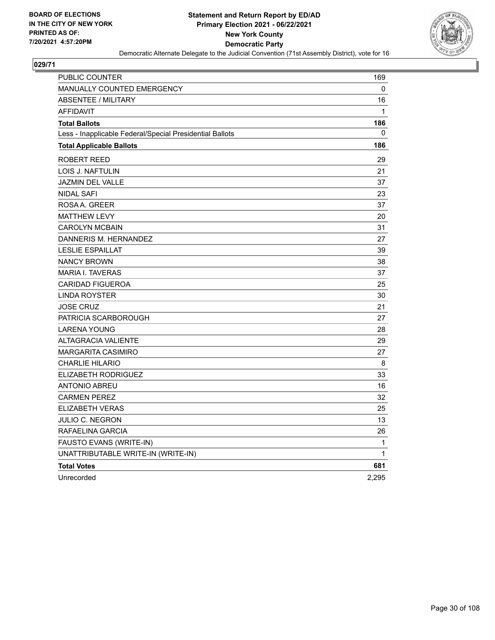

| PUBLIC COUNTER                                           | 169   |
|----------------------------------------------------------|-------|
| <b>MANUALLY COUNTED EMERGENCY</b>                        | 0     |
| <b>ABSENTEE / MILITARY</b>                               | 16    |
| <b>AFFIDAVIT</b>                                         | 1     |
| <b>Total Ballots</b>                                     | 186   |
| Less - Inapplicable Federal/Special Presidential Ballots | 0     |
| <b>Total Applicable Ballots</b>                          | 186   |
| ROBERT REED                                              | 29    |
| LOIS J. NAFTULIN                                         | 21    |
| JAZMIN DEL VALLE                                         | 37    |
| <b>NIDAL SAFI</b>                                        | 23    |
| ROSAA, GREER                                             | 37    |
| <b>MATTHEW LEVY</b>                                      | 20    |
| <b>CAROLYN MCBAIN</b>                                    | 31    |
| DANNERIS M. HERNANDEZ                                    | 27    |
| <b>LESLIE ESPAILLAT</b>                                  | 39    |
| <b>NANCY BROWN</b>                                       | 38    |
| <b>MARIA I. TAVERAS</b>                                  | 37    |
| <b>CARIDAD FIGUEROA</b>                                  | 25    |
| <b>LINDA ROYSTER</b>                                     | 30    |
| <b>JOSE CRUZ</b>                                         | 21    |
| PATRICIA SCARBOROUGH                                     | 27    |
| <b>LARENA YOUNG</b>                                      | 28    |
| <b>ALTAGRACIA VALIENTE</b>                               | 29    |
| <b>MARGARITA CASIMIRO</b>                                | 27    |
| <b>CHARLIE HILARIO</b>                                   | 8     |
| ELIZABETH RODRIGUEZ                                      | 33    |
| ANTONIO ABREU                                            | 16    |
| <b>CARMEN PEREZ</b>                                      | 32    |
| <b>ELIZABETH VERAS</b>                                   | 25    |
| <b>JULIO C. NEGRON</b>                                   | 13    |
| RAFAELINA GARCIA                                         | 26    |
| FAUSTO EVANS (WRITE-IN)                                  | 1     |
| UNATTRIBUTABLE WRITE-IN (WRITE-IN)                       | 1     |
| <b>Total Votes</b>                                       | 681   |
| Unrecorded                                               | 2,295 |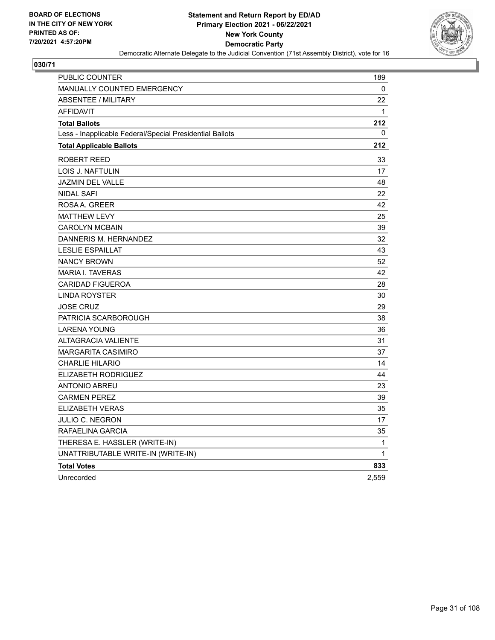

| PUBLIC COUNTER                                           | 189   |
|----------------------------------------------------------|-------|
| <b>MANUALLY COUNTED EMERGENCY</b>                        | 0     |
| <b>ABSENTEE / MILITARY</b>                               | 22    |
| <b>AFFIDAVIT</b>                                         | 1     |
| <b>Total Ballots</b>                                     | 212   |
| Less - Inapplicable Federal/Special Presidential Ballots | 0     |
| <b>Total Applicable Ballots</b>                          | 212   |
| ROBERT REED                                              | 33    |
| LOIS J. NAFTULIN                                         | 17    |
| JAZMIN DEL VALLE                                         | 48    |
| NIDAL SAFI                                               | 22    |
| ROSAA, GREER                                             | 42    |
| <b>MATTHEW LEVY</b>                                      | 25    |
| <b>CAROLYN MCBAIN</b>                                    | 39    |
| DANNERIS M. HERNANDEZ                                    | 32    |
| <b>LESLIE ESPAILLAT</b>                                  | 43    |
| <b>NANCY BROWN</b>                                       | 52    |
| <b>MARIA I. TAVERAS</b>                                  | 42    |
| <b>CARIDAD FIGUEROA</b>                                  | 28    |
| LINDA ROYSTER                                            | 30    |
| <b>JOSE CRUZ</b>                                         | 29    |
| PATRICIA SCARBOROUGH                                     | 38    |
| <b>LARENA YOUNG</b>                                      | 36    |
| <b>ALTAGRACIA VALIENTE</b>                               | 31    |
| <b>MARGARITA CASIMIRO</b>                                | 37    |
| <b>CHARLIE HILARIO</b>                                   | 14    |
| ELIZABETH RODRIGUEZ                                      | 44    |
| <b>ANTONIO ABREU</b>                                     | 23    |
| <b>CARMEN PEREZ</b>                                      | 39    |
| ELIZABETH VERAS                                          | 35    |
| <b>JULIO C. NEGRON</b>                                   | 17    |
| RAFAELINA GARCIA                                         | 35    |
| THERESA E. HASSLER (WRITE-IN)                            | 1     |
| UNATTRIBUTABLE WRITE-IN (WRITE-IN)                       | 1     |
| <b>Total Votes</b>                                       | 833   |
| Unrecorded                                               | 2,559 |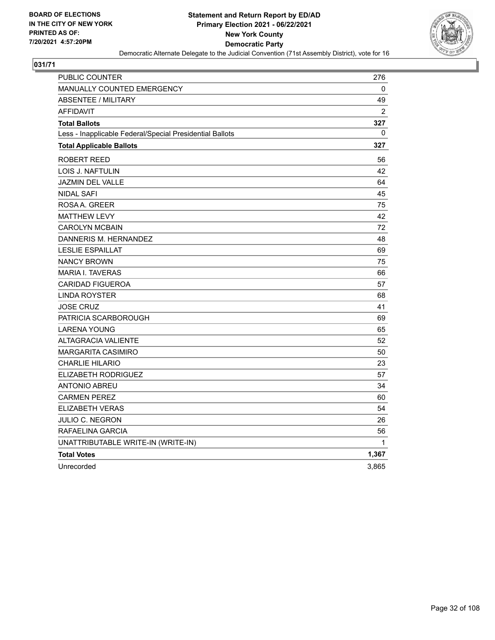

| <b>PUBLIC COUNTER</b>                                    | 276      |
|----------------------------------------------------------|----------|
| MANUALLY COUNTED EMERGENCY                               | 0        |
| <b>ABSENTEE / MILITARY</b>                               | 49       |
| <b>AFFIDAVIT</b>                                         | 2        |
| <b>Total Ballots</b>                                     | 327      |
| Less - Inapplicable Federal/Special Presidential Ballots | $\Omega$ |
| <b>Total Applicable Ballots</b>                          | 327      |
| ROBERT REED                                              | 56       |
| LOIS J. NAFTULIN                                         | 42       |
| <b>JAZMIN DEL VALLE</b>                                  | 64       |
| <b>NIDAL SAFI</b>                                        | 45       |
| ROSAA, GREER                                             | 75       |
| <b>MATTHEW LEVY</b>                                      | 42       |
| <b>CAROLYN MCBAIN</b>                                    | 72       |
| DANNERIS M. HERNANDEZ                                    | 48       |
| <b>LESLIE ESPAILLAT</b>                                  | 69       |
| <b>NANCY BROWN</b>                                       | 75       |
| <b>MARIA I. TAVERAS</b>                                  | 66       |
| <b>CARIDAD FIGUEROA</b>                                  | 57       |
| <b>LINDA ROYSTER</b>                                     | 68       |
| <b>JOSE CRUZ</b>                                         | 41       |
| PATRICIA SCARBOROUGH                                     | 69       |
| <b>LARENA YOUNG</b>                                      | 65       |
| <b>ALTAGRACIA VALIENTE</b>                               | 52       |
| <b>MARGARITA CASIMIRO</b>                                | 50       |
| <b>CHARLIE HILARIO</b>                                   | 23       |
| <b>ELIZABETH RODRIGUEZ</b>                               | 57       |
| <b>ANTONIO ABREU</b>                                     | 34       |
| <b>CARMEN PEREZ</b>                                      | 60       |
| <b>ELIZABETH VERAS</b>                                   | 54       |
| JULIO C. NEGRON                                          | 26       |
| RAFAELINA GARCIA                                         | 56       |
| UNATTRIBUTABLE WRITE-IN (WRITE-IN)                       | 1        |
| <b>Total Votes</b>                                       | 1,367    |
| Unrecorded                                               | 3,865    |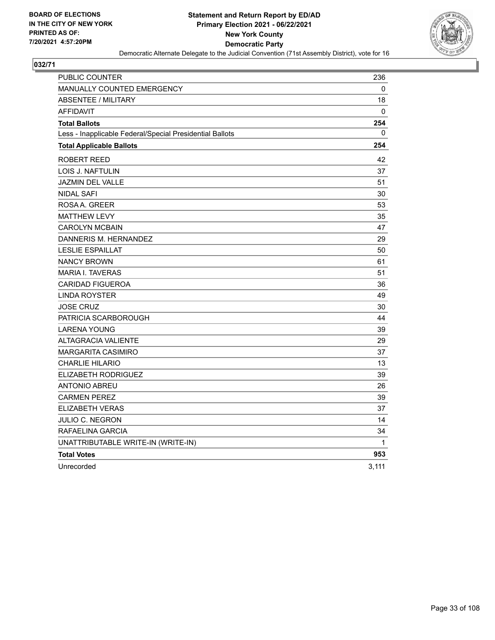

| <b>PUBLIC COUNTER</b>                                    | 236   |
|----------------------------------------------------------|-------|
| <b>MANUALLY COUNTED EMERGENCY</b>                        | 0     |
| <b>ABSENTEE / MILITARY</b>                               | 18    |
| <b>AFFIDAVIT</b>                                         | 0     |
| <b>Total Ballots</b>                                     | 254   |
| Less - Inapplicable Federal/Special Presidential Ballots | 0     |
| <b>Total Applicable Ballots</b>                          | 254   |
| <b>ROBERT REED</b>                                       | 42    |
| LOIS J. NAFTULIN                                         | 37    |
| <b>JAZMIN DEL VALLE</b>                                  | 51    |
| <b>NIDAL SAFI</b>                                        | 30    |
| ROSAA, GREER                                             | 53    |
| <b>MATTHEW LEVY</b>                                      | 35    |
| <b>CAROLYN MCBAIN</b>                                    | 47    |
| DANNERIS M. HERNANDEZ                                    | 29    |
| <b>LESLIE ESPAILLAT</b>                                  | 50    |
| <b>NANCY BROWN</b>                                       | 61    |
| <b>MARIA I. TAVERAS</b>                                  | 51    |
| <b>CARIDAD FIGUEROA</b>                                  | 36    |
| <b>LINDA ROYSTER</b>                                     | 49    |
| <b>JOSE CRUZ</b>                                         | 30    |
| PATRICIA SCARBOROUGH                                     | 44    |
| <b>LARENA YOUNG</b>                                      | 39    |
| <b>ALTAGRACIA VALIENTE</b>                               | 29    |
| <b>MARGARITA CASIMIRO</b>                                | 37    |
| <b>CHARLIE HILARIO</b>                                   | 13    |
| ELIZABETH RODRIGUEZ                                      | 39    |
| <b>ANTONIO ABREU</b>                                     | 26    |
| <b>CARMEN PEREZ</b>                                      | 39    |
| <b>ELIZABETH VERAS</b>                                   | 37    |
| JULIO C. NEGRON                                          | 14    |
| RAFAELINA GARCIA                                         | 34    |
| UNATTRIBUTABLE WRITE-IN (WRITE-IN)                       | 1     |
| <b>Total Votes</b>                                       | 953   |
| Unrecorded                                               | 3,111 |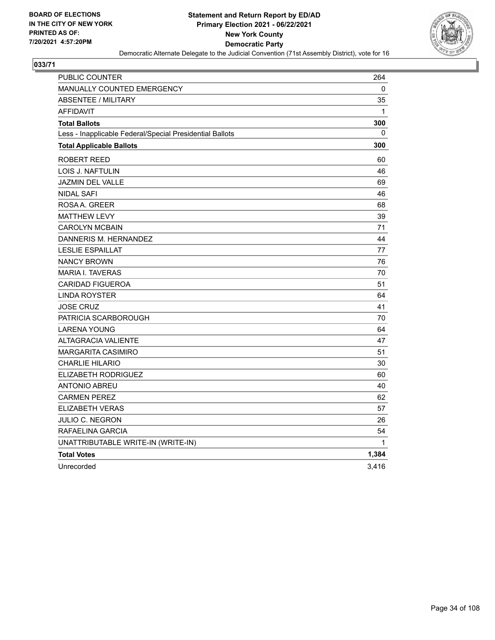

| <b>PUBLIC COUNTER</b>                                    | 264          |
|----------------------------------------------------------|--------------|
| MANUALLY COUNTED EMERGENCY                               | 0            |
| <b>ABSENTEE / MILITARY</b>                               | 35           |
| <b>AFFIDAVIT</b>                                         | $\mathbf{1}$ |
| <b>Total Ballots</b>                                     | 300          |
| Less - Inapplicable Federal/Special Presidential Ballots | 0            |
| <b>Total Applicable Ballots</b>                          | 300          |
| <b>ROBERT REED</b>                                       | 60           |
| LOIS J. NAFTULIN                                         | 46           |
| <b>JAZMIN DEL VALLE</b>                                  | 69           |
| <b>NIDAL SAFI</b>                                        | 46           |
| ROSAA, GREER                                             | 68           |
| <b>MATTHEW LEVY</b>                                      | 39           |
| <b>CAROLYN MCBAIN</b>                                    | 71           |
| DANNERIS M. HERNANDEZ                                    | 44           |
| <b>LESLIE ESPAILLAT</b>                                  | 77           |
| <b>NANCY BROWN</b>                                       | 76           |
| <b>MARIA I. TAVERAS</b>                                  | 70           |
| <b>CARIDAD FIGUEROA</b>                                  | 51           |
| <b>LINDA ROYSTER</b>                                     | 64           |
| <b>JOSE CRUZ</b>                                         | 41           |
| PATRICIA SCARBOROUGH                                     | 70           |
| <b>LARENA YOUNG</b>                                      | 64           |
| <b>ALTAGRACIA VALIENTE</b>                               | 47           |
| <b>MARGARITA CASIMIRO</b>                                | 51           |
| <b>CHARLIE HILARIO</b>                                   | 30           |
| <b>ELIZABETH RODRIGUEZ</b>                               | 60           |
| <b>ANTONIO ABREU</b>                                     | 40           |
| <b>CARMEN PEREZ</b>                                      | 62           |
| <b>ELIZABETH VERAS</b>                                   | 57           |
| JULIO C. NEGRON                                          | 26           |
| RAFAELINA GARCIA                                         | 54           |
| UNATTRIBUTABLE WRITE-IN (WRITE-IN)                       | $\mathbf{1}$ |
| <b>Total Votes</b>                                       | 1,384        |
| Unrecorded                                               | 3,416        |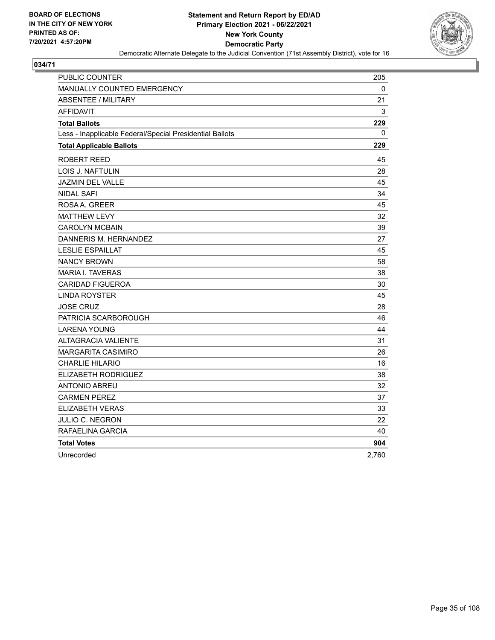

| PUBLIC COUNTER                                           | 205   |
|----------------------------------------------------------|-------|
| MANUALLY COUNTED EMERGENCY                               | 0     |
| <b>ABSENTEE / MILITARY</b>                               | 21    |
| <b>AFFIDAVIT</b>                                         | 3     |
| <b>Total Ballots</b>                                     | 229   |
| Less - Inapplicable Federal/Special Presidential Ballots | 0     |
| <b>Total Applicable Ballots</b>                          | 229   |
| ROBERT REED                                              | 45    |
| LOIS J. NAFTULIN                                         | 28    |
| JAZMIN DEL VALLE                                         | 45    |
| <b>NIDAL SAFI</b>                                        | 34    |
| ROSAA, GREER                                             | 45    |
| <b>MATTHEW LEVY</b>                                      | 32    |
| <b>CAROLYN MCBAIN</b>                                    | 39    |
| DANNERIS M. HERNANDEZ                                    | 27    |
| <b>LESLIE ESPAILLAT</b>                                  | 45    |
| <b>NANCY BROWN</b>                                       | 58    |
| <b>MARIA I. TAVERAS</b>                                  | 38    |
| <b>CARIDAD FIGUEROA</b>                                  | 30    |
| <b>LINDA ROYSTER</b>                                     | 45    |
| <b>JOSE CRUZ</b>                                         | 28    |
| PATRICIA SCARBOROUGH                                     | 46    |
| <b>LARENA YOUNG</b>                                      | 44    |
| <b>ALTAGRACIA VALIENTE</b>                               | 31    |
| <b>MARGARITA CASIMIRO</b>                                | 26    |
| <b>CHARLIE HILARIO</b>                                   | 16    |
| ELIZABETH RODRIGUEZ                                      | 38    |
| <b>ANTONIO ABREU</b>                                     | 32    |
| <b>CARMEN PEREZ</b>                                      | 37    |
| ELIZABETH VERAS                                          | 33    |
| JULIO C. NEGRON                                          | 22    |
| RAFAELINA GARCIA                                         | 40    |
| <b>Total Votes</b>                                       | 904   |
| Unrecorded                                               | 2,760 |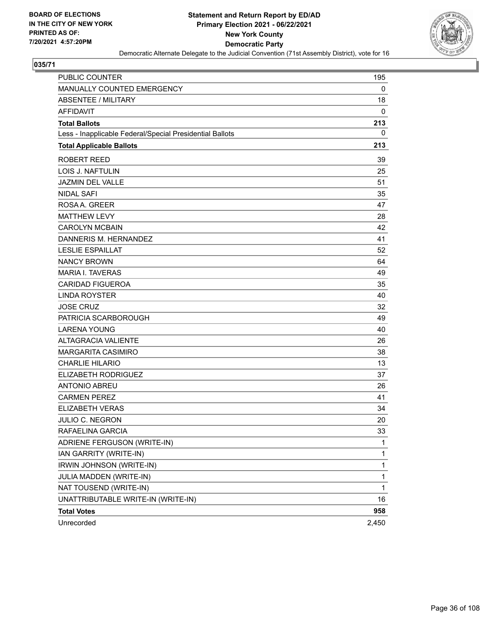

| PUBLIC COUNTER                                           | 195          |
|----------------------------------------------------------|--------------|
| MANUALLY COUNTED EMERGENCY                               | 0            |
| <b>ABSENTEE / MILITARY</b>                               | 18           |
| <b>AFFIDAVIT</b>                                         | $\mathbf 0$  |
| <b>Total Ballots</b>                                     | 213          |
| Less - Inapplicable Federal/Special Presidential Ballots | 0            |
| <b>Total Applicable Ballots</b>                          | 213          |
| <b>ROBERT REED</b>                                       | 39           |
| <b>LOIS J. NAFTULIN</b>                                  | 25           |
| <b>JAZMIN DEL VALLE</b>                                  | 51           |
| <b>NIDAL SAFI</b>                                        | 35           |
| ROSAA, GREER                                             | 47           |
| <b>MATTHEW LEVY</b>                                      | 28           |
| <b>CAROLYN MCBAIN</b>                                    | 42           |
| DANNERIS M. HERNANDEZ                                    | 41           |
| <b>LESLIE ESPAILLAT</b>                                  | 52           |
| <b>NANCY BROWN</b>                                       | 64           |
| <b>MARIA I. TAVERAS</b>                                  | 49           |
| <b>CARIDAD FIGUEROA</b>                                  | 35           |
| <b>LINDA ROYSTER</b>                                     | 40           |
| <b>JOSE CRUZ</b>                                         | 32           |
| PATRICIA SCARBOROUGH                                     | 49           |
| <b>LARENA YOUNG</b>                                      | 40           |
| <b>ALTAGRACIA VALIENTE</b>                               | 26           |
| <b>MARGARITA CASIMIRO</b>                                | 38           |
| <b>CHARLIE HILARIO</b>                                   | 13           |
| ELIZABETH RODRIGUEZ                                      | 37           |
| <b>ANTONIO ABREU</b>                                     | 26           |
| <b>CARMEN PEREZ</b>                                      | 41           |
| ELIZABETH VERAS                                          | 34           |
| <b>JULIO C. NEGRON</b>                                   | 20           |
| RAFAELINA GARCIA                                         | 33           |
| ADRIENE FERGUSON (WRITE-IN)                              | 1            |
| IAN GARRITY (WRITE-IN)                                   | $\mathbf{1}$ |
| IRWIN JOHNSON (WRITE-IN)                                 | $\mathbf{1}$ |
| JULIA MADDEN (WRITE-IN)                                  | $\mathbf{1}$ |
| NAT TOUSEND (WRITE-IN)                                   | 1            |
| UNATTRIBUTABLE WRITE-IN (WRITE-IN)                       | 16           |
| <b>Total Votes</b>                                       | 958          |
| Unrecorded                                               | 2,450        |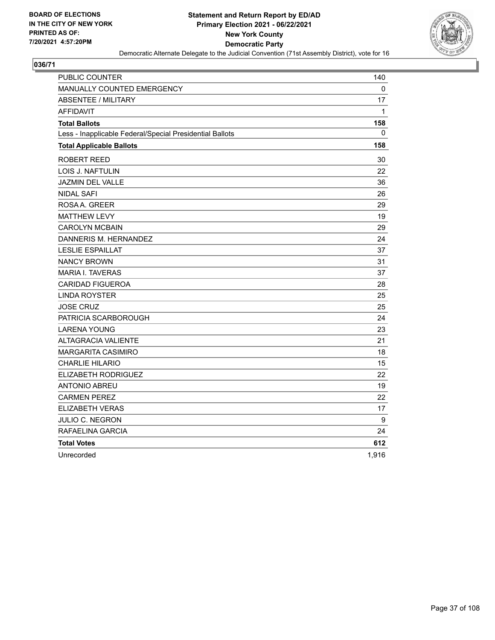

| PUBLIC COUNTER                                           | 140   |
|----------------------------------------------------------|-------|
| <b>MANUALLY COUNTED EMERGENCY</b>                        | 0     |
| <b>ABSENTEE / MILITARY</b>                               | 17    |
| <b>AFFIDAVIT</b>                                         | 1     |
| <b>Total Ballots</b>                                     | 158   |
| Less - Inapplicable Federal/Special Presidential Ballots | 0     |
| <b>Total Applicable Ballots</b>                          | 158   |
| ROBERT REED                                              | 30    |
| <b>LOIS J. NAFTULIN</b>                                  | 22    |
| <b>JAZMIN DEL VALLE</b>                                  | 36    |
| <b>NIDAL SAFI</b>                                        | 26    |
| ROSA A. GREER                                            | 29    |
| MATTHEW LEVY                                             | 19    |
| <b>CAROLYN MCBAIN</b>                                    | 29    |
| DANNERIS M. HERNANDEZ                                    | 24    |
| <b>LESLIE ESPAILLAT</b>                                  | 37    |
| <b>NANCY BROWN</b>                                       | 31    |
| <b>MARIA I. TAVERAS</b>                                  | 37    |
| <b>CARIDAD FIGUEROA</b>                                  | 28    |
| LINDA ROYSTER                                            | 25    |
| <b>JOSE CRUZ</b>                                         | 25    |
| PATRICIA SCARBOROUGH                                     | 24    |
| <b>LARENA YOUNG</b>                                      | 23    |
| <b>ALTAGRACIA VALIENTE</b>                               | 21    |
| <b>MARGARITA CASIMIRO</b>                                | 18    |
| <b>CHARLIE HILARIO</b>                                   | 15    |
| ELIZABETH RODRIGUEZ                                      | 22    |
| <b>ANTONIO ABREU</b>                                     | 19    |
| <b>CARMEN PEREZ</b>                                      | 22    |
| <b>ELIZABETH VERAS</b>                                   | 17    |
| JULIO C. NEGRON                                          | 9     |
| RAFAELINA GARCIA                                         | 24    |
| <b>Total Votes</b>                                       | 612   |
| Unrecorded                                               | 1,916 |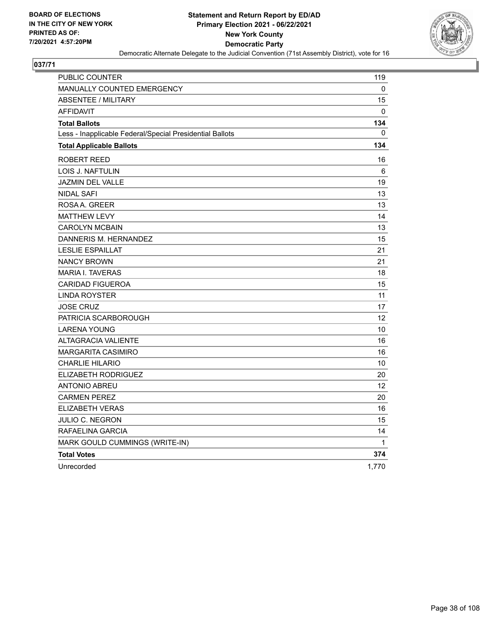

| PUBLIC COUNTER                                           | 119               |
|----------------------------------------------------------|-------------------|
| <b>MANUALLY COUNTED EMERGENCY</b>                        | 0                 |
| <b>ABSENTEE / MILITARY</b>                               | 15                |
| <b>AFFIDAVIT</b>                                         | 0                 |
| <b>Total Ballots</b>                                     | 134               |
| Less - Inapplicable Federal/Special Presidential Ballots | 0                 |
| <b>Total Applicable Ballots</b>                          | 134               |
| <b>ROBERT REED</b>                                       | 16                |
| LOIS J. NAFTULIN                                         | 6                 |
| JAZMIN DEL VALLE                                         | 19                |
| <b>NIDAL SAFI</b>                                        | 13                |
| ROSA A. GREER                                            | 13                |
| <b>MATTHEW LEVY</b>                                      | 14                |
| <b>CAROLYN MCBAIN</b>                                    | 13                |
| DANNERIS M. HERNANDEZ                                    | 15                |
| <b>LESLIE ESPAILLAT</b>                                  | 21                |
| <b>NANCY BROWN</b>                                       | 21                |
| <b>MARIA I. TAVERAS</b>                                  | 18                |
| <b>CARIDAD FIGUEROA</b>                                  | 15                |
| <b>LINDA ROYSTER</b>                                     | 11                |
| <b>JOSE CRUZ</b>                                         | 17                |
| PATRICIA SCARBOROUGH                                     | 12                |
| <b>LARENA YOUNG</b>                                      | 10                |
| <b>ALTAGRACIA VALIENTE</b>                               | 16                |
| <b>MARGARITA CASIMIRO</b>                                | 16                |
| <b>CHARLIE HILARIO</b>                                   | 10                |
| ELIZABETH RODRIGUEZ                                      | 20                |
| <b>ANTONIO ABREU</b>                                     | $12 \overline{ }$ |
| <b>CARMEN PEREZ</b>                                      | 20                |
| <b>ELIZABETH VERAS</b>                                   | 16                |
| JULIO C. NEGRON                                          | 15                |
| RAFAELINA GARCIA                                         | 14                |
| MARK GOULD CUMMINGS (WRITE-IN)                           | 1                 |
| <b>Total Votes</b>                                       | 374               |
| Unrecorded                                               | 1,770             |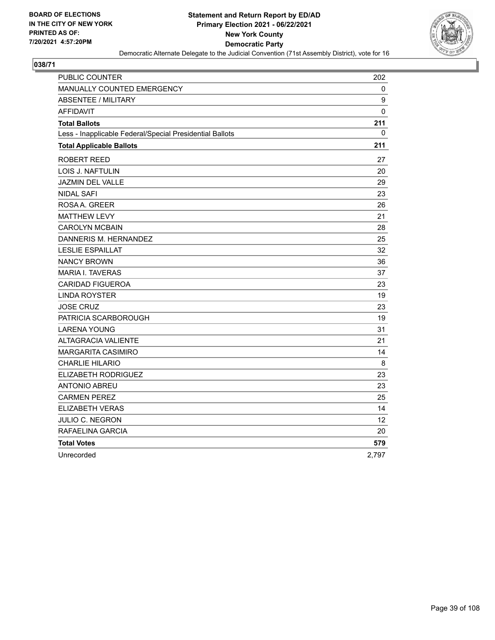

| PUBLIC COUNTER                                           | 202   |
|----------------------------------------------------------|-------|
| <b>MANUALLY COUNTED EMERGENCY</b>                        | 0     |
| <b>ABSENTEE / MILITARY</b>                               | 9     |
| AFFIDAVIT                                                | 0     |
| <b>Total Ballots</b>                                     | 211   |
| Less - Inapplicable Federal/Special Presidential Ballots | 0     |
| <b>Total Applicable Ballots</b>                          | 211   |
| ROBERT REED                                              | 27    |
| LOIS J. NAFTULIN                                         | 20    |
| <b>JAZMIN DEL VALLE</b>                                  | 29    |
| <b>NIDAL SAFI</b>                                        | 23    |
| ROSAA, GREER                                             | 26    |
| <b>MATTHEW LEVY</b>                                      | 21    |
| <b>CAROLYN MCBAIN</b>                                    | 28    |
| DANNERIS M. HERNANDEZ                                    | 25    |
| <b>LESLIE ESPAILLAT</b>                                  | 32    |
| <b>NANCY BROWN</b>                                       | 36    |
| <b>MARIA I. TAVERAS</b>                                  | 37    |
| <b>CARIDAD FIGUEROA</b>                                  | 23    |
| <b>LINDA ROYSTER</b>                                     | 19    |
| <b>JOSE CRUZ</b>                                         | 23    |
| PATRICIA SCARBOROUGH                                     | 19    |
| <b>LARENA YOUNG</b>                                      | 31    |
| <b>ALTAGRACIA VALIENTE</b>                               | 21    |
| MARGARITA CASIMIRO                                       | 14    |
| <b>CHARLIE HILARIO</b>                                   | 8     |
| ELIZABETH RODRIGUEZ                                      | 23    |
| <b>ANTONIO ABREU</b>                                     | 23    |
| <b>CARMEN PEREZ</b>                                      | 25    |
| <b>ELIZABETH VERAS</b>                                   | 14    |
| JULIO C. NEGRON                                          | 12    |
| RAFAELINA GARCIA                                         | 20    |
| <b>Total Votes</b>                                       | 579   |
| Unrecorded                                               | 2,797 |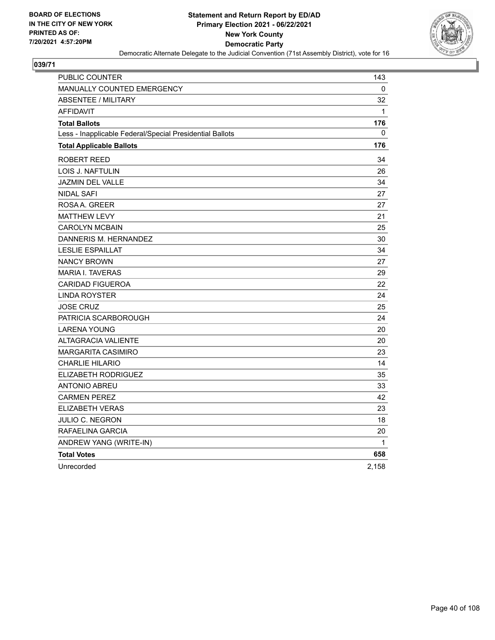

| PUBLIC COUNTER                                           | 143          |
|----------------------------------------------------------|--------------|
| <b>MANUALLY COUNTED EMERGENCY</b>                        | 0            |
| <b>ABSENTEE / MILITARY</b>                               | 32           |
| <b>AFFIDAVIT</b>                                         | $\mathbf{1}$ |
| <b>Total Ballots</b>                                     | 176          |
| Less - Inapplicable Federal/Special Presidential Ballots | 0            |
| <b>Total Applicable Ballots</b>                          | 176          |
| <b>ROBERT REED</b>                                       | 34           |
| LOIS J. NAFTULIN                                         | 26           |
| JAZMIN DEL VALLE                                         | 34           |
| <b>NIDAL SAFI</b>                                        | 27           |
| ROSA A. GREER                                            | 27           |
| <b>MATTHEW LEVY</b>                                      | 21           |
| <b>CAROLYN MCBAIN</b>                                    | 25           |
| DANNERIS M. HERNANDEZ                                    | 30           |
| <b>LESLIE ESPAILLAT</b>                                  | 34           |
| <b>NANCY BROWN</b>                                       | 27           |
| <b>MARIA I. TAVERAS</b>                                  | 29           |
| <b>CARIDAD FIGUEROA</b>                                  | 22           |
| <b>LINDA ROYSTER</b>                                     | 24           |
| <b>JOSE CRUZ</b>                                         | 25           |
| PATRICIA SCARBOROUGH                                     | 24           |
| <b>LARENA YOUNG</b>                                      | 20           |
| <b>ALTAGRACIA VALIENTE</b>                               | 20           |
| <b>MARGARITA CASIMIRO</b>                                | 23           |
| <b>CHARLIE HILARIO</b>                                   | 14           |
| <b>ELIZABETH RODRIGUEZ</b>                               | 35           |
| <b>ANTONIO ABREU</b>                                     | 33           |
| <b>CARMEN PEREZ</b>                                      | 42           |
| <b>ELIZABETH VERAS</b>                                   | 23           |
| JULIO C. NEGRON                                          | 18           |
| RAFAELINA GARCIA                                         | 20           |
| ANDREW YANG (WRITE-IN)                                   | 1            |
| <b>Total Votes</b>                                       | 658          |
| Unrecorded                                               | 2,158        |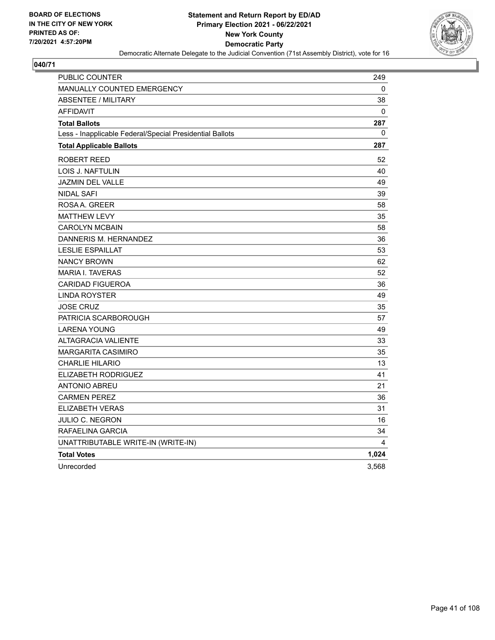

| PUBLIC COUNTER                                           | 249   |
|----------------------------------------------------------|-------|
| MANUALLY COUNTED EMERGENCY                               | 0     |
| <b>ABSENTEE / MILITARY</b>                               | 38    |
| <b>AFFIDAVIT</b>                                         | 0     |
| <b>Total Ballots</b>                                     | 287   |
| Less - Inapplicable Federal/Special Presidential Ballots | 0     |
| <b>Total Applicable Ballots</b>                          | 287   |
| ROBERT REED                                              | 52    |
| LOIS J. NAFTULIN                                         | 40    |
| <b>JAZMIN DEL VALLE</b>                                  | 49    |
| <b>NIDAL SAFI</b>                                        | 39    |
| ROSA A. GREER                                            | 58    |
| <b>MATTHEW LEVY</b>                                      | 35    |
| <b>CAROLYN MCBAIN</b>                                    | 58    |
| DANNERIS M. HERNANDEZ                                    | 36    |
| <b>LESLIE ESPAILLAT</b>                                  | 53    |
| <b>NANCY BROWN</b>                                       | 62    |
| <b>MARIA I. TAVERAS</b>                                  | 52    |
| <b>CARIDAD FIGUEROA</b>                                  | 36    |
| <b>LINDA ROYSTER</b>                                     | 49    |
| <b>JOSE CRUZ</b>                                         | 35    |
| PATRICIA SCARBOROUGH                                     | 57    |
| <b>LARENA YOUNG</b>                                      | 49    |
| ALTAGRACIA VALIENTE                                      | 33    |
| <b>MARGARITA CASIMIRO</b>                                | 35    |
| <b>CHARLIE HILARIO</b>                                   | 13    |
| ELIZABETH RODRIGUEZ                                      | 41    |
| <b>ANTONIO ABREU</b>                                     | 21    |
| <b>CARMEN PEREZ</b>                                      | 36    |
| <b>ELIZABETH VERAS</b>                                   | 31    |
| <b>JULIO C. NEGRON</b>                                   | 16    |
| RAFAELINA GARCIA                                         | 34    |
| UNATTRIBUTABLE WRITE-IN (WRITE-IN)                       | 4     |
| <b>Total Votes</b>                                       | 1,024 |
| Unrecorded                                               | 3,568 |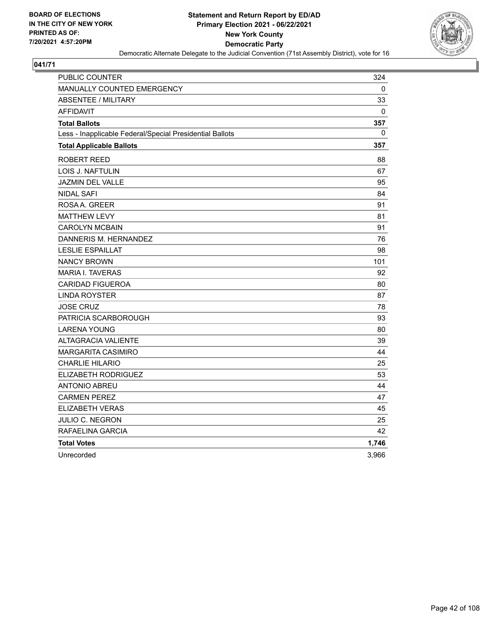

| PUBLIC COUNTER                                           | 324   |
|----------------------------------------------------------|-------|
| MANUALLY COUNTED EMERGENCY                               | 0     |
| <b>ABSENTEE / MILITARY</b>                               | 33    |
| <b>AFFIDAVIT</b>                                         | 0     |
| <b>Total Ballots</b>                                     | 357   |
| Less - Inapplicable Federal/Special Presidential Ballots | 0     |
| <b>Total Applicable Ballots</b>                          | 357   |
| ROBERT REED                                              | 88    |
| LOIS J. NAFTULIN                                         | 67    |
| JAZMIN DEL VALLE                                         | 95    |
| <b>NIDAL SAFI</b>                                        | 84    |
| ROSAA, GREER                                             | 91    |
| <b>MATTHEW LEVY</b>                                      | 81    |
| <b>CAROLYN MCBAIN</b>                                    | 91    |
| DANNERIS M. HERNANDEZ                                    | 76    |
| <b>LESLIE ESPAILLAT</b>                                  | 98    |
| <b>NANCY BROWN</b>                                       | 101   |
| <b>MARIA I. TAVERAS</b>                                  | 92    |
| <b>CARIDAD FIGUEROA</b>                                  | 80    |
| <b>LINDA ROYSTER</b>                                     | 87    |
| <b>JOSE CRUZ</b>                                         | 78    |
| PATRICIA SCARBOROUGH                                     | 93    |
| <b>LARENA YOUNG</b>                                      | 80    |
| <b>ALTAGRACIA VALIENTE</b>                               | 39    |
| <b>MARGARITA CASIMIRO</b>                                | 44    |
| <b>CHARLIE HILARIO</b>                                   | 25    |
| ELIZABETH RODRIGUEZ                                      | 53    |
| <b>ANTONIO ABREU</b>                                     | 44    |
| <b>CARMEN PEREZ</b>                                      | 47    |
| ELIZABETH VERAS                                          | 45    |
| JULIO C. NEGRON                                          | 25    |
| RAFAELINA GARCIA                                         | 42    |
| <b>Total Votes</b>                                       | 1,746 |
| Unrecorded                                               | 3,966 |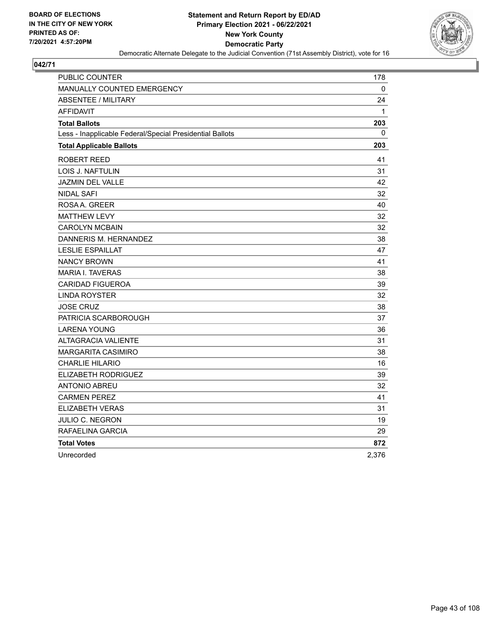

| PUBLIC COUNTER                                           | 178          |
|----------------------------------------------------------|--------------|
| MANUALLY COUNTED EMERGENCY                               | 0            |
| <b>ABSENTEE / MILITARY</b>                               | 24           |
| <b>AFFIDAVIT</b>                                         | $\mathbf{1}$ |
| <b>Total Ballots</b>                                     | 203          |
| Less - Inapplicable Federal/Special Presidential Ballots | 0            |
| <b>Total Applicable Ballots</b>                          | 203          |
| ROBERT REED                                              | 41           |
| LOIS J. NAFTULIN                                         | 31           |
| JAZMIN DEL VALLE                                         | 42           |
| <b>NIDAL SAFI</b>                                        | 32           |
| ROSAA, GREER                                             | 40           |
| <b>MATTHEW LEVY</b>                                      | 32           |
| <b>CAROLYN MCBAIN</b>                                    | 32           |
| DANNERIS M. HERNANDEZ                                    | 38           |
| <b>LESLIE ESPAILLAT</b>                                  | 47           |
| <b>NANCY BROWN</b>                                       | 41           |
| <b>MARIA I. TAVERAS</b>                                  | 38           |
| <b>CARIDAD FIGUEROA</b>                                  | 39           |
| <b>LINDA ROYSTER</b>                                     | 32           |
| <b>JOSE CRUZ</b>                                         | 38           |
| PATRICIA SCARBOROUGH                                     | 37           |
| <b>LARENA YOUNG</b>                                      | 36           |
| <b>ALTAGRACIA VALIENTE</b>                               | 31           |
| <b>MARGARITA CASIMIRO</b>                                | 38           |
| <b>CHARLIE HILARIO</b>                                   | 16           |
| ELIZABETH RODRIGUEZ                                      | 39           |
| <b>ANTONIO ABREU</b>                                     | 32           |
| <b>CARMEN PEREZ</b>                                      | 41           |
| <b>ELIZABETH VERAS</b>                                   | 31           |
| JULIO C. NEGRON                                          | 19           |
| RAFAELINA GARCIA                                         | 29           |
| <b>Total Votes</b>                                       | 872          |
| Unrecorded                                               | 2,376        |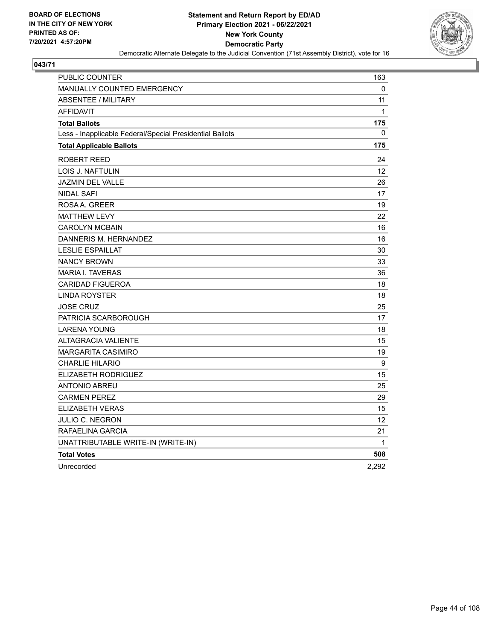

| PUBLIC COUNTER                                           | 163          |
|----------------------------------------------------------|--------------|
| <b>MANUALLY COUNTED EMERGENCY</b>                        | 0            |
| <b>ABSENTEE / MILITARY</b>                               | 11           |
| <b>AFFIDAVIT</b>                                         | $\mathbf{1}$ |
| <b>Total Ballots</b>                                     | 175          |
| Less - Inapplicable Federal/Special Presidential Ballots | 0            |
| <b>Total Applicable Ballots</b>                          | 175          |
| ROBERT REED                                              | 24           |
| <b>LOIS J. NAFTULIN</b>                                  | 12           |
| <b>JAZMIN DEL VALLE</b>                                  | 26           |
| <b>NIDAL SAFI</b>                                        | 17           |
| ROSAA, GREER                                             | 19           |
| <b>MATTHEW LEVY</b>                                      | 22           |
| <b>CAROLYN MCBAIN</b>                                    | 16           |
| DANNERIS M. HERNANDEZ                                    | 16           |
| <b>LESLIE ESPAILLAT</b>                                  | 30           |
| <b>NANCY BROWN</b>                                       | 33           |
| <b>MARIA I. TAVERAS</b>                                  | 36           |
| <b>CARIDAD FIGUEROA</b>                                  | 18           |
| <b>LINDA ROYSTER</b>                                     | 18           |
| <b>JOSE CRUZ</b>                                         | 25           |
| PATRICIA SCARBOROUGH                                     | 17           |
| LARENA YOUNG                                             | 18           |
| <b>ALTAGRACIA VALIENTE</b>                               | 15           |
| <b>MARGARITA CASIMIRO</b>                                | 19           |
| <b>CHARLIE HILARIO</b>                                   | 9            |
| ELIZABETH RODRIGUEZ                                      | 15           |
| <b>ANTONIO ABREU</b>                                     | 25           |
| <b>CARMEN PEREZ</b>                                      | 29           |
| ELIZABETH VERAS                                          | 15           |
| JULIO C. NEGRON                                          | 12           |
| RAFAELINA GARCIA                                         | 21           |
| UNATTRIBUTABLE WRITE-IN (WRITE-IN)                       | 1            |
| <b>Total Votes</b>                                       | 508          |
| Unrecorded                                               | 2,292        |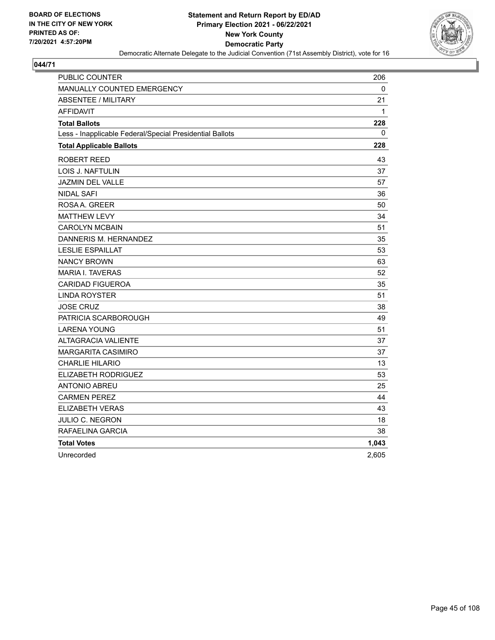

| PUBLIC COUNTER                                           | 206   |
|----------------------------------------------------------|-------|
| <b>MANUALLY COUNTED EMERGENCY</b>                        | 0     |
| <b>ABSENTEE / MILITARY</b>                               | 21    |
| <b>AFFIDAVIT</b>                                         | 1     |
| <b>Total Ballots</b>                                     | 228   |
| Less - Inapplicable Federal/Special Presidential Ballots | 0     |
| <b>Total Applicable Ballots</b>                          | 228   |
| ROBERT REED                                              | 43    |
| LOIS J. NAFTULIN                                         | 37    |
| JAZMIN DEL VALLE                                         | 57    |
| <b>NIDAL SAFI</b>                                        | 36    |
| ROSA A. GREER                                            | 50    |
| <b>MATTHEW LEVY</b>                                      | 34    |
| <b>CAROLYN MCBAIN</b>                                    | 51    |
| DANNERIS M. HERNANDEZ                                    | 35    |
| <b>LESLIE ESPAILLAT</b>                                  | 53    |
| <b>NANCY BROWN</b>                                       | 63    |
| <b>MARIA I. TAVERAS</b>                                  | 52    |
| <b>CARIDAD FIGUEROA</b>                                  | 35    |
| <b>LINDA ROYSTER</b>                                     | 51    |
| <b>JOSE CRUZ</b>                                         | 38    |
| PATRICIA SCARBOROUGH                                     | 49    |
| <b>LARENA YOUNG</b>                                      | 51    |
| <b>ALTAGRACIA VALIENTE</b>                               | 37    |
| MARGARITA CASIMIRO                                       | 37    |
| <b>CHARLIE HILARIO</b>                                   | 13    |
| ELIZABETH RODRIGUEZ                                      | 53    |
| <b>ANTONIO ABREU</b>                                     | 25    |
| <b>CARMEN PEREZ</b>                                      | 44    |
| <b>ELIZABETH VERAS</b>                                   | 43    |
| JULIO C. NEGRON                                          | 18    |
| RAFAELINA GARCIA                                         | 38    |
| <b>Total Votes</b>                                       | 1,043 |
| Unrecorded                                               | 2,605 |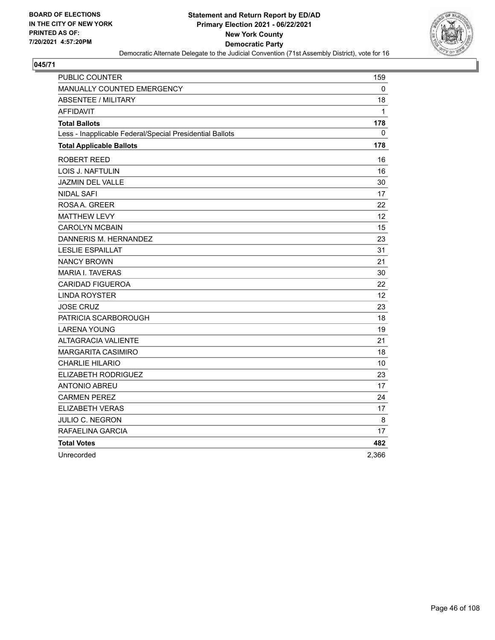

| PUBLIC COUNTER                                           | 159             |
|----------------------------------------------------------|-----------------|
| MANUALLY COUNTED EMERGENCY                               | $\mathbf 0$     |
| <b>ABSENTEE / MILITARY</b>                               | 18              |
| <b>AFFIDAVIT</b>                                         | 1               |
| <b>Total Ballots</b>                                     | 178             |
| Less - Inapplicable Federal/Special Presidential Ballots | 0               |
| <b>Total Applicable Ballots</b>                          | 178             |
| ROBERT REED                                              | 16              |
| <b>LOIS J. NAFTULIN</b>                                  | 16              |
| JAZMIN DEL VALLE                                         | 30              |
| <b>NIDAL SAFI</b>                                        | 17              |
| ROSA A. GREER                                            | 22              |
| <b>MATTHEW LEVY</b>                                      | 12              |
| <b>CAROLYN MCBAIN</b>                                    | 15              |
| DANNERIS M. HERNANDEZ                                    | 23              |
| <b>LESLIE ESPAILLAT</b>                                  | 31              |
| <b>NANCY BROWN</b>                                       | 21              |
| <b>MARIA I. TAVERAS</b>                                  | 30              |
| <b>CARIDAD FIGUEROA</b>                                  | 22              |
| LINDA ROYSTER                                            | 12 <sup>2</sup> |
| <b>JOSE CRUZ</b>                                         | 23              |
| PATRICIA SCARBOROUGH                                     | 18              |
| <b>LARENA YOUNG</b>                                      | 19              |
| <b>ALTAGRACIA VALIENTE</b>                               | 21              |
| <b>MARGARITA CASIMIRO</b>                                | 18              |
| <b>CHARLIE HILARIO</b>                                   | 10              |
| ELIZABETH RODRIGUEZ                                      | 23              |
| <b>ANTONIO ABREU</b>                                     | 17              |
| <b>CARMEN PEREZ</b>                                      | 24              |
| ELIZABETH VERAS                                          | 17              |
| JULIO C. NEGRON                                          | 8               |
| RAFAELINA GARCIA                                         | 17              |
| <b>Total Votes</b>                                       | 482             |
| Unrecorded                                               | 2.366           |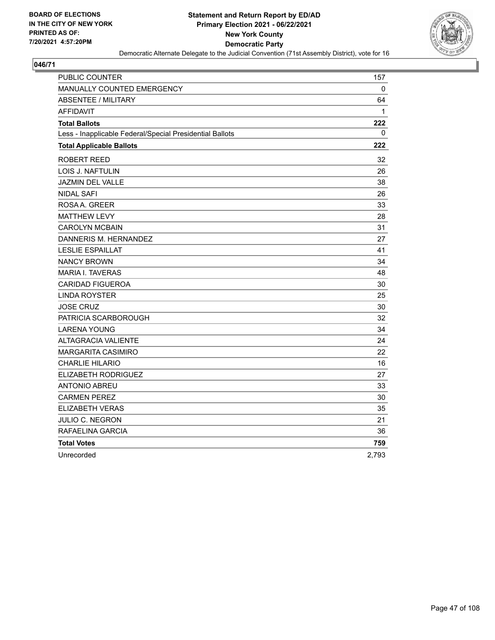

| <b>PUBLIC COUNTER</b>                                    | 157   |
|----------------------------------------------------------|-------|
| <b>MANUALLY COUNTED EMERGENCY</b>                        | 0     |
| <b>ABSENTEE / MILITARY</b>                               | 64    |
| <b>AFFIDAVIT</b>                                         | 1     |
| <b>Total Ballots</b>                                     | 222   |
| Less - Inapplicable Federal/Special Presidential Ballots | 0     |
| <b>Total Applicable Ballots</b>                          | 222   |
| ROBERT REED                                              | 32    |
| LOIS J. NAFTULIN                                         | 26    |
| <b>JAZMIN DEL VALLE</b>                                  | 38    |
| <b>NIDAL SAFI</b>                                        | 26    |
| ROSAA. GREER                                             | 33    |
| <b>MATTHEW LEVY</b>                                      | 28    |
| <b>CAROLYN MCBAIN</b>                                    | 31    |
| DANNERIS M. HERNANDEZ                                    | 27    |
| <b>LESLIE ESPAILLAT</b>                                  | 41    |
| <b>NANCY BROWN</b>                                       | 34    |
| <b>MARIA I. TAVERAS</b>                                  | 48    |
| <b>CARIDAD FIGUEROA</b>                                  | 30    |
| <b>LINDA ROYSTER</b>                                     | 25    |
| <b>JOSE CRUZ</b>                                         | 30    |
| PATRICIA SCARBOROUGH                                     | 32    |
| <b>LARENA YOUNG</b>                                      | 34    |
| <b>ALTAGRACIA VALIENTE</b>                               | 24    |
| <b>MARGARITA CASIMIRO</b>                                | 22    |
| <b>CHARLIE HILARIO</b>                                   | 16    |
| ELIZABETH RODRIGUEZ                                      | 27    |
| <b>ANTONIO ABREU</b>                                     | 33    |
| <b>CARMEN PEREZ</b>                                      | 30    |
| <b>ELIZABETH VERAS</b>                                   | 35    |
| <b>JULIO C. NEGRON</b>                                   | 21    |
| RAFAELINA GARCIA                                         | 36    |
| <b>Total Votes</b>                                       | 759   |
| Unrecorded                                               | 2,793 |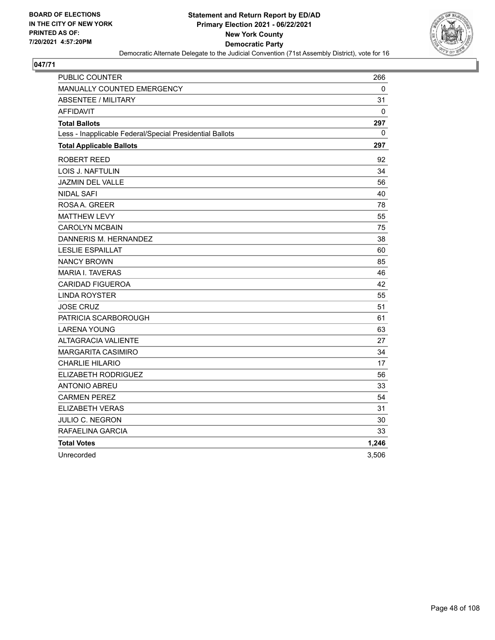

| PUBLIC COUNTER                                           | 266   |
|----------------------------------------------------------|-------|
| <b>MANUALLY COUNTED EMERGENCY</b>                        | 0     |
| <b>ABSENTEE / MILITARY</b>                               | 31    |
| <b>AFFIDAVIT</b>                                         | 0     |
| <b>Total Ballots</b>                                     | 297   |
| Less - Inapplicable Federal/Special Presidential Ballots | 0     |
| <b>Total Applicable Ballots</b>                          | 297   |
| ROBERT REED                                              | 92    |
| <b>LOIS J. NAFTULIN</b>                                  | 34    |
| <b>JAZMIN DEL VALLE</b>                                  | 56    |
| <b>NIDAL SAFI</b>                                        | 40    |
| ROSAA, GREER                                             | 78    |
| <b>MATTHEW LEVY</b>                                      | 55    |
| <b>CAROLYN MCBAIN</b>                                    | 75    |
| DANNERIS M. HERNANDEZ                                    | 38    |
| <b>LESLIE ESPAILLAT</b>                                  | 60    |
| <b>NANCY BROWN</b>                                       | 85    |
| <b>MARIA I. TAVERAS</b>                                  | 46    |
| <b>CARIDAD FIGUEROA</b>                                  | 42    |
| <b>LINDA ROYSTER</b>                                     | 55    |
| <b>JOSE CRUZ</b>                                         | 51    |
| PATRICIA SCARBOROUGH                                     | 61    |
| <b>LARENA YOUNG</b>                                      | 63    |
| <b>ALTAGRACIA VALIENTE</b>                               | 27    |
| MARGARITA CASIMIRO                                       | 34    |
| <b>CHARLIE HILARIO</b>                                   | 17    |
| ELIZABETH RODRIGUEZ                                      | 56    |
| ANTONIO ABREU                                            | 33    |
| <b>CARMEN PEREZ</b>                                      | 54    |
| <b>ELIZABETH VERAS</b>                                   | 31    |
| JULIO C. NEGRON                                          | 30    |
| RAFAELINA GARCIA                                         | 33    |
| <b>Total Votes</b>                                       | 1,246 |
| Unrecorded                                               | 3,506 |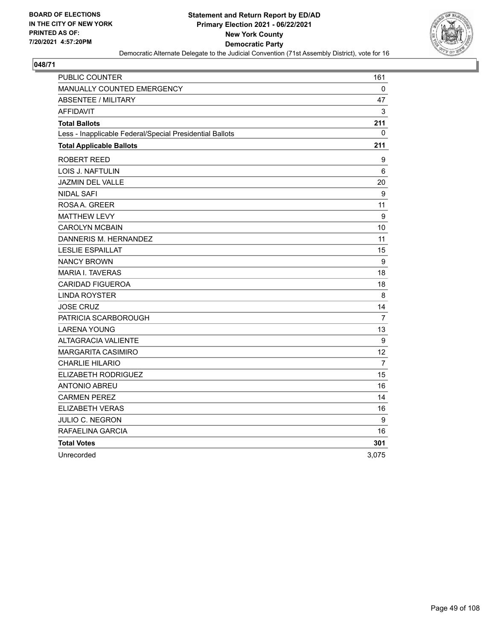

| PUBLIC COUNTER                                           | 161            |
|----------------------------------------------------------|----------------|
| MANUALLY COUNTED EMERGENCY                               | $\mathbf{0}$   |
| <b>ABSENTEE / MILITARY</b>                               | 47             |
| <b>AFFIDAVIT</b>                                         | $\mathsf 3$    |
| <b>Total Ballots</b>                                     | 211            |
| Less - Inapplicable Federal/Special Presidential Ballots | 0              |
| <b>Total Applicable Ballots</b>                          | 211            |
| ROBERT REED                                              | 9              |
| LOIS J. NAFTULIN                                         | 6              |
| <b>JAZMIN DEL VALLE</b>                                  | 20             |
| <b>NIDAL SAFI</b>                                        | 9              |
| ROSAA, GREER                                             | 11             |
| <b>MATTHEW LEVY</b>                                      | 9              |
| <b>CAROLYN MCBAIN</b>                                    | 10             |
| DANNERIS M. HERNANDEZ                                    | 11             |
| <b>LESLIE ESPAILLAT</b>                                  | 15             |
| <b>NANCY BROWN</b>                                       | 9              |
| <b>MARIA I. TAVERAS</b>                                  | 18             |
| <b>CARIDAD FIGUEROA</b>                                  | 18             |
| <b>LINDA ROYSTER</b>                                     | 8              |
| <b>JOSE CRUZ</b>                                         | 14             |
| PATRICIA SCARBOROUGH                                     | $\overline{7}$ |
| <b>LARENA YOUNG</b>                                      | 13             |
| <b>ALTAGRACIA VALIENTE</b>                               | 9              |
| <b>MARGARITA CASIMIRO</b>                                | 12             |
| <b>CHARLIE HILARIO</b>                                   | $\overline{7}$ |
| ELIZABETH RODRIGUEZ                                      | 15             |
| ANTONIO ABREU                                            | 16             |
| <b>CARMEN PEREZ</b>                                      | 14             |
| <b>ELIZABETH VERAS</b>                                   | 16             |
| JULIO C. NEGRON                                          | 9              |
| RAFAELINA GARCIA                                         | 16             |
| <b>Total Votes</b>                                       | 301            |
| Unrecorded                                               | 3,075          |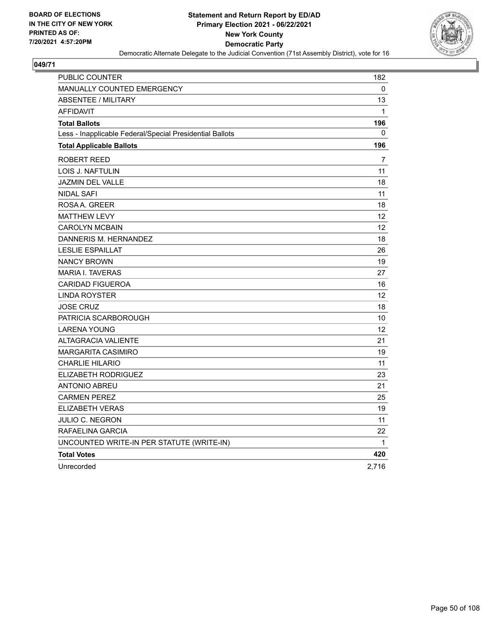

| <b>PUBLIC COUNTER</b>                                    | 182               |
|----------------------------------------------------------|-------------------|
| <b>MANUALLY COUNTED EMERGENCY</b>                        | 0                 |
| <b>ABSENTEE / MILITARY</b>                               | 13                |
| <b>AFFIDAVIT</b>                                         | $\mathbf{1}$      |
| <b>Total Ballots</b>                                     | 196               |
| Less - Inapplicable Federal/Special Presidential Ballots | 0                 |
| <b>Total Applicable Ballots</b>                          | 196               |
| ROBERT REED                                              | 7                 |
| <b>LOIS J. NAFTULIN</b>                                  | 11                |
| JAZMIN DEL VALLE                                         | 18                |
| <b>NIDAL SAFI</b>                                        | 11                |
| ROSAA, GREER                                             | 18                |
| <b>MATTHEW LEVY</b>                                      | $12 \overline{ }$ |
| <b>CAROLYN MCBAIN</b>                                    | 12 <sup>2</sup>   |
| DANNERIS M. HERNANDEZ                                    | 18                |
| <b>LESLIE ESPAILLAT</b>                                  | 26                |
| <b>NANCY BROWN</b>                                       | 19                |
| <b>MARIA I. TAVERAS</b>                                  | 27                |
| <b>CARIDAD FIGUEROA</b>                                  | 16                |
| <b>LINDA ROYSTER</b>                                     | 12                |
| <b>JOSE CRUZ</b>                                         | 18                |
| PATRICIA SCARBOROUGH                                     | 10                |
| <b>LARENA YOUNG</b>                                      | 12                |
| <b>ALTAGRACIA VALIENTE</b>                               | 21                |
| <b>MARGARITA CASIMIRO</b>                                | 19                |
| <b>CHARLIE HILARIO</b>                                   | 11                |
| ELIZABETH RODRIGUEZ                                      | 23                |
| <b>ANTONIO ABREU</b>                                     | 21                |
| <b>CARMEN PEREZ</b>                                      | 25                |
| <b>ELIZABETH VERAS</b>                                   | 19                |
| JULIO C. NEGRON                                          | 11                |
| RAFAELINA GARCIA                                         | 22                |
| UNCOUNTED WRITE-IN PER STATUTE (WRITE-IN)                | $\mathbf{1}$      |
| <b>Total Votes</b>                                       | 420               |
| Unrecorded                                               | 2,716             |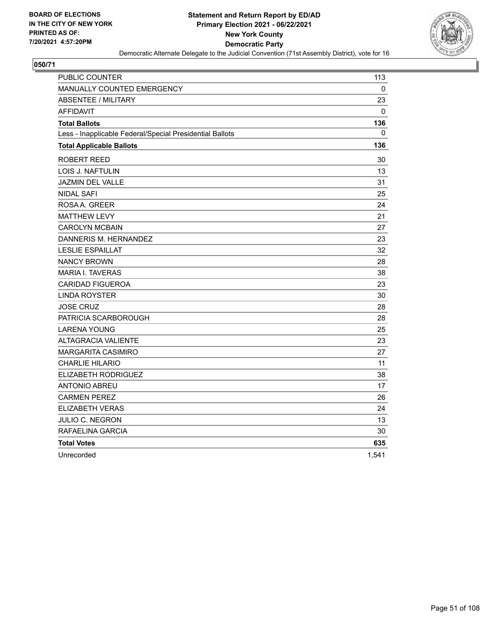

| PUBLIC COUNTER                                           | 113   |
|----------------------------------------------------------|-------|
| <b>MANUALLY COUNTED EMERGENCY</b>                        | 0     |
| <b>ABSENTEE / MILITARY</b>                               | 23    |
| <b>AFFIDAVIT</b>                                         | 0     |
| <b>Total Ballots</b>                                     | 136   |
| Less - Inapplicable Federal/Special Presidential Ballots | 0     |
| <b>Total Applicable Ballots</b>                          | 136   |
| ROBERT REED                                              | 30    |
| <b>LOIS J. NAFTULIN</b>                                  | 13    |
| <b>JAZMIN DEL VALLE</b>                                  | 31    |
| <b>NIDAL SAFI</b>                                        | 25    |
| ROSAA, GREER                                             | 24    |
| <b>MATTHEW LEVY</b>                                      | 21    |
| <b>CAROLYN MCBAIN</b>                                    | 27    |
| DANNERIS M. HERNANDEZ                                    | 23    |
| <b>LESLIE ESPAILLAT</b>                                  | 32    |
| <b>NANCY BROWN</b>                                       | 28    |
| <b>MARIA I. TAVERAS</b>                                  | 38    |
| <b>CARIDAD FIGUEROA</b>                                  | 23    |
| <b>LINDA ROYSTER</b>                                     | 30    |
| <b>JOSE CRUZ</b>                                         | 28    |
| PATRICIA SCARBOROUGH                                     | 28    |
| <b>LARENA YOUNG</b>                                      | 25    |
| <b>ALTAGRACIA VALIENTE</b>                               | 23    |
| MARGARITA CASIMIRO                                       | 27    |
| <b>CHARLIE HILARIO</b>                                   | 11    |
| ELIZABETH RODRIGUEZ                                      | 38    |
| ANTONIO ABREU                                            | 17    |
| <b>CARMEN PEREZ</b>                                      | 26    |
| <b>ELIZABETH VERAS</b>                                   | 24    |
| JULIO C. NEGRON                                          | 13    |
| RAFAELINA GARCIA                                         | 30    |
| <b>Total Votes</b>                                       | 635   |
| Unrecorded                                               | 1,541 |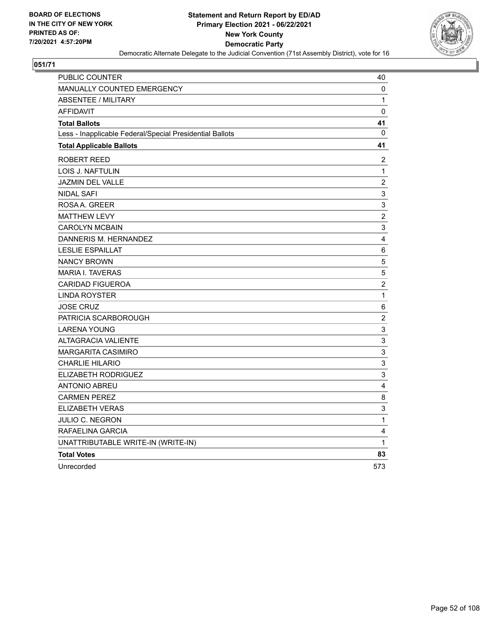

| <b>PUBLIC COUNTER</b>                                    | 40                        |
|----------------------------------------------------------|---------------------------|
| <b>MANUALLY COUNTED EMERGENCY</b>                        | 0                         |
| <b>ABSENTEE / MILITARY</b>                               | 1                         |
| <b>AFFIDAVIT</b>                                         | 0                         |
| <b>Total Ballots</b>                                     | 41                        |
| Less - Inapplicable Federal/Special Presidential Ballots | 0                         |
| <b>Total Applicable Ballots</b>                          | 41                        |
| ROBERT REED                                              | 2                         |
| LOIS J. NAFTULIN                                         | $\mathbf{1}$              |
| <b>JAZMIN DEL VALLE</b>                                  | $\boldsymbol{2}$          |
| <b>NIDAL SAFI</b>                                        | 3                         |
| ROSA A. GREER                                            | 3                         |
| <b>MATTHEW LEVY</b>                                      | $\sqrt{2}$                |
| <b>CAROLYN MCBAIN</b>                                    | 3                         |
| DANNERIS M. HERNANDEZ                                    | $\overline{\mathbf{4}}$   |
| <b>LESLIE ESPAILLAT</b>                                  | $\,6\,$                   |
| <b>NANCY BROWN</b>                                       | $\sqrt{5}$                |
| <b>MARIA I. TAVERAS</b>                                  | 5                         |
| <b>CARIDAD FIGUEROA</b>                                  | $\overline{\mathbf{c}}$   |
| <b>LINDA ROYSTER</b>                                     | $\mathbf 1$               |
| <b>JOSE CRUZ</b>                                         | $\,6\,$                   |
| PATRICIA SCARBOROUGH                                     | $\boldsymbol{2}$          |
| <b>LARENA YOUNG</b>                                      | 3                         |
| <b>ALTAGRACIA VALIENTE</b>                               | $\ensuremath{\mathsf{3}}$ |
| <b>MARGARITA CASIMIRO</b>                                | 3                         |
| <b>CHARLIE HILARIO</b>                                   | $\mathsf 3$               |
| ELIZABETH RODRIGUEZ                                      | $\mathsf 3$               |
| <b>ANTONIO ABREU</b>                                     | 4                         |
| <b>CARMEN PEREZ</b>                                      | 8                         |
| ELIZABETH VERAS                                          | 3                         |
| JULIO C. NEGRON                                          | $\mathbf{1}$              |
| RAFAELINA GARCIA                                         | 4                         |
| UNATTRIBUTABLE WRITE-IN (WRITE-IN)                       | 1                         |
| <b>Total Votes</b>                                       | 83                        |
| Unrecorded                                               | 573                       |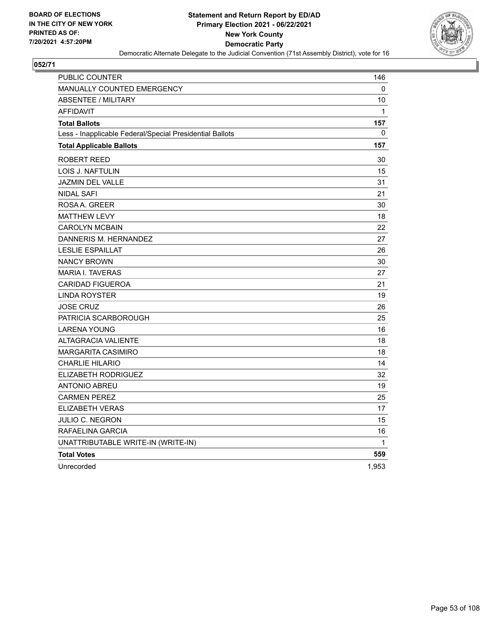

| PUBLIC COUNTER                                           | 146          |
|----------------------------------------------------------|--------------|
| <b>MANUALLY COUNTED EMERGENCY</b>                        | 0            |
| <b>ABSENTEE / MILITARY</b>                               | 10           |
| <b>AFFIDAVIT</b>                                         | $\mathbf{1}$ |
| <b>Total Ballots</b>                                     | 157          |
| Less - Inapplicable Federal/Special Presidential Ballots | 0            |
| <b>Total Applicable Ballots</b>                          | 157          |
| <b>ROBERT REED</b>                                       | 30           |
| LOIS J. NAFTULIN                                         | 15           |
| <b>JAZMIN DEL VALLE</b>                                  | 31           |
| NIDAL SAFI                                               | 21           |
| ROSAA, GREER                                             | 30           |
| <b>MATTHEW LEVY</b>                                      | 18           |
| <b>CAROLYN MCBAIN</b>                                    | 22           |
| DANNERIS M. HERNANDEZ                                    | 27           |
| <b>LESLIE ESPAILLAT</b>                                  | 26           |
| <b>NANCY BROWN</b>                                       | 30           |
| <b>MARIA I. TAVERAS</b>                                  | 27           |
| <b>CARIDAD FIGUEROA</b>                                  | 21           |
| <b>LINDA ROYSTER</b>                                     | 19           |
| <b>JOSE CRUZ</b>                                         | 26           |
| PATRICIA SCARBOROUGH                                     | 25           |
| <b>LARENA YOUNG</b>                                      | 16           |
| <b>ALTAGRACIA VALIENTE</b>                               | 18           |
| <b>MARGARITA CASIMIRO</b>                                | 18           |
| <b>CHARLIE HILARIO</b>                                   | 14           |
| ELIZABETH RODRIGUEZ                                      | 32           |
| <b>ANTONIO ABREU</b>                                     | 19           |
| <b>CARMEN PEREZ</b>                                      | 25           |
| <b>ELIZABETH VERAS</b>                                   | 17           |
| JULIO C. NEGRON                                          | 15           |
| RAFAELINA GARCIA                                         | 16           |
| UNATTRIBUTABLE WRITE-IN (WRITE-IN)                       | $\mathbf{1}$ |
| <b>Total Votes</b>                                       | 559          |
| Unrecorded                                               | 1,953        |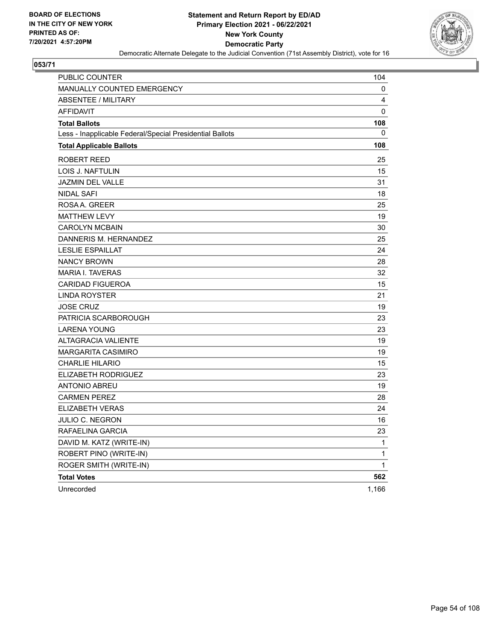

| PUBLIC COUNTER                                           | 104         |
|----------------------------------------------------------|-------------|
| <b>MANUALLY COUNTED EMERGENCY</b>                        | 0           |
| <b>ABSENTEE / MILITARY</b>                               | 4           |
| <b>AFFIDAVIT</b>                                         | 0           |
| <b>Total Ballots</b>                                     | 108         |
| Less - Inapplicable Federal/Special Presidential Ballots | 0           |
| <b>Total Applicable Ballots</b>                          | 108         |
| ROBERT REED                                              | 25          |
| LOIS J. NAFTULIN                                         | 15          |
| <b>JAZMIN DEL VALLE</b>                                  | 31          |
| <b>NIDAL SAFI</b>                                        | 18          |
| ROSA A. GREER                                            | 25          |
| <b>MATTHEW LEVY</b>                                      | 19          |
| <b>CAROLYN MCBAIN</b>                                    | 30          |
| DANNERIS M. HERNANDEZ                                    | 25          |
| <b>LESLIE ESPAILLAT</b>                                  | 24          |
| <b>NANCY BROWN</b>                                       | 28          |
| <b>MARIA I. TAVERAS</b>                                  | 32          |
| <b>CARIDAD FIGUEROA</b>                                  | 15          |
| LINDA ROYSTER                                            | 21          |
| <b>JOSE CRUZ</b>                                         | 19          |
| PATRICIA SCARBOROUGH                                     | 23          |
| <b>LARENA YOUNG</b>                                      | 23          |
| <b>ALTAGRACIA VALIENTE</b>                               | 19          |
| <b>MARGARITA CASIMIRO</b>                                | 19          |
| <b>CHARLIE HILARIO</b>                                   | 15          |
| ELIZABETH RODRIGUEZ                                      | 23          |
| <b>ANTONIO ABREU</b>                                     | 19          |
| <b>CARMEN PEREZ</b>                                      | 28          |
| <b>ELIZABETH VERAS</b>                                   | 24          |
| <b>JULIO C. NEGRON</b>                                   | 16          |
| RAFAELINA GARCIA                                         | 23          |
| DAVID M. KATZ (WRITE-IN)                                 | 1           |
| ROBERT PINO (WRITE-IN)                                   | 1           |
| ROGER SMITH (WRITE-IN)                                   | $\mathbf 1$ |
| <b>Total Votes</b>                                       | 562         |
| Unrecorded                                               | 1,166       |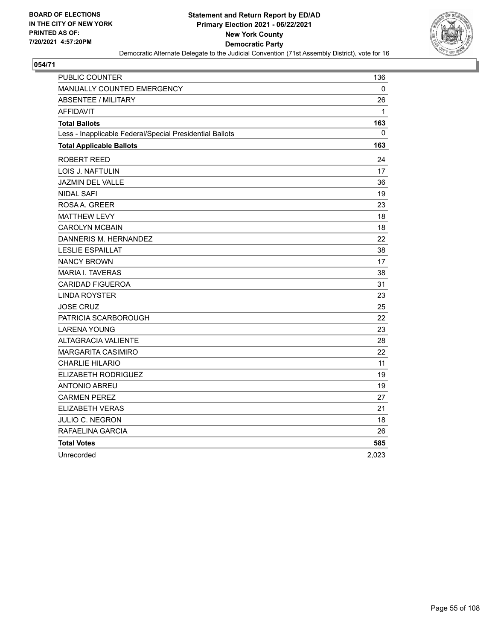

| PUBLIC COUNTER                                           | 136          |
|----------------------------------------------------------|--------------|
| MANUALLY COUNTED EMERGENCY                               | $\mathbf{0}$ |
| <b>ABSENTEE / MILITARY</b>                               | 26           |
| <b>AFFIDAVIT</b>                                         | 1            |
| <b>Total Ballots</b>                                     | 163          |
| Less - Inapplicable Federal/Special Presidential Ballots | 0            |
| <b>Total Applicable Ballots</b>                          | 163          |
| ROBERT REED                                              | 24           |
| LOIS J. NAFTULIN                                         | 17           |
| <b>JAZMIN DEL VALLE</b>                                  | 36           |
| <b>NIDAL SAFI</b>                                        | 19           |
| ROSA A. GREER                                            | 23           |
| <b>MATTHEW LEVY</b>                                      | 18           |
| <b>CAROLYN MCBAIN</b>                                    | 18           |
| DANNERIS M. HERNANDEZ                                    | 22           |
| <b>LESLIE ESPAILLAT</b>                                  | 38           |
| <b>NANCY BROWN</b>                                       | 17           |
| <b>MARIA I. TAVERAS</b>                                  | 38           |
| <b>CARIDAD FIGUEROA</b>                                  | 31           |
| <b>LINDA ROYSTER</b>                                     | 23           |
| <b>JOSE CRUZ</b>                                         | 25           |
| PATRICIA SCARBOROUGH                                     | 22           |
| <b>LARENA YOUNG</b>                                      | 23           |
| <b>ALTAGRACIA VALIENTE</b>                               | 28           |
| MARGARITA CASIMIRO                                       | 22           |
| <b>CHARLIE HILARIO</b>                                   | 11           |
| ELIZABETH RODRIGUEZ                                      | 19           |
| ANTONIO ABREU                                            | 19           |
| <b>CARMEN PEREZ</b>                                      | 27           |
| <b>ELIZABETH VERAS</b>                                   | 21           |
| JULIO C. NEGRON                                          | 18           |
| RAFAELINA GARCIA                                         | 26           |
| <b>Total Votes</b>                                       | 585          |
| Unrecorded                                               | 2,023        |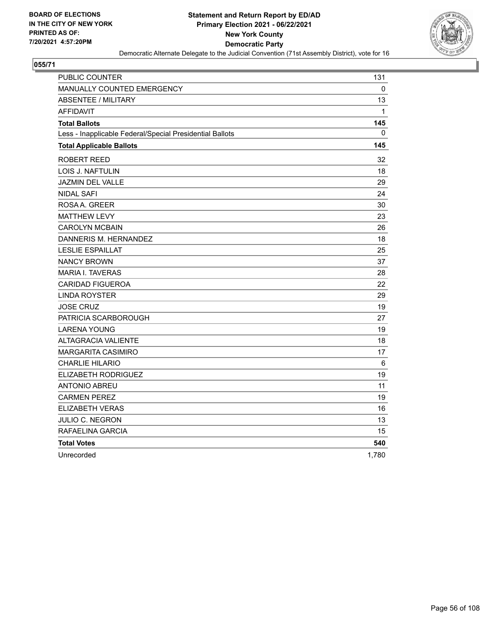

| PUBLIC COUNTER                                           | 131          |
|----------------------------------------------------------|--------------|
| MANUALLY COUNTED EMERGENCY                               | $\mathbf{0}$ |
| <b>ABSENTEE / MILITARY</b>                               | 13           |
| <b>AFFIDAVIT</b>                                         | 1            |
| <b>Total Ballots</b>                                     | 145          |
| Less - Inapplicable Federal/Special Presidential Ballots | 0            |
| <b>Total Applicable Ballots</b>                          | 145          |
| ROBERT REED                                              | 32           |
| LOIS J. NAFTULIN                                         | 18           |
| <b>JAZMIN DEL VALLE</b>                                  | 29           |
| <b>NIDAL SAFI</b>                                        | 24           |
| ROSAA. GREER                                             | 30           |
| <b>MATTHEW LEVY</b>                                      | 23           |
| <b>CAROLYN MCBAIN</b>                                    | 26           |
| DANNERIS M. HERNANDEZ                                    | 18           |
| <b>LESLIE ESPAILLAT</b>                                  | 25           |
| <b>NANCY BROWN</b>                                       | 37           |
| <b>MARIA I. TAVERAS</b>                                  | 28           |
| <b>CARIDAD FIGUEROA</b>                                  | 22           |
| <b>LINDA ROYSTER</b>                                     | 29           |
| <b>JOSE CRUZ</b>                                         | 19           |
| PATRICIA SCARBOROUGH                                     | 27           |
| <b>LARENA YOUNG</b>                                      | 19           |
| <b>ALTAGRACIA VALIENTE</b>                               | 18           |
| MARGARITA CASIMIRO                                       | 17           |
| <b>CHARLIE HILARIO</b>                                   | 6            |
| ELIZABETH RODRIGUEZ                                      | 19           |
| ANTONIO ABREU                                            | 11           |
| <b>CARMEN PEREZ</b>                                      | 19           |
| <b>ELIZABETH VERAS</b>                                   | 16           |
| JULIO C. NEGRON                                          | 13           |
| RAFAELINA GARCIA                                         | 15           |
| <b>Total Votes</b>                                       | 540          |
| Unrecorded                                               | 1,780        |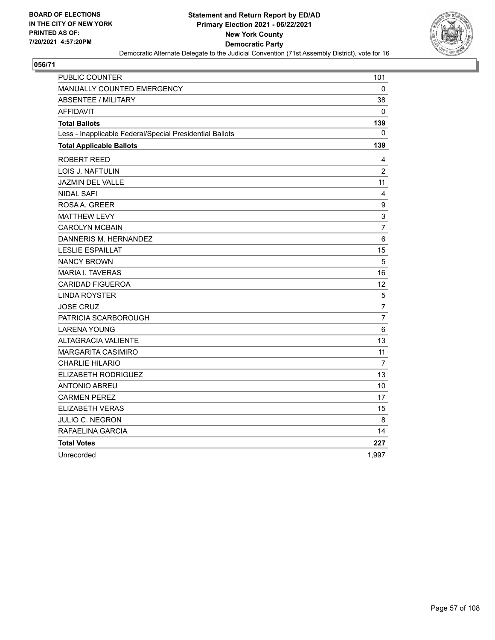

| PUBLIC COUNTER                                           | 101               |
|----------------------------------------------------------|-------------------|
| <b>MANUALLY COUNTED EMERGENCY</b>                        | 0                 |
| <b>ABSENTEE / MILITARY</b>                               | 38                |
| <b>AFFIDAVIT</b>                                         | 0                 |
| <b>Total Ballots</b>                                     | 139               |
| Less - Inapplicable Federal/Special Presidential Ballots | 0                 |
| <b>Total Applicable Ballots</b>                          | 139               |
| ROBERT REED                                              | 4                 |
| LOIS J. NAFTULIN                                         | $\overline{c}$    |
| <b>JAZMIN DEL VALLE</b>                                  | 11                |
| <b>NIDAL SAFI</b>                                        | 4                 |
| ROSAA. GREER                                             | $\boldsymbol{9}$  |
| <b>MATTHEW LEVY</b>                                      | 3                 |
| <b>CAROLYN MCBAIN</b>                                    | $\overline{7}$    |
| DANNERIS M. HERNANDEZ                                    | 6                 |
| <b>LESLIE ESPAILLAT</b>                                  | 15                |
| <b>NANCY BROWN</b>                                       | 5                 |
| <b>MARIA I. TAVERAS</b>                                  | 16                |
| <b>CARIDAD FIGUEROA</b>                                  | $12 \overline{ }$ |
| <b>LINDA ROYSTER</b>                                     | 5                 |
| <b>JOSE CRUZ</b>                                         | $\overline{7}$    |
| PATRICIA SCARBOROUGH                                     | $\overline{7}$    |
| <b>LARENA YOUNG</b>                                      | $\,6$             |
| <b>ALTAGRACIA VALIENTE</b>                               | 13                |
| MARGARITA CASIMIRO                                       | 11                |
| <b>CHARLIE HILARIO</b>                                   | $\overline{7}$    |
| ELIZABETH RODRIGUEZ                                      | 13                |
| <b>ANTONIO ABREU</b>                                     | 10                |
| <b>CARMEN PEREZ</b>                                      | 17                |
| <b>ELIZABETH VERAS</b>                                   | 15                |
| <b>JULIO C. NEGRON</b>                                   | 8                 |
| RAFAELINA GARCIA                                         | 14                |
| <b>Total Votes</b>                                       | 227               |
| Unrecorded                                               | 1,997             |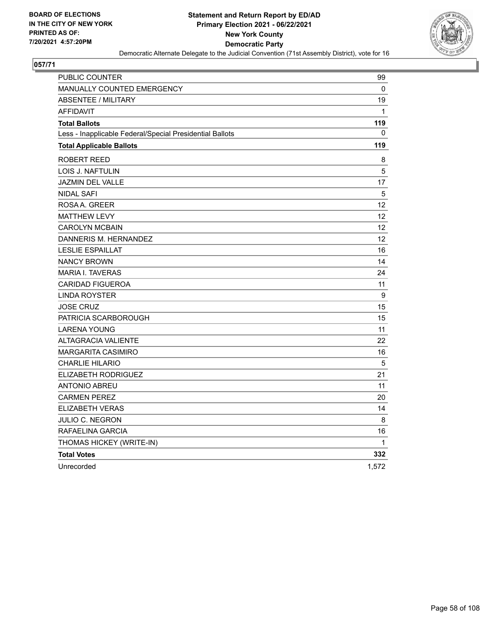

| <b>PUBLIC COUNTER</b>                                    | 99                |
|----------------------------------------------------------|-------------------|
| <b>MANUALLY COUNTED EMERGENCY</b>                        | 0                 |
| <b>ABSENTEE / MILITARY</b>                               | 19                |
| <b>AFFIDAVIT</b>                                         | $\mathbf{1}$      |
| <b>Total Ballots</b>                                     | 119               |
| Less - Inapplicable Federal/Special Presidential Ballots | 0                 |
| <b>Total Applicable Ballots</b>                          | 119               |
| <b>ROBERT REED</b>                                       | 8                 |
| LOIS J. NAFTULIN                                         | 5                 |
| <b>JAZMIN DEL VALLE</b>                                  | 17                |
| <b>NIDAL SAFI</b>                                        | 5                 |
| ROSAA, GREER                                             | $12 \overline{ }$ |
| <b>MATTHEW LEVY</b>                                      | $12 \overline{ }$ |
| <b>CAROLYN MCBAIN</b>                                    | 12                |
| DANNERIS M. HERNANDEZ                                    | 12                |
| <b>LESLIE ESPAILLAT</b>                                  | 16                |
| <b>NANCY BROWN</b>                                       | 14                |
| <b>MARIA I. TAVERAS</b>                                  | 24                |
| <b>CARIDAD FIGUEROA</b>                                  | 11                |
| <b>LINDA ROYSTER</b>                                     | 9                 |
| <b>JOSE CRUZ</b>                                         | 15                |
| PATRICIA SCARBOROUGH                                     | 15                |
| <b>LARENA YOUNG</b>                                      | 11                |
| ALTAGRACIA VALIENTE                                      | 22                |
| <b>MARGARITA CASIMIRO</b>                                | 16                |
| <b>CHARLIE HILARIO</b>                                   | $\overline{5}$    |
| <b>ELIZABETH RODRIGUEZ</b>                               | 21                |
| <b>ANTONIO ABREU</b>                                     | 11                |
| <b>CARMEN PEREZ</b>                                      | 20                |
| <b>ELIZABETH VERAS</b>                                   | 14                |
| <b>JULIO C. NEGRON</b>                                   | 8                 |
| RAFAELINA GARCIA                                         | 16                |
| THOMAS HICKEY (WRITE-IN)                                 | 1                 |
| <b>Total Votes</b>                                       | 332               |
| Unrecorded                                               | 1,572             |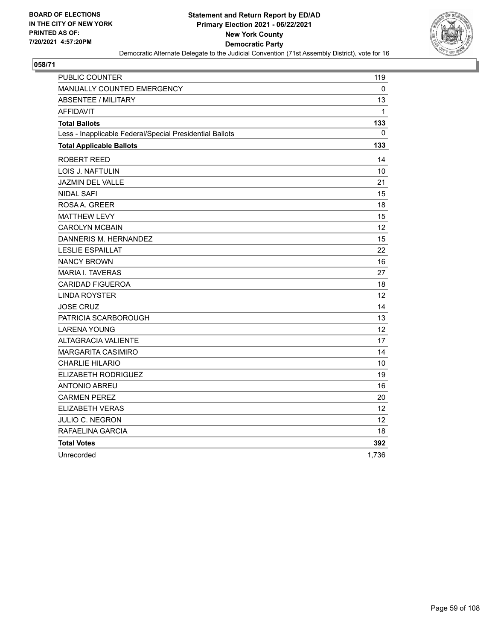

| PUBLIC COUNTER                                           | 119               |
|----------------------------------------------------------|-------------------|
| <b>MANUALLY COUNTED EMERGENCY</b>                        | $\Omega$          |
| <b>ABSENTEE / MILITARY</b>                               | 13                |
| <b>AFFIDAVIT</b>                                         | $\mathbf{1}$      |
| <b>Total Ballots</b>                                     | 133               |
| Less - Inapplicable Federal/Special Presidential Ballots | 0                 |
| <b>Total Applicable Ballots</b>                          | 133               |
| ROBERT REED                                              | 14                |
| LOIS J. NAFTULIN                                         | 10                |
| <b>JAZMIN DEL VALLE</b>                                  | 21                |
| NIDAL SAFI                                               | 15                |
| ROSAA, GREER                                             | 18                |
| <b>MATTHEW LEVY</b>                                      | 15                |
| <b>CAROLYN MCBAIN</b>                                    | $12 \overline{ }$ |
| DANNERIS M. HERNANDEZ                                    | 15                |
| <b>LESLIE ESPAILLAT</b>                                  | 22                |
| <b>NANCY BROWN</b>                                       | 16                |
| <b>MARIA I. TAVERAS</b>                                  | 27                |
| <b>CARIDAD FIGUEROA</b>                                  | 18                |
| <b>LINDA ROYSTER</b>                                     | 12 <sup>2</sup>   |
| <b>JOSE CRUZ</b>                                         | 14                |
| PATRICIA SCARBOROUGH                                     | 13                |
| <b>LARENA YOUNG</b>                                      | 12                |
| <b>ALTAGRACIA VALIENTE</b>                               | 17                |
| <b>MARGARITA CASIMIRO</b>                                | 14                |
| <b>CHARLIE HILARIO</b>                                   | 10                |
| <b>ELIZABETH RODRIGUEZ</b>                               | 19                |
| <b>ANTONIO ABREU</b>                                     | 16                |
| <b>CARMEN PEREZ</b>                                      | 20                |
| ELIZABETH VERAS                                          | 12                |
| JULIO C. NEGRON                                          | 12                |
| RAFAELINA GARCIA                                         | 18                |
| <b>Total Votes</b>                                       | 392               |
| Unrecorded                                               | 1.736             |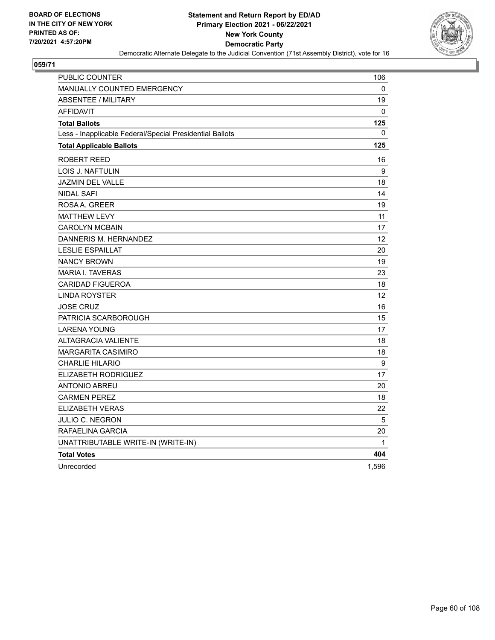

| PUBLIC COUNTER                                           | 106             |
|----------------------------------------------------------|-----------------|
| <b>MANUALLY COUNTED EMERGENCY</b>                        | 0               |
| <b>ABSENTEE / MILITARY</b>                               | 19              |
| <b>AFFIDAVIT</b>                                         | 0               |
| <b>Total Ballots</b>                                     | 125             |
| Less - Inapplicable Federal/Special Presidential Ballots | 0               |
| <b>Total Applicable Ballots</b>                          | 125             |
| ROBERT REED                                              | 16              |
| <b>LOIS J. NAFTULIN</b>                                  | 9               |
| <b>JAZMIN DEL VALLE</b>                                  | 18              |
| <b>NIDAL SAFI</b>                                        | 14              |
| ROSAA, GREER                                             | 19              |
| <b>MATTHEW LEVY</b>                                      | 11              |
| <b>CAROLYN MCBAIN</b>                                    | 17              |
| DANNERIS M. HERNANDEZ                                    | 12 <sup>2</sup> |
| <b>LESLIE ESPAILLAT</b>                                  | 20              |
| <b>NANCY BROWN</b>                                       | 19              |
| <b>MARIA I. TAVERAS</b>                                  | 23              |
| <b>CARIDAD FIGUEROA</b>                                  | 18              |
| LINDA ROYSTER                                            | 12              |
| <b>JOSE CRUZ</b>                                         | 16              |
| PATRICIA SCARBOROUGH                                     | 15              |
| <b>LARENA YOUNG</b>                                      | 17              |
| <b>ALTAGRACIA VALIENTE</b>                               | 18              |
| <b>MARGARITA CASIMIRO</b>                                | 18              |
| <b>CHARLIE HILARIO</b>                                   | 9               |
| <b>ELIZABETH RODRIGUEZ</b>                               | 17              |
| <b>ANTONIO ABREU</b>                                     | 20              |
| <b>CARMEN PEREZ</b>                                      | 18              |
| <b>ELIZABETH VERAS</b>                                   | 22              |
| JULIO C. NEGRON                                          | 5               |
| RAFAELINA GARCIA                                         | 20              |
| UNATTRIBUTABLE WRITE-IN (WRITE-IN)                       | $\mathbf 1$     |
| <b>Total Votes</b>                                       | 404             |
| Unrecorded                                               | 1,596           |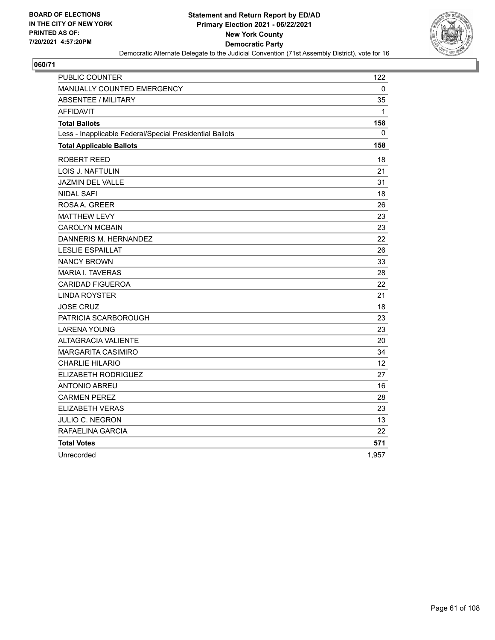

| PUBLIC COUNTER                                           | 122          |
|----------------------------------------------------------|--------------|
| <b>MANUALLY COUNTED EMERGENCY</b>                        | 0            |
| <b>ABSENTEE / MILITARY</b>                               | 35           |
| <b>AFFIDAVIT</b>                                         | $\mathbf{1}$ |
| <b>Total Ballots</b>                                     | 158          |
| Less - Inapplicable Federal/Special Presidential Ballots | 0            |
| <b>Total Applicable Ballots</b>                          | 158          |
| ROBERT REED                                              | 18           |
| LOIS J. NAFTULIN                                         | 21           |
| <b>JAZMIN DEL VALLE</b>                                  | 31           |
| NIDAL SAFI                                               | 18           |
| ROSAA, GREER                                             | 26           |
| <b>MATTHEW LEVY</b>                                      | 23           |
| <b>CAROLYN MCBAIN</b>                                    | 23           |
| DANNERIS M. HERNANDEZ                                    | 22           |
| <b>LESLIE ESPAILLAT</b>                                  | 26           |
| <b>NANCY BROWN</b>                                       | 33           |
| <b>MARIA I. TAVERAS</b>                                  | 28           |
| <b>CARIDAD FIGUEROA</b>                                  | 22           |
| <b>LINDA ROYSTER</b>                                     | 21           |
| <b>JOSE CRUZ</b>                                         | 18           |
| PATRICIA SCARBOROUGH                                     | 23           |
| <b>LARENA YOUNG</b>                                      | 23           |
| <b>ALTAGRACIA VALIENTE</b>                               | 20           |
| <b>MARGARITA CASIMIRO</b>                                | 34           |
| <b>CHARLIE HILARIO</b>                                   | 12           |
| <b>ELIZABETH RODRIGUEZ</b>                               | 27           |
| <b>ANTONIO ABREU</b>                                     | 16           |
| <b>CARMEN PEREZ</b>                                      | 28           |
| ELIZABETH VERAS                                          | 23           |
| JULIO C. NEGRON                                          | 13           |
| RAFAELINA GARCIA                                         | 22           |
| <b>Total Votes</b>                                       | 571          |
| Unrecorded                                               | 1,957        |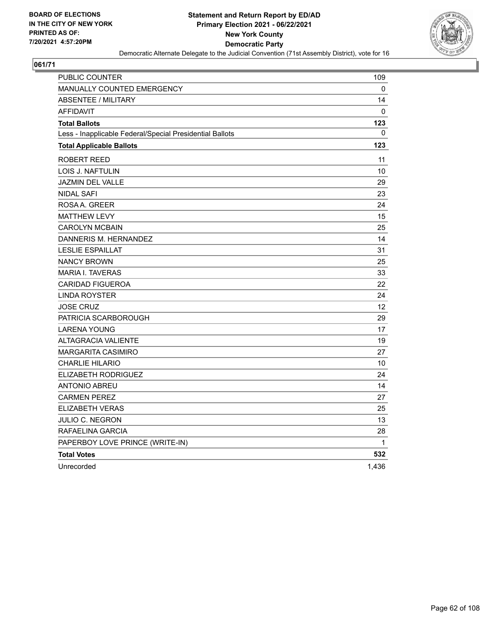

| PUBLIC COUNTER                                           | 109          |
|----------------------------------------------------------|--------------|
| <b>MANUALLY COUNTED EMERGENCY</b>                        | 0            |
| <b>ABSENTEE / MILITARY</b>                               | 14           |
| <b>AFFIDAVIT</b>                                         | $\Omega$     |
| <b>Total Ballots</b>                                     | 123          |
| Less - Inapplicable Federal/Special Presidential Ballots | $\mathbf{0}$ |
| <b>Total Applicable Ballots</b>                          | 123          |
| <b>ROBERT REED</b>                                       | 11           |
| LOIS J. NAFTULIN                                         | 10           |
| JAZMIN DEL VALLE                                         | 29           |
| <b>NIDAL SAFI</b>                                        | 23           |
| ROSAA, GREER                                             | 24           |
| <b>MATTHEW LEVY</b>                                      | 15           |
| <b>CAROLYN MCBAIN</b>                                    | 25           |
| DANNERIS M. HERNANDEZ                                    | 14           |
| <b>LESLIE ESPAILLAT</b>                                  | 31           |
| <b>NANCY BROWN</b>                                       | 25           |
| <b>MARIA I. TAVERAS</b>                                  | 33           |
| <b>CARIDAD FIGUEROA</b>                                  | 22           |
| <b>LINDA ROYSTER</b>                                     | 24           |
| <b>JOSE CRUZ</b>                                         | 12           |
| PATRICIA SCARBOROUGH                                     | 29           |
| <b>LARENA YOUNG</b>                                      | 17           |
| <b>ALTAGRACIA VALIENTE</b>                               | 19           |
| <b>MARGARITA CASIMIRO</b>                                | 27           |
| <b>CHARLIE HILARIO</b>                                   | 10           |
| <b>ELIZABETH RODRIGUEZ</b>                               | 24           |
| <b>ANTONIO ABREU</b>                                     | 14           |
| <b>CARMEN PEREZ</b>                                      | 27           |
| <b>ELIZABETH VERAS</b>                                   | 25           |
| JULIO C. NEGRON                                          | 13           |
| RAFAELINA GARCIA                                         | 28           |
| PAPERBOY LOVE PRINCE (WRITE-IN)                          | 1            |
| <b>Total Votes</b>                                       | 532          |
| Unrecorded                                               | 1,436        |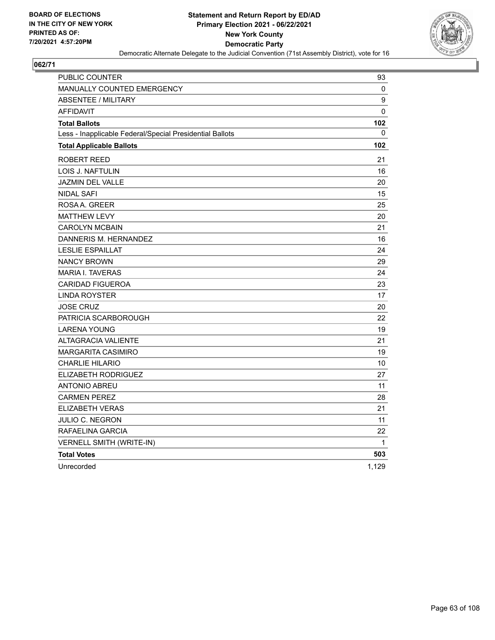

| PUBLIC COUNTER                                           | 93          |
|----------------------------------------------------------|-------------|
| <b>MANUALLY COUNTED EMERGENCY</b>                        | 0           |
| <b>ABSENTEE / MILITARY</b>                               | 9           |
| <b>AFFIDAVIT</b>                                         | $\Omega$    |
| <b>Total Ballots</b>                                     | 102         |
| Less - Inapplicable Federal/Special Presidential Ballots | 0           |
| <b>Total Applicable Ballots</b>                          | 102         |
| <b>ROBERT REED</b>                                       | 21          |
| LOIS J. NAFTULIN                                         | 16          |
| <b>JAZMIN DEL VALLE</b>                                  | 20          |
| <b>NIDAL SAFI</b>                                        | 15          |
| ROSAA, GREER                                             | 25          |
| <b>MATTHEW LEVY</b>                                      | 20          |
| <b>CAROLYN MCBAIN</b>                                    | 21          |
| DANNERIS M. HERNANDEZ                                    | 16          |
| <b>LESLIE ESPAILLAT</b>                                  | 24          |
| <b>NANCY BROWN</b>                                       | 29          |
| <b>MARIA I. TAVERAS</b>                                  | 24          |
| <b>CARIDAD FIGUEROA</b>                                  | 23          |
| <b>LINDA ROYSTER</b>                                     | 17          |
| <b>JOSE CRUZ</b>                                         | 20          |
| PATRICIA SCARBOROUGH                                     | 22          |
| <b>LARENA YOUNG</b>                                      | 19          |
| <b>ALTAGRACIA VALIENTE</b>                               | 21          |
| <b>MARGARITA CASIMIRO</b>                                | 19          |
| <b>CHARLIE HILARIO</b>                                   | 10          |
| ELIZABETH RODRIGUEZ                                      | 27          |
| <b>ANTONIO ABREU</b>                                     | 11          |
| <b>CARMEN PEREZ</b>                                      | 28          |
| <b>ELIZABETH VERAS</b>                                   | 21          |
| JULIO C. NEGRON                                          | 11          |
| RAFAELINA GARCIA                                         | 22          |
| VERNELL SMITH (WRITE-IN)                                 | $\mathbf 1$ |
| <b>Total Votes</b>                                       | 503         |
| Unrecorded                                               | 1,129       |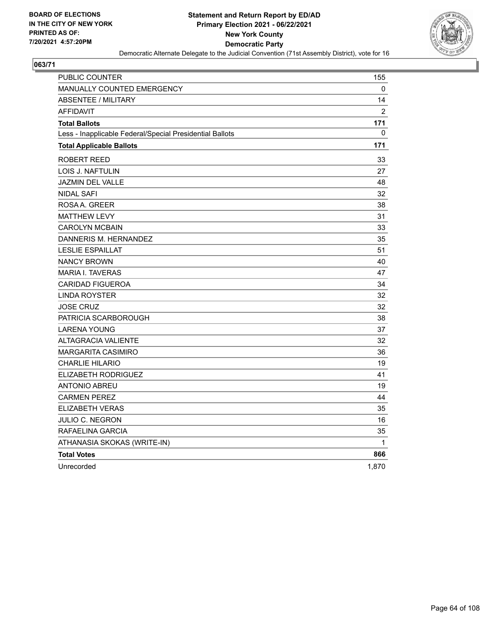

| PUBLIC COUNTER                                           | 155            |
|----------------------------------------------------------|----------------|
| <b>MANUALLY COUNTED EMERGENCY</b>                        | 0              |
| <b>ABSENTEE / MILITARY</b>                               | 14             |
| <b>AFFIDAVIT</b>                                         | $\overline{2}$ |
| <b>Total Ballots</b>                                     | 171            |
| Less - Inapplicable Federal/Special Presidential Ballots | 0              |
| <b>Total Applicable Ballots</b>                          | 171            |
| <b>ROBERT REED</b>                                       | 33             |
| LOIS J. NAFTULIN                                         | 27             |
| <b>JAZMIN DEL VALLE</b>                                  | 48             |
| <b>NIDAL SAFI</b>                                        | 32             |
| ROSAA, GREER                                             | 38             |
| <b>MATTHEW LEVY</b>                                      | 31             |
| <b>CAROLYN MCBAIN</b>                                    | 33             |
| DANNERIS M. HERNANDEZ                                    | 35             |
| <b>LESLIE ESPAILLAT</b>                                  | 51             |
| <b>NANCY BROWN</b>                                       | 40             |
| <b>MARIA I. TAVERAS</b>                                  | 47             |
| <b>CARIDAD FIGUEROA</b>                                  | 34             |
| <b>LINDA ROYSTER</b>                                     | 32             |
| <b>JOSE CRUZ</b>                                         | 32             |
| PATRICIA SCARBOROUGH                                     | 38             |
| <b>LARENA YOUNG</b>                                      | 37             |
| <b>ALTAGRACIA VALIENTE</b>                               | 32             |
| <b>MARGARITA CASIMIRO</b>                                | 36             |
| <b>CHARLIE HILARIO</b>                                   | 19             |
| ELIZABETH RODRIGUEZ                                      | 41             |
| ANTONIO ABREU                                            | 19             |
| <b>CARMEN PEREZ</b>                                      | 44             |
| <b>ELIZABETH VERAS</b>                                   | 35             |
| JULIO C. NEGRON                                          | 16             |
| RAFAELINA GARCIA                                         | 35             |
| ATHANASIA SKOKAS (WRITE-IN)                              | 1              |
| <b>Total Votes</b>                                       | 866            |
| Unrecorded                                               | 1,870          |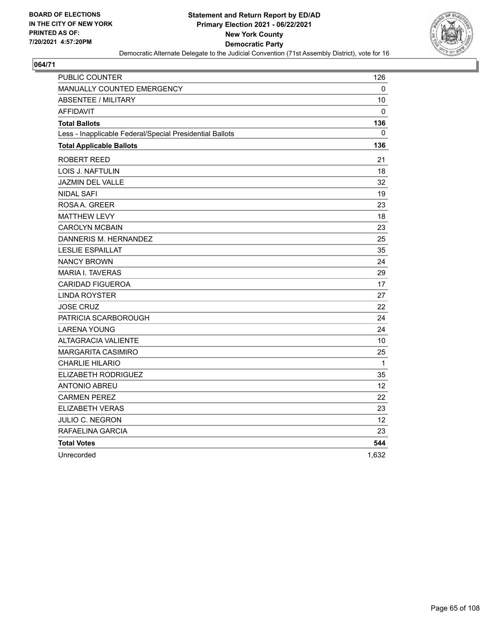

| PUBLIC COUNTER                                           | 126          |
|----------------------------------------------------------|--------------|
| <b>MANUALLY COUNTED EMERGENCY</b>                        | $\mathbf 0$  |
| <b>ABSENTEE / MILITARY</b>                               | 10           |
| <b>AFFIDAVIT</b>                                         | 0            |
| <b>Total Ballots</b>                                     | 136          |
| Less - Inapplicable Federal/Special Presidential Ballots | 0            |
| <b>Total Applicable Ballots</b>                          | 136          |
| ROBERT REED                                              | 21           |
| LOIS J. NAFTULIN                                         | 18           |
| <b>JAZMIN DEL VALLE</b>                                  | 32           |
| <b>NIDAL SAFI</b>                                        | 19           |
| ROSA A. GREER                                            | 23           |
| <b>MATTHEW LEVY</b>                                      | 18           |
| <b>CAROLYN MCBAIN</b>                                    | 23           |
| DANNERIS M. HERNANDEZ                                    | 25           |
| <b>LESLIE ESPAILLAT</b>                                  | 35           |
| <b>NANCY BROWN</b>                                       | 24           |
| MARIA I. TAVERAS                                         | 29           |
| <b>CARIDAD FIGUEROA</b>                                  | 17           |
| LINDA ROYSTER                                            | 27           |
| <b>JOSE CRUZ</b>                                         | 22           |
| PATRICIA SCARBOROUGH                                     | 24           |
| <b>LARENA YOUNG</b>                                      | 24           |
| <b>ALTAGRACIA VALIENTE</b>                               | 10           |
| MARGARITA CASIMIRO                                       | 25           |
| <b>CHARLIE HILARIO</b>                                   | $\mathbf{1}$ |
| ELIZABETH RODRIGUEZ                                      | 35           |
| ANTONIO ABREU                                            | 12           |
| <b>CARMEN PEREZ</b>                                      | 22           |
| <b>ELIZABETH VERAS</b>                                   | 23           |
| JULIO C. NEGRON                                          | 12           |
| RAFAELINA GARCIA                                         | 23           |
| <b>Total Votes</b>                                       | 544          |
| Unrecorded                                               | 1,632        |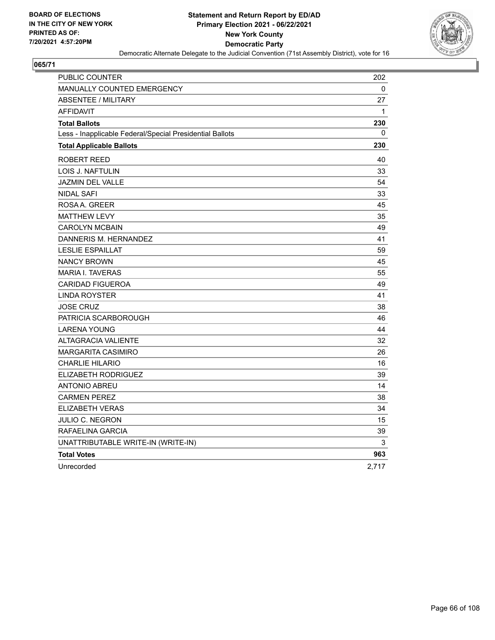

| PUBLIC COUNTER                                           | 202   |
|----------------------------------------------------------|-------|
| <b>MANUALLY COUNTED EMERGENCY</b>                        | 0     |
| <b>ABSENTEE / MILITARY</b>                               | 27    |
| <b>AFFIDAVIT</b>                                         | 1     |
| <b>Total Ballots</b>                                     | 230   |
| Less - Inapplicable Federal/Special Presidential Ballots | 0     |
| <b>Total Applicable Ballots</b>                          | 230   |
| <b>ROBERT REED</b>                                       | 40    |
| LOIS J. NAFTULIN                                         | 33    |
| <b>JAZMIN DEL VALLE</b>                                  | 54    |
| <b>NIDAL SAFI</b>                                        | 33    |
| ROSAA, GREER                                             | 45    |
| <b>MATTHEW LEVY</b>                                      | 35    |
| <b>CAROLYN MCBAIN</b>                                    | 49    |
| DANNERIS M. HERNANDEZ                                    | 41    |
| <b>LESLIE ESPAILLAT</b>                                  | 59    |
| <b>NANCY BROWN</b>                                       | 45    |
| <b>MARIA I. TAVERAS</b>                                  | 55    |
| <b>CARIDAD FIGUEROA</b>                                  | 49    |
| <b>LINDA ROYSTER</b>                                     | 41    |
| <b>JOSE CRUZ</b>                                         | 38    |
| PATRICIA SCARBOROUGH                                     | 46    |
| <b>LARENA YOUNG</b>                                      | 44    |
| <b>ALTAGRACIA VALIENTE</b>                               | 32    |
| <b>MARGARITA CASIMIRO</b>                                | 26    |
| <b>CHARLIE HILARIO</b>                                   | 16    |
| ELIZABETH RODRIGUEZ                                      | 39    |
| <b>ANTONIO ABREU</b>                                     | 14    |
| <b>CARMEN PEREZ</b>                                      | 38    |
| <b>ELIZABETH VERAS</b>                                   | 34    |
| JULIO C. NEGRON                                          | 15    |
| RAFAELINA GARCIA                                         | 39    |
| UNATTRIBUTABLE WRITE-IN (WRITE-IN)                       | 3     |
| <b>Total Votes</b>                                       | 963   |
| Unrecorded                                               | 2,717 |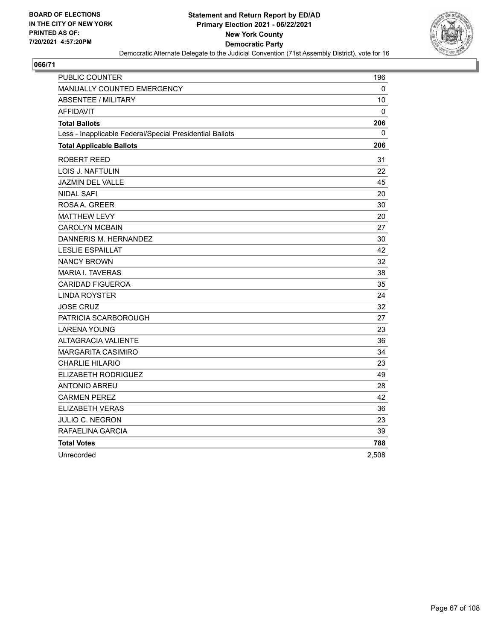

| PUBLIC COUNTER                                           | 196   |
|----------------------------------------------------------|-------|
| MANUALLY COUNTED EMERGENCY                               | 0     |
| <b>ABSENTEE / MILITARY</b>                               | 10    |
| AFFIDAVIT                                                | 0     |
| <b>Total Ballots</b>                                     | 206   |
| Less - Inapplicable Federal/Special Presidential Ballots | 0     |
| <b>Total Applicable Ballots</b>                          | 206   |
| ROBERT REED                                              | 31    |
| LOIS J. NAFTULIN                                         | 22    |
| JAZMIN DEL VALLE                                         | 45    |
| <b>NIDAL SAFI</b>                                        | 20    |
| ROSAA, GREER                                             | 30    |
| <b>MATTHEW LEVY</b>                                      | 20    |
| <b>CAROLYN MCBAIN</b>                                    | 27    |
| DANNERIS M. HERNANDEZ                                    | 30    |
| <b>LESLIE ESPAILLAT</b>                                  | 42    |
| <b>NANCY BROWN</b>                                       | 32    |
| <b>MARIA I. TAVERAS</b>                                  | 38    |
| <b>CARIDAD FIGUEROA</b>                                  | 35    |
| <b>LINDA ROYSTER</b>                                     | 24    |
| <b>JOSE CRUZ</b>                                         | 32    |
| PATRICIA SCARBOROUGH                                     | 27    |
| <b>LARENA YOUNG</b>                                      | 23    |
| <b>ALTAGRACIA VALIENTE</b>                               | 36    |
| <b>MARGARITA CASIMIRO</b>                                | 34    |
| CHARLIE HILARIO                                          | 23    |
| ELIZABETH RODRIGUEZ                                      | 49    |
| <b>ANTONIO ABREU</b>                                     | 28    |
| <b>CARMEN PEREZ</b>                                      | 42    |
| <b>ELIZABETH VERAS</b>                                   | 36    |
| JULIO C. NEGRON                                          | 23    |
| RAFAELINA GARCIA                                         | 39    |
| <b>Total Votes</b>                                       | 788   |
| Unrecorded                                               | 2,508 |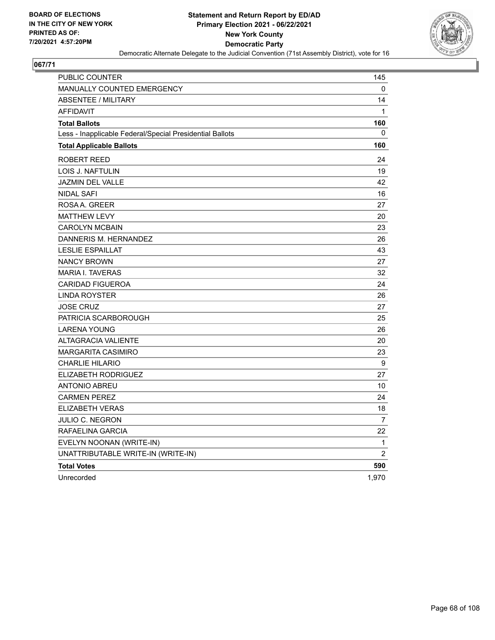

| PUBLIC COUNTER                                           | 145            |
|----------------------------------------------------------|----------------|
| <b>MANUALLY COUNTED EMERGENCY</b>                        | 0              |
| <b>ABSENTEE / MILITARY</b>                               | 14             |
| <b>AFFIDAVIT</b>                                         | 1              |
| <b>Total Ballots</b>                                     | 160            |
| Less - Inapplicable Federal/Special Presidential Ballots | 0              |
| <b>Total Applicable Ballots</b>                          | 160            |
| ROBERT REED                                              | 24             |
| LOIS J. NAFTULIN                                         | 19             |
| <b>JAZMIN DEL VALLE</b>                                  | 42             |
| NIDAL SAFI                                               | 16             |
| ROSAA. GREER                                             | 27             |
| <b>MATTHEW LEVY</b>                                      | 20             |
| <b>CAROLYN MCBAIN</b>                                    | 23             |
| DANNERIS M. HERNANDEZ                                    | 26             |
| <b>LESLIE ESPAILLAT</b>                                  | 43             |
| <b>NANCY BROWN</b>                                       | 27             |
| <b>MARIA I. TAVERAS</b>                                  | 32             |
| <b>CARIDAD FIGUEROA</b>                                  | 24             |
| <b>LINDA ROYSTER</b>                                     | 26             |
| <b>JOSE CRUZ</b>                                         | 27             |
| PATRICIA SCARBOROUGH                                     | 25             |
| <b>LARENA YOUNG</b>                                      | 26             |
| <b>ALTAGRACIA VALIENTE</b>                               | 20             |
| <b>MARGARITA CASIMIRO</b>                                | 23             |
| <b>CHARLIE HILARIO</b>                                   | 9              |
| ELIZABETH RODRIGUEZ                                      | 27             |
| <b>ANTONIO ABREU</b>                                     | 10             |
| <b>CARMEN PEREZ</b>                                      | 24             |
| <b>ELIZABETH VERAS</b>                                   | 18             |
| JULIO C. NEGRON                                          | $\overline{7}$ |
| RAFAELINA GARCIA                                         | 22             |
| EVELYN NOONAN (WRITE-IN)                                 | 1              |
| UNATTRIBUTABLE WRITE-IN (WRITE-IN)                       | $\overline{2}$ |
| <b>Total Votes</b>                                       | 590            |
| Unrecorded                                               | 1,970          |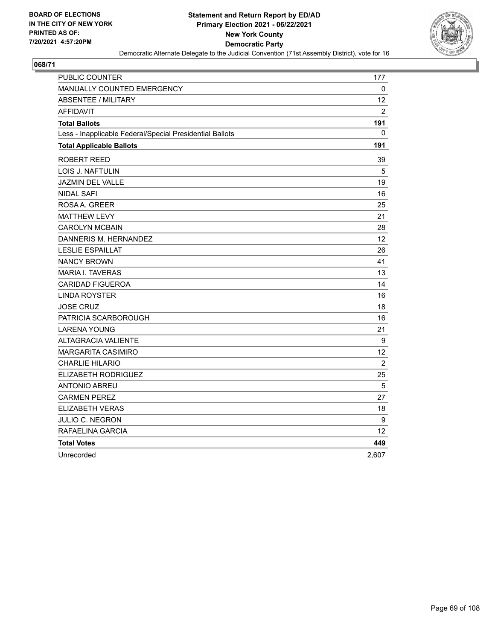

| PUBLIC COUNTER                                           | 177               |
|----------------------------------------------------------|-------------------|
| <b>MANUALLY COUNTED EMERGENCY</b>                        | 0                 |
| <b>ABSENTEE / MILITARY</b>                               | 12                |
| <b>AFFIDAVIT</b>                                         | $\overline{2}$    |
| <b>Total Ballots</b>                                     | 191               |
| Less - Inapplicable Federal/Special Presidential Ballots | 0                 |
| <b>Total Applicable Ballots</b>                          | 191               |
| ROBERT REED                                              | 39                |
| LOIS J. NAFTULIN                                         | 5                 |
| JAZMIN DEL VALLE                                         | 19                |
| <b>NIDAL SAFI</b>                                        | 16                |
| ROSA A. GREER                                            | 25                |
| <b>MATTHEW LEVY</b>                                      | 21                |
| <b>CAROLYN MCBAIN</b>                                    | 28                |
| DANNERIS M. HERNANDEZ                                    | $12 \overline{ }$ |
| <b>LESLIE ESPAILLAT</b>                                  | 26                |
| <b>NANCY BROWN</b>                                       | 41                |
| <b>MARIA I. TAVERAS</b>                                  | 13                |
| <b>CARIDAD FIGUEROA</b>                                  | 14                |
| <b>LINDA ROYSTER</b>                                     | 16                |
| <b>JOSE CRUZ</b>                                         | 18                |
| PATRICIA SCARBOROUGH                                     | 16                |
| <b>LARENA YOUNG</b>                                      | 21                |
| <b>ALTAGRACIA VALIENTE</b>                               | 9                 |
| MARGARITA CASIMIRO                                       | 12                |
| <b>CHARLIE HILARIO</b>                                   | $\overline{c}$    |
| ELIZABETH RODRIGUEZ                                      | 25                |
| <b>ANTONIO ABREU</b>                                     | 5                 |
| <b>CARMEN PEREZ</b>                                      | 27                |
| <b>ELIZABETH VERAS</b>                                   | 18                |
| JULIO C. NEGRON                                          | 9                 |
| RAFAELINA GARCIA                                         | 12                |
| <b>Total Votes</b>                                       | 449               |
| Unrecorded                                               | 2.607             |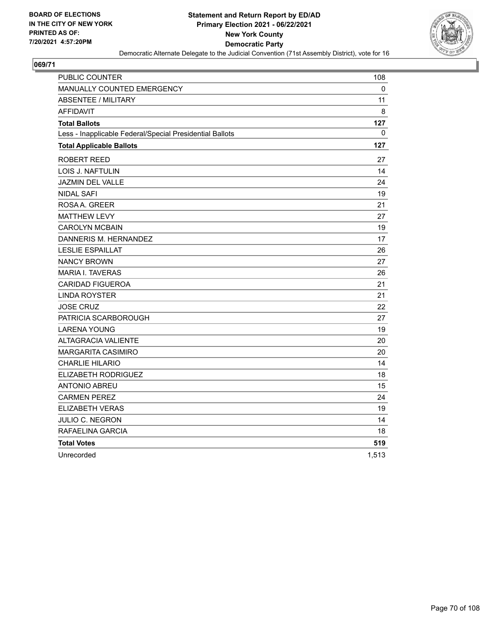

| PUBLIC COUNTER                                           | 108   |
|----------------------------------------------------------|-------|
| MANUALLY COUNTED EMERGENCY                               | 0     |
| ABSENTEE / MILITARY                                      | 11    |
| <b>AFFIDAVIT</b>                                         | 8     |
| <b>Total Ballots</b>                                     | 127   |
| Less - Inapplicable Federal/Special Presidential Ballots | 0     |
| <b>Total Applicable Ballots</b>                          | 127   |
| ROBERT REED                                              | 27    |
| LOIS J. NAFTULIN                                         | 14    |
| <b>JAZMIN DEL VALLE</b>                                  | 24    |
| <b>NIDAL SAFI</b>                                        | 19    |
| ROSAA. GREER                                             | 21    |
| <b>MATTHEW LEVY</b>                                      | 27    |
| <b>CAROLYN MCBAIN</b>                                    | 19    |
| DANNERIS M. HERNANDEZ                                    | 17    |
| <b>LESLIE ESPAILLAT</b>                                  | 26    |
| <b>NANCY BROWN</b>                                       | 27    |
| <b>MARIA I. TAVERAS</b>                                  | 26    |
| <b>CARIDAD FIGUEROA</b>                                  | 21    |
| <b>LINDA ROYSTER</b>                                     | 21    |
| <b>JOSE CRUZ</b>                                         | 22    |
| PATRICIA SCARBOROUGH                                     | 27    |
| <b>LARENA YOUNG</b>                                      | 19    |
| <b>ALTAGRACIA VALIENTE</b>                               | 20    |
| MARGARITA CASIMIRO                                       | 20    |
| <b>CHARLIE HILARIO</b>                                   | 14    |
| ELIZABETH RODRIGUEZ                                      | 18    |
| <b>ANTONIO ABREU</b>                                     | 15    |
| <b>CARMEN PEREZ</b>                                      | 24    |
| <b>ELIZABETH VERAS</b>                                   | 19    |
| JULIO C. NEGRON                                          | 14    |
| RAFAELINA GARCIA                                         | 18    |
| <b>Total Votes</b>                                       | 519   |
| Unrecorded                                               | 1.513 |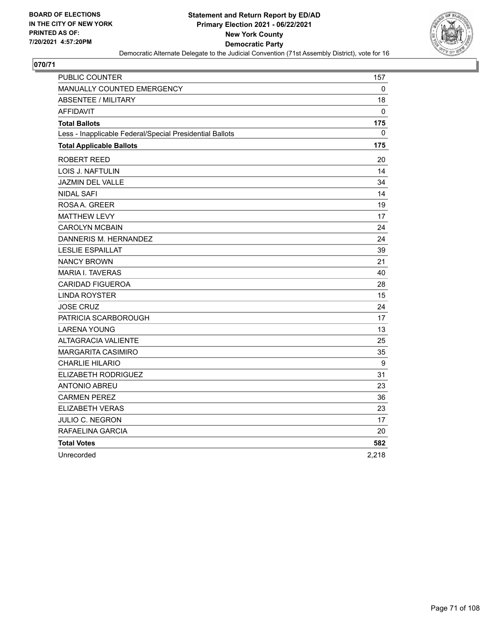

| PUBLIC COUNTER                                           | 157              |
|----------------------------------------------------------|------------------|
| MANUALLY COUNTED EMERGENCY                               | 0                |
| <b>ABSENTEE / MILITARY</b>                               | 18               |
| <b>AFFIDAVIT</b>                                         | 0                |
| <b>Total Ballots</b>                                     | 175              |
| Less - Inapplicable Federal/Special Presidential Ballots | 0                |
| <b>Total Applicable Ballots</b>                          | 175              |
| ROBERT REED                                              | 20               |
| <b>LOIS J. NAFTULIN</b>                                  | 14               |
| <b>JAZMIN DEL VALLE</b>                                  | 34               |
| <b>NIDAL SAFI</b>                                        | 14               |
| ROSA A. GREER                                            | 19               |
| <b>MATTHEW LEVY</b>                                      | 17               |
| <b>CAROLYN MCBAIN</b>                                    | 24               |
| DANNERIS M. HERNANDEZ                                    | 24               |
| <b>LESLIE ESPAILLAT</b>                                  | 39               |
| <b>NANCY BROWN</b>                                       | 21               |
| <b>MARIA I. TAVERAS</b>                                  | 40               |
| <b>CARIDAD FIGUEROA</b>                                  | 28               |
| <b>LINDA ROYSTER</b>                                     | 15               |
| <b>JOSE CRUZ</b>                                         | 24               |
| PATRICIA SCARBOROUGH                                     | 17               |
| <b>LARENA YOUNG</b>                                      | 13               |
| <b>ALTAGRACIA VALIENTE</b>                               | 25               |
| <b>MARGARITA CASIMIRO</b>                                | 35               |
| <b>CHARLIE HILARIO</b>                                   | $\boldsymbol{9}$ |
| ELIZABETH RODRIGUEZ                                      | 31               |
| ANTONIO ABREU                                            | 23               |
| <b>CARMEN PEREZ</b>                                      | 36               |
| <b>ELIZABETH VERAS</b>                                   | 23               |
| <b>JULIO C. NEGRON</b>                                   | 17               |
| RAFAELINA GARCIA                                         | 20               |
| <b>Total Votes</b>                                       | 582              |
| Unrecorded                                               | 2,218            |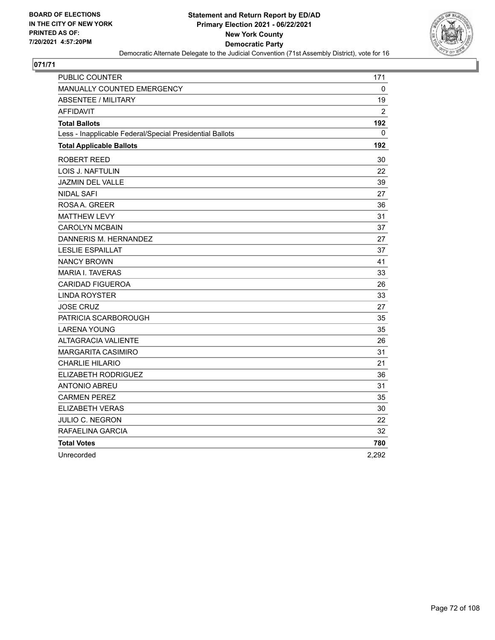

| PUBLIC COUNTER                                           | 171            |
|----------------------------------------------------------|----------------|
| MANUALLY COUNTED EMERGENCY                               | 0              |
| <b>ABSENTEE / MILITARY</b>                               | 19             |
| <b>AFFIDAVIT</b>                                         | $\overline{2}$ |
| <b>Total Ballots</b>                                     | 192            |
| Less - Inapplicable Federal/Special Presidential Ballots | 0              |
| <b>Total Applicable Ballots</b>                          | 192            |
| ROBERT REED                                              | 30             |
| LOIS J. NAFTULIN                                         | 22             |
| JAZMIN DEL VALLE                                         | 39             |
| <b>NIDAL SAFI</b>                                        | 27             |
| ROSA A. GREER                                            | 36             |
| <b>MATTHEW LEVY</b>                                      | 31             |
| <b>CAROLYN MCBAIN</b>                                    | 37             |
| DANNERIS M. HERNANDEZ                                    | 27             |
| <b>LESLIE ESPAILLAT</b>                                  | 37             |
| <b>NANCY BROWN</b>                                       | 41             |
| <b>MARIA I. TAVERAS</b>                                  | 33             |
| <b>CARIDAD FIGUEROA</b>                                  | 26             |
| <b>LINDA ROYSTER</b>                                     | 33             |
| JOSE CRUZ                                                | 27             |
| PATRICIA SCARBOROUGH                                     | 35             |
| <b>LARENA YOUNG</b>                                      | 35             |
| <b>ALTAGRACIA VALIENTE</b>                               | 26             |
| <b>MARGARITA CASIMIRO</b>                                | 31             |
| <b>CHARLIE HILARIO</b>                                   | 21             |
| ELIZABETH RODRIGUEZ                                      | 36             |
| <b>ANTONIO ABREU</b>                                     | 31             |
| <b>CARMEN PEREZ</b>                                      | 35             |
| <b>ELIZABETH VERAS</b>                                   | 30             |
| JULIO C. NEGRON                                          | 22             |
| RAFAELINA GARCIA                                         | 32             |
| <b>Total Votes</b>                                       | 780            |
| Unrecorded                                               | 2,292          |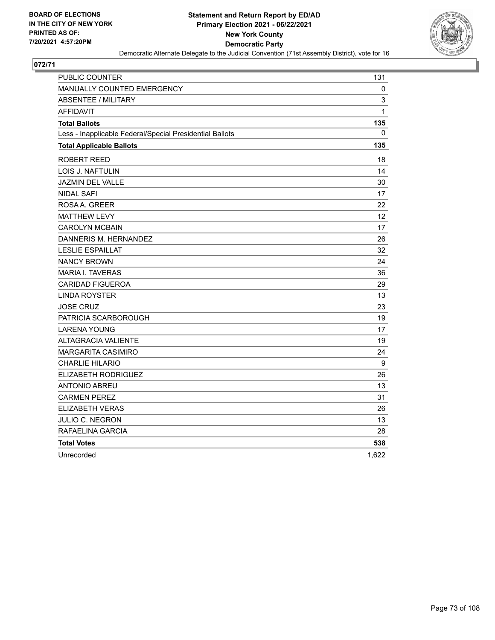

| <b>PUBLIC COUNTER</b>                                    | 131               |
|----------------------------------------------------------|-------------------|
| <b>MANUALLY COUNTED EMERGENCY</b>                        | 0                 |
| <b>ABSENTEE / MILITARY</b>                               | 3                 |
| <b>AFFIDAVIT</b>                                         | 1                 |
| <b>Total Ballots</b>                                     | 135               |
| Less - Inapplicable Federal/Special Presidential Ballots | 0                 |
| <b>Total Applicable Ballots</b>                          | 135               |
| ROBERT REED                                              | 18                |
| LOIS J. NAFTULIN                                         | 14                |
| <b>JAZMIN DEL VALLE</b>                                  | 30                |
| <b>NIDAL SAFI</b>                                        | 17                |
| ROSA A. GREER                                            | 22                |
| <b>MATTHEW LEVY</b>                                      | $12 \overline{ }$ |
| <b>CAROLYN MCBAIN</b>                                    | 17                |
| DANNERIS M. HERNANDEZ                                    | 26                |
| <b>LESLIE ESPAILLAT</b>                                  | 32                |
| <b>NANCY BROWN</b>                                       | 24                |
| <b>MARIA I. TAVERAS</b>                                  | 36                |
| <b>CARIDAD FIGUEROA</b>                                  | 29                |
| <b>LINDA ROYSTER</b>                                     | 13                |
| <b>JOSE CRUZ</b>                                         | 23                |
| PATRICIA SCARBOROUGH                                     | 19                |
| <b>LARENA YOUNG</b>                                      | 17                |
| <b>ALTAGRACIA VALIENTE</b>                               | 19                |
| <b>MARGARITA CASIMIRO</b>                                | 24                |
| <b>CHARLIE HILARIO</b>                                   | 9                 |
| ELIZABETH RODRIGUEZ                                      | 26                |
| <b>ANTONIO ABREU</b>                                     | 13                |
| <b>CARMEN PEREZ</b>                                      | 31                |
| <b>ELIZABETH VERAS</b>                                   | 26                |
| <b>JULIO C. NEGRON</b>                                   | 13                |
| RAFAELINA GARCIA                                         | 28                |
| <b>Total Votes</b>                                       | 538               |
| Unrecorded                                               | 1,622             |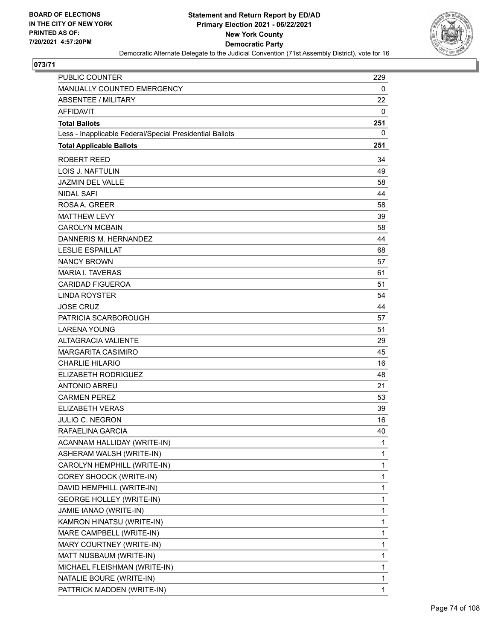

| PUBLIC COUNTER                                           | 229 |
|----------------------------------------------------------|-----|
| MANUALLY COUNTED EMERGENCY                               | 0   |
| <b>ABSENTEE / MILITARY</b>                               | 22  |
| <b>AFFIDAVIT</b>                                         | 0   |
| <b>Total Ballots</b>                                     | 251 |
| Less - Inapplicable Federal/Special Presidential Ballots | 0   |
| <b>Total Applicable Ballots</b>                          | 251 |
| <b>ROBERT REED</b>                                       | 34  |
| <b>LOIS J. NAFTULIN</b>                                  | 49  |
| <b>JAZMIN DEL VALLE</b>                                  | 58  |
| <b>NIDAL SAFI</b>                                        | 44  |
| ROSA A. GREER                                            | 58  |
| <b>MATTHEW LEVY</b>                                      | 39  |
| <b>CAROLYN MCBAIN</b>                                    | 58  |
| DANNERIS M. HERNANDEZ                                    | 44  |
| <b>LESLIE ESPAILLAT</b>                                  | 68  |
| <b>NANCY BROWN</b>                                       | 57  |
| <b>MARIA I. TAVERAS</b>                                  | 61  |
| <b>CARIDAD FIGUEROA</b>                                  | 51  |
| <b>LINDA ROYSTER</b>                                     | 54  |
| <b>JOSE CRUZ</b>                                         | 44  |
| PATRICIA SCARBOROUGH                                     | 57  |
| <b>LARENA YOUNG</b>                                      | 51  |
| <b>ALTAGRACIA VALIENTE</b>                               | 29  |
| <b>MARGARITA CASIMIRO</b>                                | 45  |
| <b>CHARLIE HILARIO</b>                                   | 16  |
| <b>ELIZABETH RODRIGUEZ</b>                               | 48  |
| <b>ANTONIO ABREU</b>                                     | 21  |
| <b>CARMEN PEREZ</b>                                      | 53  |
| <b>ELIZABETH VERAS</b>                                   | 39  |
| JULIO C. NEGRON                                          | 16  |
| RAFAELINA GARCIA                                         | 40  |
| ACANNAM HALLIDAY (WRITE-IN)                              | 1   |
| ASHERAM WALSH (WRITE-IN)                                 | 1   |
| CAROLYN HEMPHILL (WRITE-IN)                              | 1   |
| COREY SHOOCK (WRITE-IN)                                  | 1   |
| DAVID HEMPHILL (WRITE-IN)                                | 1   |
| <b>GEORGE HOLLEY (WRITE-IN)</b>                          | 1   |
| JAMIE IANAO (WRITE-IN)                                   | 1   |
| KAMRON HINATSU (WRITE-IN)                                | 1   |
| MARE CAMPBELL (WRITE-IN)                                 | 1   |
| MARY COURTNEY (WRITE-IN)                                 | 1   |
| MATT NUSBAUM (WRITE-IN)                                  | 1   |
| MICHAEL FLEISHMAN (WRITE-IN)                             | 1   |
| NATALIE BOURE (WRITE-IN)                                 | 1   |
| PATTRICK MADDEN (WRITE-IN)                               | 1   |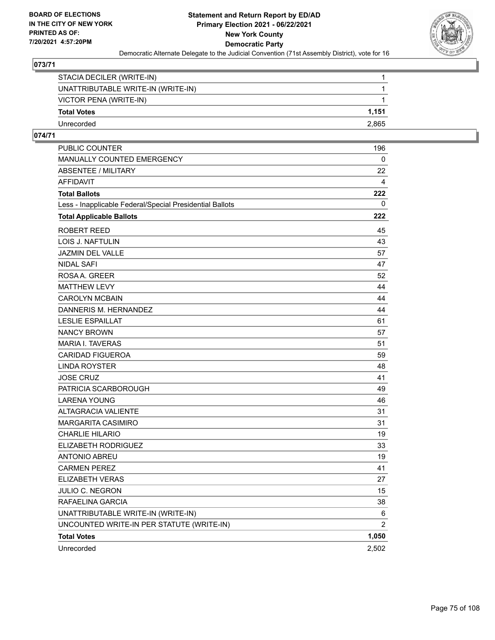

| STACIA DECILER (WRITE-IN)          |       |
|------------------------------------|-------|
| UNATTRIBUTABLE WRITE-IN (WRITE-IN) |       |
| VICTOR PENA (WRITE-IN)             |       |
| <b>Total Votes</b>                 | 1.151 |
| Unrecorded                         | 2.865 |

| PUBLIC COUNTER                                           | 196            |
|----------------------------------------------------------|----------------|
| MANUALLY COUNTED EMERGENCY                               | 0              |
| <b>ABSENTEE / MILITARY</b>                               | 22             |
| <b>AFFIDAVIT</b>                                         | 4              |
| <b>Total Ballots</b>                                     | 222            |
| Less - Inapplicable Federal/Special Presidential Ballots | 0              |
| <b>Total Applicable Ballots</b>                          | 222            |
| ROBERT REED                                              | 45             |
| LOIS J. NAFTULIN                                         | 43             |
| JAZMIN DEL VALLE                                         | 57             |
| NIDAL SAFI                                               | 47             |
| ROSA A. GREER                                            | 52             |
| <b>MATTHEW LEVY</b>                                      | 44             |
| <b>CAROLYN MCBAIN</b>                                    | 44             |
| DANNERIS M. HERNANDEZ                                    | 44             |
| <b>LESLIE ESPAILLAT</b>                                  | 61             |
| <b>NANCY BROWN</b>                                       | 57             |
| <b>MARIA I. TAVERAS</b>                                  | 51             |
| <b>CARIDAD FIGUEROA</b>                                  | 59             |
| <b>LINDA ROYSTER</b>                                     | 48             |
| <b>JOSE CRUZ</b>                                         | 41             |
| PATRICIA SCARBOROUGH                                     | 49             |
| <b>LARENA YOUNG</b>                                      | 46             |
| <b>ALTAGRACIA VALIENTE</b>                               | 31             |
| <b>MARGARITA CASIMIRO</b>                                | 31             |
| <b>CHARLIE HILARIO</b>                                   | 19             |
| ELIZABETH RODRIGUEZ                                      | 33             |
| <b>ANTONIO ABREU</b>                                     | 19             |
| <b>CARMEN PEREZ</b>                                      | 41             |
| <b>ELIZABETH VERAS</b>                                   | 27             |
| JULIO C. NEGRON                                          | 15             |
| RAFAELINA GARCIA                                         | 38             |
| UNATTRIBUTABLE WRITE-IN (WRITE-IN)                       | 6              |
| UNCOUNTED WRITE-IN PER STATUTE (WRITE-IN)                | $\overline{2}$ |
| <b>Total Votes</b>                                       | 1,050          |
| Unrecorded                                               | 2,502          |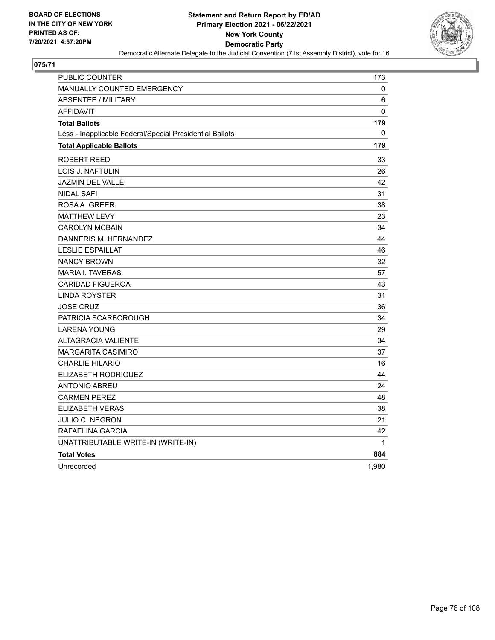

| <b>PUBLIC COUNTER</b>                                    | 173         |
|----------------------------------------------------------|-------------|
| MANUALLY COUNTED EMERGENCY                               | 0           |
| <b>ABSENTEE / MILITARY</b>                               | 6           |
| <b>AFFIDAVIT</b>                                         | $\mathbf 0$ |
| <b>Total Ballots</b>                                     | 179         |
| Less - Inapplicable Federal/Special Presidential Ballots | $\Omega$    |
| <b>Total Applicable Ballots</b>                          | 179         |
| ROBERT REED                                              | 33          |
| LOIS J. NAFTULIN                                         | 26          |
| <b>JAZMIN DEL VALLE</b>                                  | 42          |
| <b>NIDAL SAFI</b>                                        | 31          |
| ROSAA, GREER                                             | 38          |
| <b>MATTHEW LEVY</b>                                      | 23          |
| <b>CAROLYN MCBAIN</b>                                    | 34          |
| DANNERIS M. HERNANDEZ                                    | 44          |
| <b>LESLIE ESPAILLAT</b>                                  | 46          |
| <b>NANCY BROWN</b>                                       | 32          |
| <b>MARIA I. TAVERAS</b>                                  | 57          |
| <b>CARIDAD FIGUEROA</b>                                  | 43          |
| <b>LINDA ROYSTER</b>                                     | 31          |
| <b>JOSE CRUZ</b>                                         | 36          |
| PATRICIA SCARBOROUGH                                     | 34          |
| <b>LARENA YOUNG</b>                                      | 29          |
| <b>ALTAGRACIA VALIENTE</b>                               | 34          |
| <b>MARGARITA CASIMIRO</b>                                | 37          |
| <b>CHARLIE HILARIO</b>                                   | 16          |
| <b>ELIZABETH RODRIGUEZ</b>                               | 44          |
| <b>ANTONIO ABREU</b>                                     | 24          |
| <b>CARMEN PEREZ</b>                                      | 48          |
| <b>ELIZABETH VERAS</b>                                   | 38          |
| JULIO C. NEGRON                                          | 21          |
| RAFAELINA GARCIA                                         | 42          |
| UNATTRIBUTABLE WRITE-IN (WRITE-IN)                       | 1           |
| <b>Total Votes</b>                                       | 884         |
| Unrecorded                                               | 1,980       |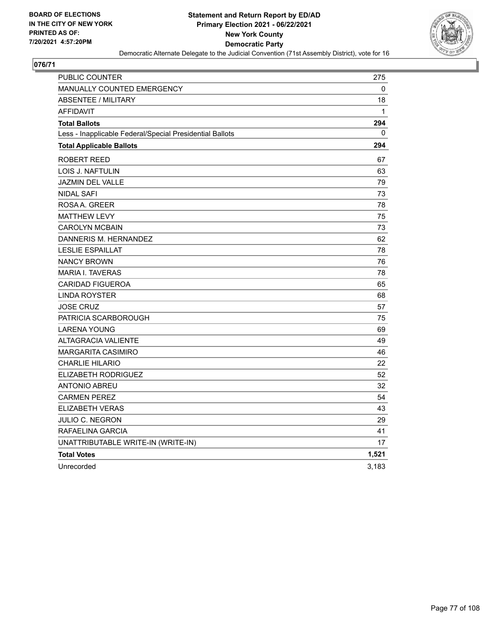

| <b>PUBLIC COUNTER</b>                                    | 275          |
|----------------------------------------------------------|--------------|
| MANUALLY COUNTED EMERGENCY                               | 0            |
| <b>ABSENTEE / MILITARY</b>                               | 18           |
| <b>AFFIDAVIT</b>                                         | $\mathbf{1}$ |
| <b>Total Ballots</b>                                     | 294          |
| Less - Inapplicable Federal/Special Presidential Ballots | 0            |
| <b>Total Applicable Ballots</b>                          | 294          |
| ROBERT REED                                              | 67           |
| LOIS J. NAFTULIN                                         | 63           |
| <b>JAZMIN DEL VALLE</b>                                  | 79           |
| <b>NIDAL SAFI</b>                                        | 73           |
| ROSAA, GREER                                             | 78           |
| <b>MATTHEW LEVY</b>                                      | 75           |
| <b>CAROLYN MCBAIN</b>                                    | 73           |
| DANNERIS M. HERNANDEZ                                    | 62           |
| <b>LESLIE ESPAILLAT</b>                                  | 78           |
| <b>NANCY BROWN</b>                                       | 76           |
| <b>MARIA I. TAVERAS</b>                                  | 78           |
| <b>CARIDAD FIGUEROA</b>                                  | 65           |
| <b>LINDA ROYSTER</b>                                     | 68           |
| <b>JOSE CRUZ</b>                                         | 57           |
| PATRICIA SCARBOROUGH                                     | 75           |
| <b>LARENA YOUNG</b>                                      | 69           |
| <b>ALTAGRACIA VALIENTE</b>                               | 49           |
| <b>MARGARITA CASIMIRO</b>                                | 46           |
| <b>CHARLIE HILARIO</b>                                   | 22           |
| <b>ELIZABETH RODRIGUEZ</b>                               | 52           |
| <b>ANTONIO ABREU</b>                                     | 32           |
| <b>CARMEN PEREZ</b>                                      | 54           |
| <b>ELIZABETH VERAS</b>                                   | 43           |
| JULIO C. NEGRON                                          | 29           |
| RAFAELINA GARCIA                                         | 41           |
| UNATTRIBUTABLE WRITE-IN (WRITE-IN)                       | 17           |
| <b>Total Votes</b>                                       | 1,521        |
| Unrecorded                                               | 3,183        |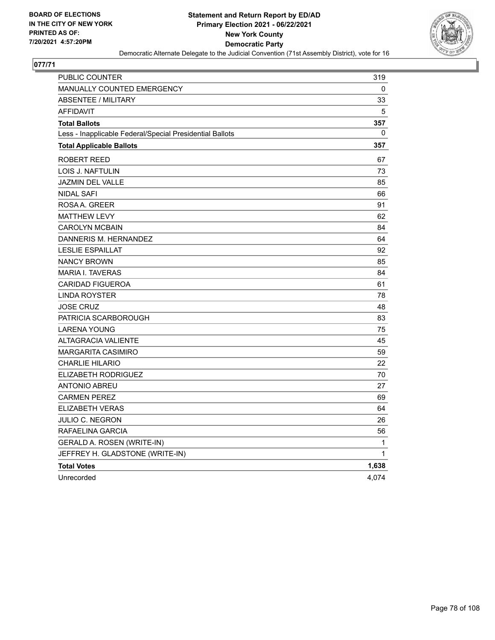

| PUBLIC COUNTER                                           | 319   |
|----------------------------------------------------------|-------|
| <b>MANUALLY COUNTED EMERGENCY</b>                        | 0     |
| <b>ABSENTEE / MILITARY</b>                               | 33    |
| <b>AFFIDAVIT</b>                                         | 5     |
| <b>Total Ballots</b>                                     | 357   |
| Less - Inapplicable Federal/Special Presidential Ballots | 0     |
| <b>Total Applicable Ballots</b>                          | 357   |
| ROBERT REED                                              | 67    |
| LOIS J. NAFTULIN                                         | 73    |
| JAZMIN DEL VALLE                                         | 85    |
| NIDAL SAFI                                               | 66    |
| ROSAA, GREER                                             | 91    |
| <b>MATTHEW LEVY</b>                                      | 62    |
| <b>CAROLYN MCBAIN</b>                                    | 84    |
| DANNERIS M. HERNANDEZ                                    | 64    |
| <b>LESLIE ESPAILLAT</b>                                  | 92    |
| <b>NANCY BROWN</b>                                       | 85    |
| <b>MARIA I. TAVERAS</b>                                  | 84    |
| <b>CARIDAD FIGUEROA</b>                                  | 61    |
| <b>LINDA ROYSTER</b>                                     | 78    |
| <b>JOSE CRUZ</b>                                         | 48    |
| PATRICIA SCARBOROUGH                                     | 83    |
| <b>LARENA YOUNG</b>                                      | 75    |
| <b>ALTAGRACIA VALIENTE</b>                               | 45    |
| <b>MARGARITA CASIMIRO</b>                                | 59    |
| <b>CHARLIE HILARIO</b>                                   | 22    |
| ELIZABETH RODRIGUEZ                                      | 70    |
| <b>ANTONIO ABREU</b>                                     | 27    |
| <b>CARMEN PEREZ</b>                                      | 69    |
| <b>ELIZABETH VERAS</b>                                   | 64    |
| JULIO C. NEGRON                                          | 26    |
| RAFAELINA GARCIA                                         | 56    |
| GERALD A. ROSEN (WRITE-IN)                               | 1     |
| JEFFREY H. GLADSTONE (WRITE-IN)                          | 1     |
| <b>Total Votes</b>                                       | 1,638 |
| Unrecorded                                               | 4,074 |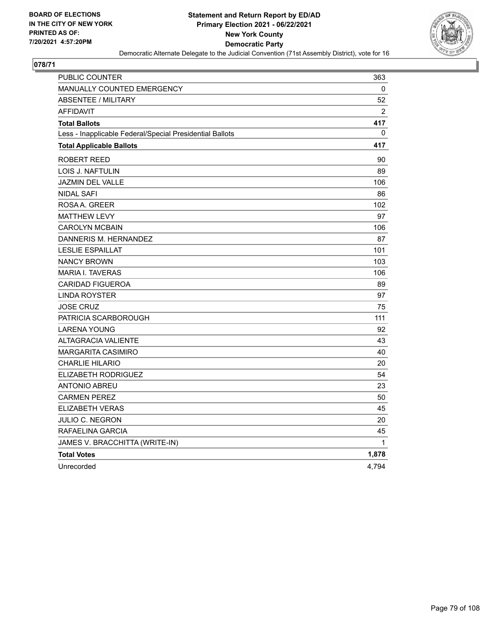

| PUBLIC COUNTER                                           | 363           |
|----------------------------------------------------------|---------------|
| <b>MANUALLY COUNTED EMERGENCY</b>                        | 0             |
| <b>ABSENTEE / MILITARY</b>                               | 52            |
| <b>AFFIDAVIT</b>                                         | $\mathcal{P}$ |
| <b>Total Ballots</b>                                     | 417           |
| Less - Inapplicable Federal/Special Presidential Ballots | 0             |
| <b>Total Applicable Ballots</b>                          | 417           |
| <b>ROBERT REED</b>                                       | 90            |
| LOIS J. NAFTULIN                                         | 89            |
| <b>JAZMIN DEL VALLE</b>                                  | 106           |
| <b>NIDAL SAFI</b>                                        | 86            |
| ROSAA, GREER                                             | 102           |
| <b>MATTHEW LEVY</b>                                      | 97            |
| <b>CAROLYN MCBAIN</b>                                    | 106           |
| DANNERIS M. HERNANDEZ                                    | 87            |
| <b>LESLIE ESPAILLAT</b>                                  | 101           |
| <b>NANCY BROWN</b>                                       | 103           |
| <b>MARIA I. TAVERAS</b>                                  | 106           |
| <b>CARIDAD FIGUEROA</b>                                  | 89            |
| LINDA ROYSTER                                            | 97            |
| <b>JOSE CRUZ</b>                                         | 75            |
| PATRICIA SCARBOROUGH                                     | 111           |
| <b>LARENA YOUNG</b>                                      | 92            |
| <b>ALTAGRACIA VALIENTE</b>                               | 43            |
| <b>MARGARITA CASIMIRO</b>                                | 40            |
| <b>CHARLIE HILARIO</b>                                   | 20            |
| <b>ELIZABETH RODRIGUEZ</b>                               | 54            |
| <b>ANTONIO ABREU</b>                                     | 23            |
| <b>CARMEN PEREZ</b>                                      | 50            |
| ELIZABETH VERAS                                          | 45            |
| JULIO C. NEGRON                                          | 20            |
| RAFAELINA GARCIA                                         | 45            |
| JAMES V. BRACCHITTA (WRITE-IN)                           | 1             |
| <b>Total Votes</b>                                       | 1,878         |
| Unrecorded                                               | 4,794         |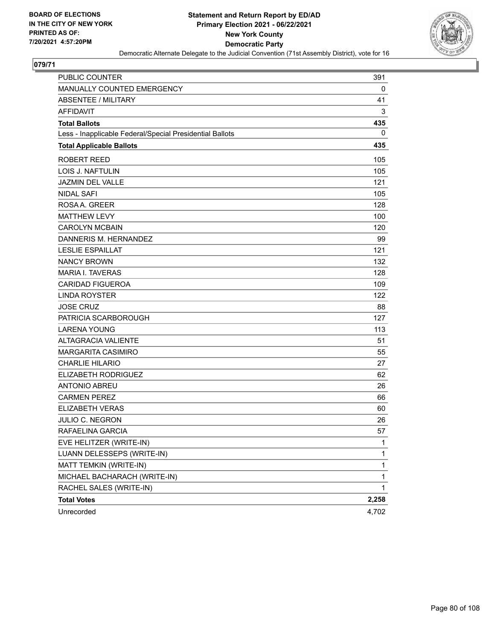

| PUBLIC COUNTER                                           | 391          |
|----------------------------------------------------------|--------------|
| MANUALLY COUNTED EMERGENCY                               | 0            |
| <b>ABSENTEE / MILITARY</b>                               | 41           |
| <b>AFFIDAVIT</b>                                         | 3            |
| <b>Total Ballots</b>                                     | 435          |
| Less - Inapplicable Federal/Special Presidential Ballots | 0            |
| <b>Total Applicable Ballots</b>                          | 435          |
| <b>ROBERT REED</b>                                       | 105          |
| <b>LOIS J. NAFTULIN</b>                                  | 105          |
| <b>JAZMIN DEL VALLE</b>                                  | 121          |
| <b>NIDAL SAFI</b>                                        | 105          |
| ROSA A. GREER                                            | 128          |
| <b>MATTHEW LEVY</b>                                      | 100          |
| <b>CAROLYN MCBAIN</b>                                    | 120          |
| DANNERIS M. HERNANDEZ                                    | 99           |
| <b>LESLIE ESPAILLAT</b>                                  | 121          |
| <b>NANCY BROWN</b>                                       | 132          |
| <b>MARIA I. TAVERAS</b>                                  | 128          |
| <b>CARIDAD FIGUEROA</b>                                  | 109          |
| <b>LINDA ROYSTER</b>                                     | 122          |
| <b>JOSE CRUZ</b>                                         | 88           |
| PATRICIA SCARBOROUGH                                     | 127          |
| <b>LARENA YOUNG</b>                                      | 113          |
| <b>ALTAGRACIA VALIENTE</b>                               | 51           |
| <b>MARGARITA CASIMIRO</b>                                | 55           |
| <b>CHARLIE HILARIO</b>                                   | 27           |
| ELIZABETH RODRIGUEZ                                      | 62           |
| <b>ANTONIO ABREU</b>                                     | 26           |
| <b>CARMEN PEREZ</b>                                      | 66           |
| <b>ELIZABETH VERAS</b>                                   | 60           |
| JULIO C. NEGRON                                          | 26           |
| RAFAELINA GARCIA                                         | 57           |
| EVE HELITZER (WRITE-IN)                                  | 1            |
| LUANN DELESSEPS (WRITE-IN)                               | $\mathbf{1}$ |
| MATT TEMKIN (WRITE-IN)                                   | 1            |
| MICHAEL BACHARACH (WRITE-IN)                             | 1            |
| RACHEL SALES (WRITE-IN)                                  | 1            |
| <b>Total Votes</b>                                       | 2,258        |
| Unrecorded                                               | 4,702        |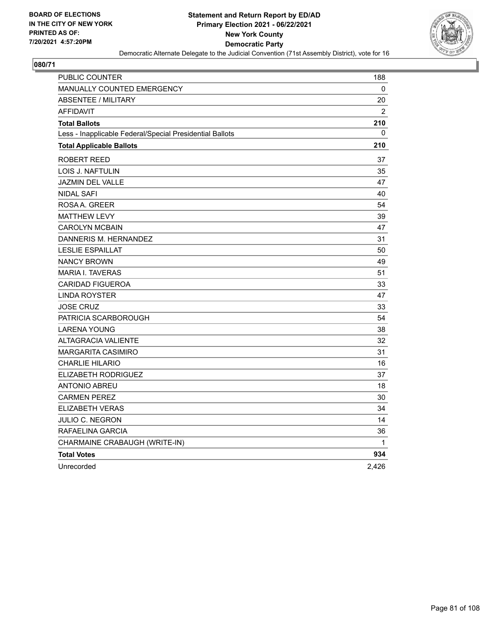

| PUBLIC COUNTER                                           | 188            |
|----------------------------------------------------------|----------------|
| MANUALLY COUNTED EMERGENCY                               | 0              |
| <b>ABSENTEE / MILITARY</b>                               | 20             |
| <b>AFFIDAVIT</b>                                         | $\overline{2}$ |
| <b>Total Ballots</b>                                     | 210            |
| Less - Inapplicable Federal/Special Presidential Ballots | 0              |
| <b>Total Applicable Ballots</b>                          | 210            |
| ROBERT REED                                              | 37             |
| <b>LOIS J. NAFTULIN</b>                                  | 35             |
| <b>JAZMIN DEL VALLE</b>                                  | 47             |
| <b>NIDAL SAFI</b>                                        | 40             |
| ROSAA, GREER                                             | 54             |
| <b>MATTHEW LEVY</b>                                      | 39             |
| <b>CAROLYN MCBAIN</b>                                    | 47             |
| DANNERIS M. HERNANDEZ                                    | 31             |
| <b>LESLIE ESPAILLAT</b>                                  | 50             |
| <b>NANCY BROWN</b>                                       | 49             |
| <b>MARIA I. TAVERAS</b>                                  | 51             |
| <b>CARIDAD FIGUEROA</b>                                  | 33             |
| <b>LINDA ROYSTER</b>                                     | 47             |
| <b>JOSE CRUZ</b>                                         | 33             |
| PATRICIA SCARBOROUGH                                     | 54             |
| <b>LARENA YOUNG</b>                                      | 38             |
| <b>ALTAGRACIA VALIENTE</b>                               | 32             |
| <b>MARGARITA CASIMIRO</b>                                | 31             |
| <b>CHARLIE HILARIO</b>                                   | 16             |
| ELIZABETH RODRIGUEZ                                      | 37             |
| <b>ANTONIO ABREU</b>                                     | 18             |
| <b>CARMEN PEREZ</b>                                      | 30             |
| <b>ELIZABETH VERAS</b>                                   | 34             |
| JULIO C. NEGRON                                          | 14             |
| RAFAELINA GARCIA                                         | 36             |
| CHARMAINE CRABAUGH (WRITE-IN)                            | $\mathbf{1}$   |
| <b>Total Votes</b>                                       | 934            |
| Unrecorded                                               | 2,426          |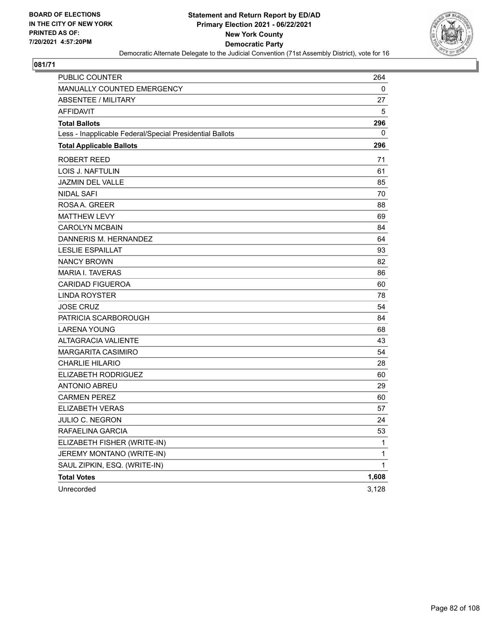

| <b>PUBLIC COUNTER</b>                                    | 264          |
|----------------------------------------------------------|--------------|
| MANUALLY COUNTED EMERGENCY                               | 0            |
| <b>ABSENTEE / MILITARY</b>                               | 27           |
| <b>AFFIDAVIT</b>                                         | 5            |
| <b>Total Ballots</b>                                     | 296          |
| Less - Inapplicable Federal/Special Presidential Ballots | 0            |
| <b>Total Applicable Ballots</b>                          | 296          |
| <b>ROBERT REED</b>                                       | 71           |
| <b>LOIS J. NAFTULIN</b>                                  | 61           |
| <b>JAZMIN DEL VALLE</b>                                  | 85           |
| <b>NIDAL SAFI</b>                                        | 70           |
| ROSA A. GREER                                            | 88           |
| <b>MATTHEW LEVY</b>                                      | 69           |
| <b>CAROLYN MCBAIN</b>                                    | 84           |
| DANNERIS M. HERNANDEZ                                    | 64           |
| <b>LESLIE ESPAILLAT</b>                                  | 93           |
| <b>NANCY BROWN</b>                                       | 82           |
| <b>MARIA I. TAVERAS</b>                                  | 86           |
| <b>CARIDAD FIGUEROA</b>                                  | 60           |
| <b>LINDA ROYSTER</b>                                     | 78           |
| <b>JOSE CRUZ</b>                                         | 54           |
| PATRICIA SCARBOROUGH                                     | 84           |
| <b>LARENA YOUNG</b>                                      | 68           |
| <b>ALTAGRACIA VALIENTE</b>                               | 43           |
| <b>MARGARITA CASIMIRO</b>                                | 54           |
| <b>CHARLIE HILARIO</b>                                   | 28           |
| ELIZABETH RODRIGUEZ                                      | 60           |
| <b>ANTONIO ABREU</b>                                     | 29           |
| <b>CARMEN PEREZ</b>                                      | 60           |
| ELIZABETH VERAS                                          | 57           |
| JULIO C. NEGRON                                          | 24           |
| RAFAELINA GARCIA                                         | 53           |
| ELIZABETH FISHER (WRITE-IN)                              | 1            |
| JEREMY MONTANO (WRITE-IN)                                | 1            |
| SAUL ZIPKIN, ESQ. (WRITE-IN)                             | $\mathbf{1}$ |
| <b>Total Votes</b>                                       | 1,608        |
| Unrecorded                                               | 3,128        |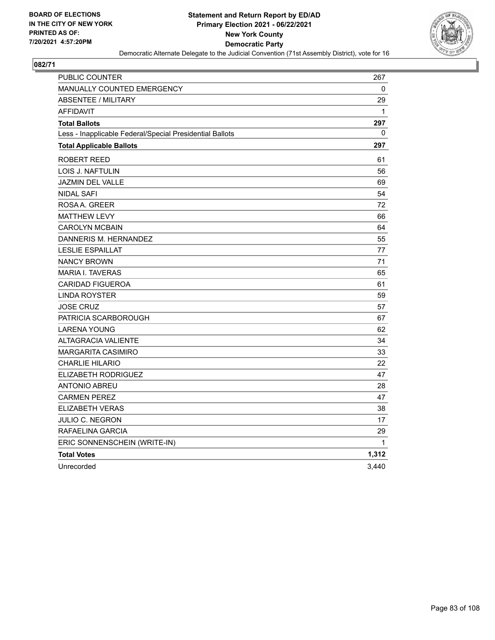

| PUBLIC COUNTER                                           | 267          |
|----------------------------------------------------------|--------------|
| <b>MANUALLY COUNTED EMERGENCY</b>                        | 0            |
| <b>ABSENTEE / MILITARY</b>                               | 29           |
| <b>AFFIDAVIT</b>                                         | $\mathbf{1}$ |
| <b>Total Ballots</b>                                     | 297          |
| Less - Inapplicable Federal/Special Presidential Ballots | 0            |
| <b>Total Applicable Ballots</b>                          | 297          |
| <b>ROBERT REED</b>                                       | 61           |
| LOIS J. NAFTULIN                                         | 56           |
| <b>JAZMIN DEL VALLE</b>                                  | 69           |
| <b>NIDAL SAFI</b>                                        | 54           |
| ROSAA, GREER                                             | 72           |
| <b>MATTHEW LEVY</b>                                      | 66           |
| <b>CAROLYN MCBAIN</b>                                    | 64           |
| DANNERIS M. HERNANDEZ                                    | 55           |
| <b>LESLIE ESPAILLAT</b>                                  | 77           |
| <b>NANCY BROWN</b>                                       | 71           |
| <b>MARIA I. TAVERAS</b>                                  | 65           |
| <b>CARIDAD FIGUEROA</b>                                  | 61           |
| <b>LINDA ROYSTER</b>                                     | 59           |
| <b>JOSE CRUZ</b>                                         | 57           |
| PATRICIA SCARBOROUGH                                     | 67           |
| <b>LARENA YOUNG</b>                                      | 62           |
| <b>ALTAGRACIA VALIENTE</b>                               | 34           |
| <b>MARGARITA CASIMIRO</b>                                | 33           |
| <b>CHARLIE HILARIO</b>                                   | 22           |
| ELIZABETH RODRIGUEZ                                      | 47           |
| <b>ANTONIO ABREU</b>                                     | 28           |
| <b>CARMEN PEREZ</b>                                      | 47           |
| ELIZABETH VERAS                                          | 38           |
| JULIO C. NEGRON                                          | 17           |
| RAFAELINA GARCIA                                         | 29           |
| ERIC SONNENSCHEIN (WRITE-IN)                             | 1            |
| <b>Total Votes</b>                                       | 1,312        |
| Unrecorded                                               | 3,440        |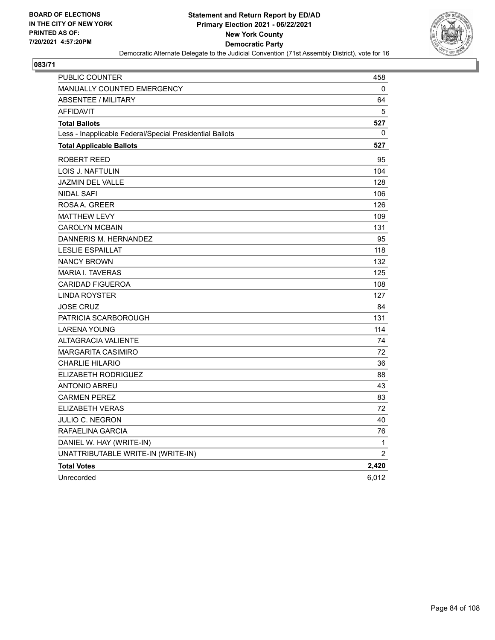

| PUBLIC COUNTER                                           | 458            |
|----------------------------------------------------------|----------------|
| <b>MANUALLY COUNTED EMERGENCY</b>                        | 0              |
| <b>ABSENTEE / MILITARY</b>                               | 64             |
| <b>AFFIDAVIT</b>                                         | 5              |
| <b>Total Ballots</b>                                     | 527            |
| Less - Inapplicable Federal/Special Presidential Ballots | 0              |
| <b>Total Applicable Ballots</b>                          | 527            |
| ROBERT REED                                              | 95             |
| LOIS J. NAFTULIN                                         | 104            |
| <b>JAZMIN DEL VALLE</b>                                  | 128            |
| NIDAL SAFI                                               | 106            |
| ROSAA, GREER                                             | 126            |
| <b>MATTHEW LEVY</b>                                      | 109            |
| <b>CAROLYN MCBAIN</b>                                    | 131            |
| DANNERIS M. HERNANDEZ                                    | 95             |
| <b>LESLIE ESPAILLAT</b>                                  | 118            |
| <b>NANCY BROWN</b>                                       | 132            |
| <b>MARIA I. TAVERAS</b>                                  | 125            |
| <b>CARIDAD FIGUEROA</b>                                  | 108            |
| LINDA ROYSTER                                            | 127            |
| <b>JOSE CRUZ</b>                                         | 84             |
| PATRICIA SCARBOROUGH                                     | 131            |
| <b>LARENA YOUNG</b>                                      | 114            |
| <b>ALTAGRACIA VALIENTE</b>                               | 74             |
| <b>MARGARITA CASIMIRO</b>                                | 72             |
| <b>CHARLIE HILARIO</b>                                   | 36             |
| ELIZABETH RODRIGUEZ                                      | 88             |
| <b>ANTONIO ABREU</b>                                     | 43             |
| <b>CARMEN PEREZ</b>                                      | 83             |
| <b>ELIZABETH VERAS</b>                                   | 72             |
| <b>JULIO C. NEGRON</b>                                   | 40             |
| RAFAELINA GARCIA                                         | 76             |
| DANIEL W. HAY (WRITE-IN)                                 | 1              |
| UNATTRIBUTABLE WRITE-IN (WRITE-IN)                       | $\overline{2}$ |
| <b>Total Votes</b>                                       | 2,420          |
| Unrecorded                                               | 6,012          |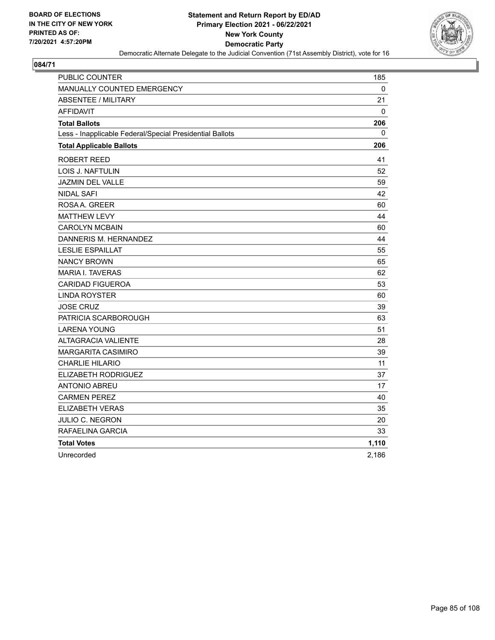

| <b>PUBLIC COUNTER</b>                                    | 185   |
|----------------------------------------------------------|-------|
| <b>MANUALLY COUNTED EMERGENCY</b>                        | 0     |
| <b>ABSENTEE / MILITARY</b>                               | 21    |
| <b>AFFIDAVIT</b>                                         | 0     |
| <b>Total Ballots</b>                                     | 206   |
| Less - Inapplicable Federal/Special Presidential Ballots | 0     |
| <b>Total Applicable Ballots</b>                          | 206   |
| ROBERT REED                                              | 41    |
| LOIS J. NAFTULIN                                         | 52    |
| <b>JAZMIN DEL VALLE</b>                                  | 59    |
| <b>NIDAL SAFI</b>                                        | 42    |
| ROSA A. GREER                                            | 60    |
| <b>MATTHEW LEVY</b>                                      | 44    |
| <b>CAROLYN MCBAIN</b>                                    | 60    |
| DANNERIS M. HERNANDEZ                                    | 44    |
| <b>LESLIE ESPAILLAT</b>                                  | 55    |
| <b>NANCY BROWN</b>                                       | 65    |
| <b>MARIA I. TAVERAS</b>                                  | 62    |
| <b>CARIDAD FIGUEROA</b>                                  | 53    |
| <b>LINDA ROYSTER</b>                                     | 60    |
| <b>JOSE CRUZ</b>                                         | 39    |
| PATRICIA SCARBOROUGH                                     | 63    |
| <b>LARENA YOUNG</b>                                      | 51    |
| <b>ALTAGRACIA VALIENTE</b>                               | 28    |
| MARGARITA CASIMIRO                                       | 39    |
| <b>CHARLIE HILARIO</b>                                   | 11    |
| ELIZABETH RODRIGUEZ                                      | 37    |
| <b>ANTONIO ABREU</b>                                     | 17    |
| <b>CARMEN PEREZ</b>                                      | 40    |
| <b>ELIZABETH VERAS</b>                                   | 35    |
| <b>JULIO C. NEGRON</b>                                   | 20    |
| RAFAELINA GARCIA                                         | 33    |
| <b>Total Votes</b>                                       | 1,110 |
| Unrecorded                                               | 2,186 |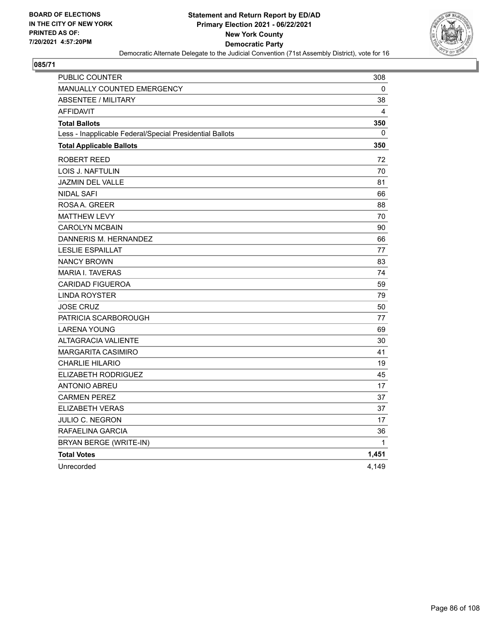

| PUBLIC COUNTER                                           | 308   |
|----------------------------------------------------------|-------|
| MANUALLY COUNTED EMERGENCY                               | 0     |
| <b>ABSENTEE / MILITARY</b>                               | 38    |
| <b>AFFIDAVIT</b>                                         | 4     |
| <b>Total Ballots</b>                                     | 350   |
| Less - Inapplicable Federal/Special Presidential Ballots | 0     |
| <b>Total Applicable Ballots</b>                          | 350   |
| ROBERT REED                                              | 72    |
| LOIS J. NAFTULIN                                         | 70    |
| <b>JAZMIN DEL VALLE</b>                                  | 81    |
| <b>NIDAL SAFI</b>                                        | 66    |
| ROSAA, GREER                                             | 88    |
| <b>MATTHEW LEVY</b>                                      | 70    |
| <b>CAROLYN MCBAIN</b>                                    | 90    |
| DANNERIS M. HERNANDEZ                                    | 66    |
| <b>LESLIE ESPAILLAT</b>                                  | 77    |
| <b>NANCY BROWN</b>                                       | 83    |
| <b>MARIA I. TAVERAS</b>                                  | 74    |
| <b>CARIDAD FIGUEROA</b>                                  | 59    |
| <b>LINDA ROYSTER</b>                                     | 79    |
| <b>JOSE CRUZ</b>                                         | 50    |
| PATRICIA SCARBOROUGH                                     | 77    |
| <b>LARENA YOUNG</b>                                      | 69    |
| <b>ALTAGRACIA VALIENTE</b>                               | 30    |
| <b>MARGARITA CASIMIRO</b>                                | 41    |
| <b>CHARLIE HILARIO</b>                                   | 19    |
| <b>ELIZABETH RODRIGUEZ</b>                               | 45    |
| <b>ANTONIO ABREU</b>                                     | 17    |
| <b>CARMEN PEREZ</b>                                      | 37    |
| <b>ELIZABETH VERAS</b>                                   | 37    |
| JULIO C. NEGRON                                          | 17    |
| RAFAELINA GARCIA                                         | 36    |
| BRYAN BERGE (WRITE-IN)                                   | 1     |
| <b>Total Votes</b>                                       | 1,451 |
| Unrecorded                                               | 4,149 |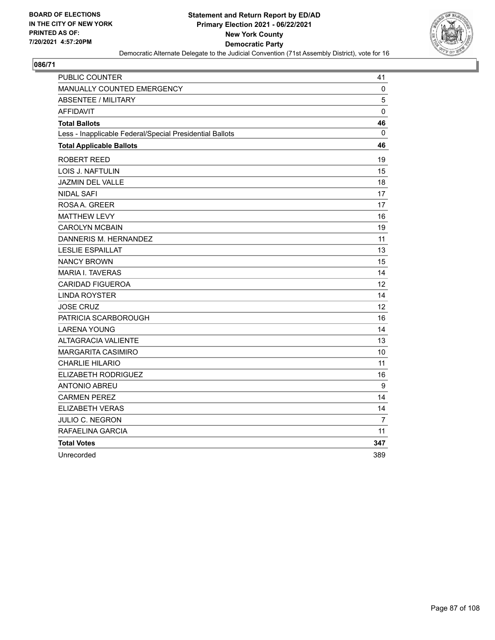

| PUBLIC COUNTER                                           | 41                |
|----------------------------------------------------------|-------------------|
| <b>MANUALLY COUNTED EMERGENCY</b>                        | $\mathbf 0$       |
| <b>ABSENTEE / MILITARY</b>                               | 5                 |
| <b>AFFIDAVIT</b>                                         | 0                 |
| <b>Total Ballots</b>                                     | 46                |
| Less - Inapplicable Federal/Special Presidential Ballots | 0                 |
| <b>Total Applicable Ballots</b>                          | 46                |
| ROBERT REED                                              | 19                |
| LOIS J. NAFTULIN                                         | 15                |
| <b>JAZMIN DEL VALLE</b>                                  | 18                |
| <b>NIDAL SAFI</b>                                        | 17                |
| ROSA A. GREER                                            | 17                |
| <b>MATTHEW LEVY</b>                                      | 16                |
| <b>CAROLYN MCBAIN</b>                                    | 19                |
| DANNERIS M. HERNANDEZ                                    | 11                |
| <b>LESLIE ESPAILLAT</b>                                  | 13                |
| <b>NANCY BROWN</b>                                       | 15                |
| MARIA I. TAVERAS                                         | 14                |
| <b>CARIDAD FIGUEROA</b>                                  | $12 \overline{ }$ |
| LINDA ROYSTER                                            | 14                |
| <b>JOSE CRUZ</b>                                         | 12 <sup>2</sup>   |
| PATRICIA SCARBOROUGH                                     | 16                |
| <b>LARENA YOUNG</b>                                      | 14                |
| <b>ALTAGRACIA VALIENTE</b>                               | 13                |
| <b>MARGARITA CASIMIRO</b>                                | 10                |
| <b>CHARLIE HILARIO</b>                                   | 11                |
| ELIZABETH RODRIGUEZ                                      | 16                |
| ANTONIO ABREU                                            | $\boldsymbol{9}$  |
| <b>CARMEN PEREZ</b>                                      | 14                |
| <b>ELIZABETH VERAS</b>                                   | 14                |
| JULIO C. NEGRON                                          | 7                 |
| RAFAELINA GARCIA                                         | 11                |
| <b>Total Votes</b>                                       | 347               |
| Unrecorded                                               | 389               |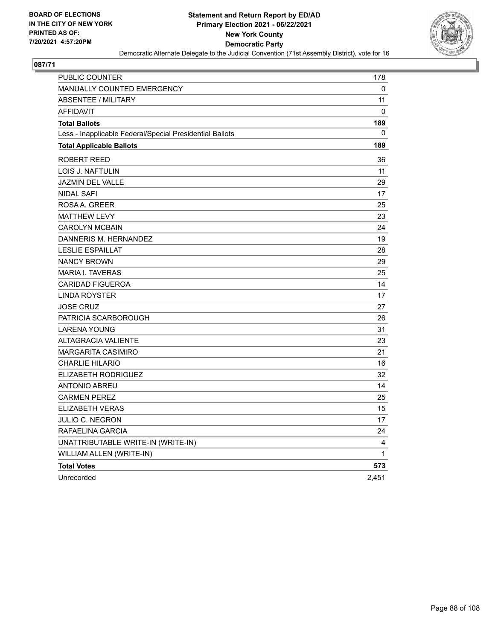

| <b>PUBLIC COUNTER</b>                                    | 178          |
|----------------------------------------------------------|--------------|
| MANUALLY COUNTED EMERGENCY                               | 0            |
| <b>ABSENTEE / MILITARY</b>                               | 11           |
| <b>AFFIDAVIT</b>                                         | 0            |
| <b>Total Ballots</b>                                     | 189          |
| Less - Inapplicable Federal/Special Presidential Ballots | $\mathbf{0}$ |
| <b>Total Applicable Ballots</b>                          | 189          |
| ROBERT REED                                              | 36           |
| LOIS J. NAFTULIN                                         | 11           |
| <b>JAZMIN DEL VALLE</b>                                  | 29           |
| <b>NIDAL SAFI</b>                                        | 17           |
| ROSAA. GREER                                             | 25           |
| <b>MATTHEW LEVY</b>                                      | 23           |
| <b>CAROLYN MCBAIN</b>                                    | 24           |
| DANNERIS M. HERNANDEZ                                    | 19           |
| <b>LESLIE ESPAILLAT</b>                                  | 28           |
| <b>NANCY BROWN</b>                                       | 29           |
| <b>MARIA I. TAVERAS</b>                                  | 25           |
| <b>CARIDAD FIGUEROA</b>                                  | 14           |
| <b>LINDA ROYSTER</b>                                     | 17           |
| <b>JOSE CRUZ</b>                                         | 27           |
| PATRICIA SCARBOROUGH                                     | 26           |
| <b>LARENA YOUNG</b>                                      | 31           |
| <b>ALTAGRACIA VALIENTE</b>                               | 23           |
| <b>MARGARITA CASIMIRO</b>                                | 21           |
| <b>CHARLIE HILARIO</b>                                   | 16           |
| ELIZABETH RODRIGUEZ                                      | 32           |
| <b>ANTONIO ABREU</b>                                     | 14           |
| <b>CARMEN PEREZ</b>                                      | 25           |
| ELIZABETH VERAS                                          | 15           |
| <b>JULIO C. NEGRON</b>                                   | 17           |
| RAFAELINA GARCIA                                         | 24           |
| UNATTRIBUTABLE WRITE-IN (WRITE-IN)                       | 4            |
| WILLIAM ALLEN (WRITE-IN)                                 | 1            |
| <b>Total Votes</b>                                       | 573          |
| Unrecorded                                               | 2,451        |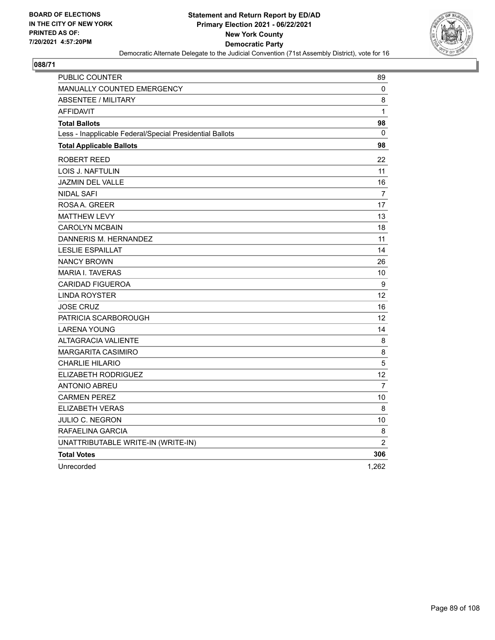

| PUBLIC COUNTER                                           | 89               |
|----------------------------------------------------------|------------------|
| <b>MANUALLY COUNTED EMERGENCY</b>                        | 0                |
| <b>ABSENTEE / MILITARY</b>                               | 8                |
| <b>AFFIDAVIT</b>                                         | $\mathbf{1}$     |
| <b>Total Ballots</b>                                     | 98               |
| Less - Inapplicable Federal/Special Presidential Ballots | 0                |
| <b>Total Applicable Ballots</b>                          | 98               |
| ROBERT REED                                              | 22               |
| <b>LOIS J. NAFTULIN</b>                                  | 11               |
| JAZMIN DEL VALLE                                         | 16               |
| NIDAL SAFI                                               | 7                |
| ROSAA, GREER                                             | 17               |
| <b>MATTHEW LEVY</b>                                      | 13               |
| <b>CAROLYN MCBAIN</b>                                    | 18               |
| DANNERIS M. HERNANDEZ                                    | 11               |
| <b>LESLIE ESPAILLAT</b>                                  | 14               |
| <b>NANCY BROWN</b>                                       | 26               |
| <b>MARIA I. TAVERAS</b>                                  | 10               |
| <b>CARIDAD FIGUEROA</b>                                  | $\boldsymbol{9}$ |
| <b>LINDA ROYSTER</b>                                     | 12               |
| <b>JOSE CRUZ</b>                                         | 16               |
| PATRICIA SCARBOROUGH                                     | 12               |
| <b>LARENA YOUNG</b>                                      | 14               |
| <b>ALTAGRACIA VALIENTE</b>                               | 8                |
| <b>MARGARITA CASIMIRO</b>                                | 8                |
| <b>CHARLIE HILARIO</b>                                   | 5                |
| ELIZABETH RODRIGUEZ                                      | 12               |
| <b>ANTONIO ABREU</b>                                     | 7                |
| <b>CARMEN PEREZ</b>                                      | 10               |
| <b>ELIZABETH VERAS</b>                                   | 8                |
| JULIO C. NEGRON                                          | 10               |
| RAFAELINA GARCIA                                         | 8                |
| UNATTRIBUTABLE WRITE-IN (WRITE-IN)                       | $\overline{2}$   |
| <b>Total Votes</b>                                       | 306              |
| Unrecorded                                               | 1,262            |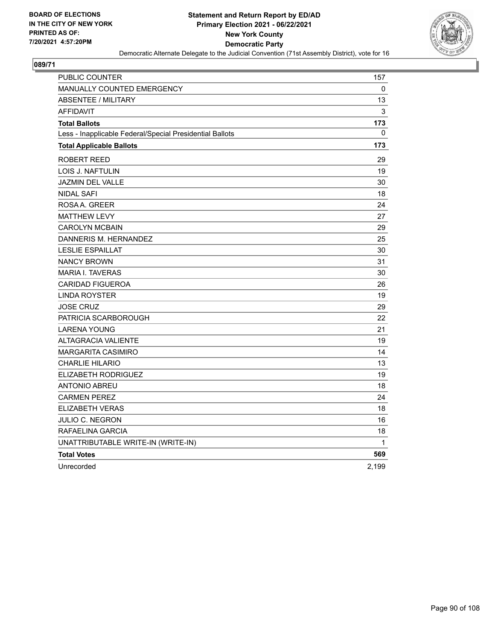

| PUBLIC COUNTER                                           | 157          |
|----------------------------------------------------------|--------------|
| <b>MANUALLY COUNTED EMERGENCY</b>                        | 0            |
| <b>ABSENTEE / MILITARY</b>                               | 13           |
| <b>AFFIDAVIT</b>                                         | 3            |
| <b>Total Ballots</b>                                     | 173          |
| Less - Inapplicable Federal/Special Presidential Ballots | $\mathbf{0}$ |
| <b>Total Applicable Ballots</b>                          | 173          |
| <b>ROBERT REED</b>                                       | 29           |
| <b>LOIS J. NAFTULIN</b>                                  | 19           |
| JAZMIN DEL VALLE                                         | 30           |
| <b>NIDAL SAFI</b>                                        | 18           |
| ROSA A. GREER                                            | 24           |
| <b>MATTHEW LEVY</b>                                      | 27           |
| <b>CAROLYN MCBAIN</b>                                    | 29           |
| DANNERIS M. HERNANDEZ                                    | 25           |
| <b>LESLIE ESPAILLAT</b>                                  | 30           |
| <b>NANCY BROWN</b>                                       | 31           |
| <b>MARIA I. TAVERAS</b>                                  | 30           |
| <b>CARIDAD FIGUEROA</b>                                  | 26           |
| <b>LINDA ROYSTER</b>                                     | 19           |
| <b>JOSE CRUZ</b>                                         | 29           |
| PATRICIA SCARBOROUGH                                     | 22           |
| <b>LARENA YOUNG</b>                                      | 21           |
| <b>ALTAGRACIA VALIENTE</b>                               | 19           |
| <b>MARGARITA CASIMIRO</b>                                | 14           |
| <b>CHARLIE HILARIO</b>                                   | 13           |
| ELIZABETH RODRIGUEZ                                      | 19           |
| <b>ANTONIO ABREU</b>                                     | 18           |
| <b>CARMEN PEREZ</b>                                      | 24           |
| <b>ELIZABETH VERAS</b>                                   | 18           |
| JULIO C. NEGRON                                          | 16           |
| RAFAELINA GARCIA                                         | 18           |
| UNATTRIBUTABLE WRITE-IN (WRITE-IN)                       | 1            |
| <b>Total Votes</b>                                       | 569          |
| Unrecorded                                               | 2,199        |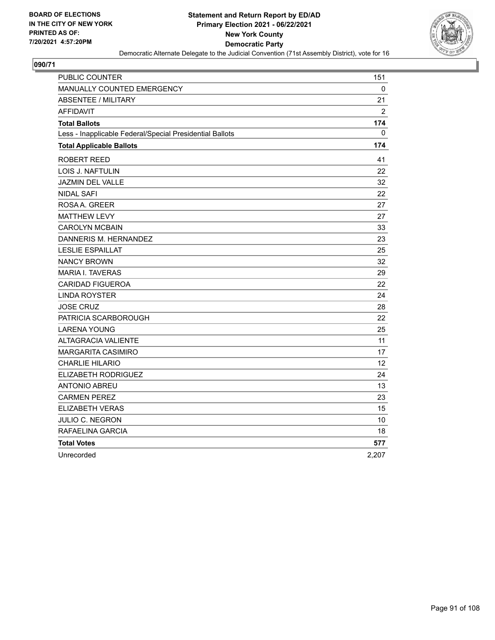

| PUBLIC COUNTER                                           | 151            |
|----------------------------------------------------------|----------------|
| MANUALLY COUNTED EMERGENCY                               | 0              |
| <b>ABSENTEE / MILITARY</b>                               | 21             |
| <b>AFFIDAVIT</b>                                         | $\overline{2}$ |
| <b>Total Ballots</b>                                     | 174            |
| Less - Inapplicable Federal/Special Presidential Ballots | 0              |
| <b>Total Applicable Ballots</b>                          | 174            |
| ROBERT REED                                              | 41             |
| LOIS J. NAFTULIN                                         | 22             |
| JAZMIN DEL VALLE                                         | 32             |
| <b>NIDAL SAFI</b>                                        | 22             |
| ROSA A. GREER                                            | 27             |
| <b>MATTHEW LEVY</b>                                      | 27             |
| <b>CAROLYN MCBAIN</b>                                    | 33             |
| DANNERIS M. HERNANDEZ                                    | 23             |
| <b>LESLIE ESPAILLAT</b>                                  | 25             |
| <b>NANCY BROWN</b>                                       | 32             |
| <b>MARIA I. TAVERAS</b>                                  | 29             |
| <b>CARIDAD FIGUEROA</b>                                  | 22             |
| <b>LINDA ROYSTER</b>                                     | 24             |
| <b>JOSE CRUZ</b>                                         | 28             |
| PATRICIA SCARBOROUGH                                     | 22             |
| <b>LARENA YOUNG</b>                                      | 25             |
| ALTAGRACIA VALIENTE                                      | 11             |
| MARGARITA CASIMIRO                                       | 17             |
| <b>CHARLIE HILARIO</b>                                   | 12             |
| ELIZABETH RODRIGUEZ                                      | 24             |
| <b>ANTONIO ABREU</b>                                     | 13             |
| <b>CARMEN PEREZ</b>                                      | 23             |
| <b>ELIZABETH VERAS</b>                                   | 15             |
| JULIO C. NEGRON                                          | 10             |
| RAFAELINA GARCIA                                         | 18             |
| <b>Total Votes</b>                                       | 577            |
| Unrecorded                                               | 2,207          |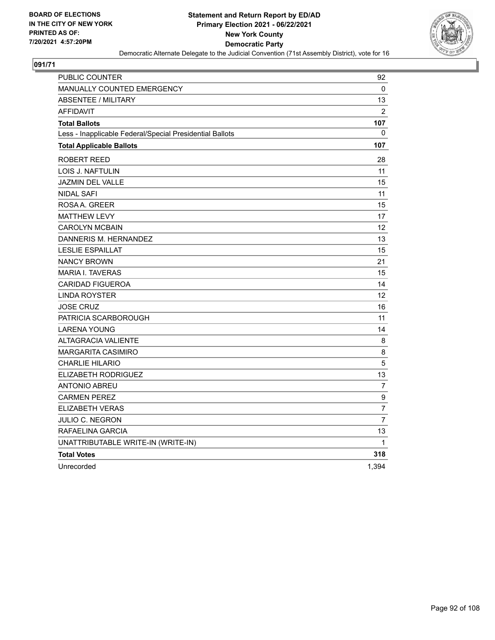

| <b>PUBLIC COUNTER</b>                                    | 92               |
|----------------------------------------------------------|------------------|
| <b>MANUALLY COUNTED EMERGENCY</b>                        | 0                |
| <b>ABSENTEE / MILITARY</b>                               | 13               |
| <b>AFFIDAVIT</b>                                         | $\overline{2}$   |
| <b>Total Ballots</b>                                     | 107              |
| Less - Inapplicable Federal/Special Presidential Ballots | 0                |
| <b>Total Applicable Ballots</b>                          | 107              |
| ROBERT REED                                              | 28               |
| <b>LOIS J. NAFTULIN</b>                                  | 11               |
| <b>JAZMIN DEL VALLE</b>                                  | 15               |
| <b>NIDAL SAFI</b>                                        | 11               |
| ROSA A. GREER                                            | 15               |
| <b>MATTHEW LEVY</b>                                      | 17               |
| <b>CAROLYN MCBAIN</b>                                    | 12               |
| DANNERIS M. HERNANDEZ                                    | 13               |
| <b>LESLIE ESPAILLAT</b>                                  | 15               |
| <b>NANCY BROWN</b>                                       | 21               |
| <b>MARIA I. TAVERAS</b>                                  | 15               |
| <b>CARIDAD FIGUEROA</b>                                  | 14               |
| <b>LINDA ROYSTER</b>                                     | 12               |
| JOSE CRUZ                                                | 16               |
| PATRICIA SCARBOROUGH                                     | 11               |
| <b>LARENA YOUNG</b>                                      | 14               |
| <b>ALTAGRACIA VALIENTE</b>                               | 8                |
| <b>MARGARITA CASIMIRO</b>                                | 8                |
| <b>CHARLIE HILARIO</b>                                   | 5                |
| ELIZABETH RODRIGUEZ                                      | 13               |
| <b>ANTONIO ABREU</b>                                     | $\overline{7}$   |
| <b>CARMEN PEREZ</b>                                      | $\boldsymbol{9}$ |
| ELIZABETH VERAS                                          | $\overline{7}$   |
| JULIO C. NEGRON                                          | $\overline{7}$   |
| RAFAELINA GARCIA                                         | 13               |
| UNATTRIBUTABLE WRITE-IN (WRITE-IN)                       | 1                |
| <b>Total Votes</b>                                       | 318              |
| Unrecorded                                               | 1,394            |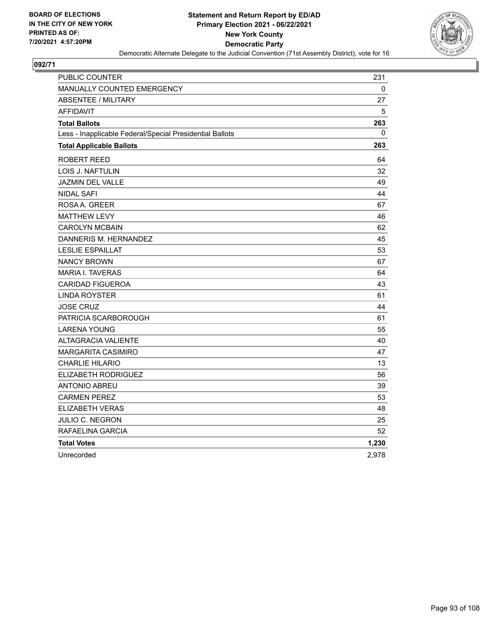

| PUBLIC COUNTER                                           | 231   |
|----------------------------------------------------------|-------|
| MANUALLY COUNTED EMERGENCY                               | 0     |
| <b>ABSENTEE / MILITARY</b>                               | 27    |
| <b>AFFIDAVIT</b>                                         | 5     |
| <b>Total Ballots</b>                                     | 263   |
| Less - Inapplicable Federal/Special Presidential Ballots | 0     |
| <b>Total Applicable Ballots</b>                          | 263   |
| ROBERT REED                                              | 64    |
| LOIS J. NAFTULIN                                         | 32    |
| JAZMIN DEL VALLE                                         | 49    |
| <b>NIDAL SAFI</b>                                        | 44    |
| ROSAA, GREER                                             | 67    |
| <b>MATTHEW LEVY</b>                                      | 46    |
| <b>CAROLYN MCBAIN</b>                                    | 62    |
| DANNERIS M. HERNANDEZ                                    | 45    |
| <b>LESLIE ESPAILLAT</b>                                  | 53    |
| <b>NANCY BROWN</b>                                       | 67    |
| <b>MARIA I. TAVERAS</b>                                  | 64    |
| <b>CARIDAD FIGUEROA</b>                                  | 43    |
| <b>LINDA ROYSTER</b>                                     | 61    |
| <b>JOSE CRUZ</b>                                         | 44    |
| PATRICIA SCARBOROUGH                                     | 61    |
| <b>LARENA YOUNG</b>                                      | 55    |
| <b>ALTAGRACIA VALIENTE</b>                               | 40    |
| <b>MARGARITA CASIMIRO</b>                                | 47    |
| <b>CHARLIE HILARIO</b>                                   | 13    |
| ELIZABETH RODRIGUEZ                                      | 56    |
| <b>ANTONIO ABREU</b>                                     | 39    |
| <b>CARMEN PEREZ</b>                                      | 53    |
| <b>ELIZABETH VERAS</b>                                   | 48    |
| JULIO C. NEGRON                                          | 25    |
| RAFAELINA GARCIA                                         | 52    |
| <b>Total Votes</b>                                       | 1,230 |
| Unrecorded                                               | 2,978 |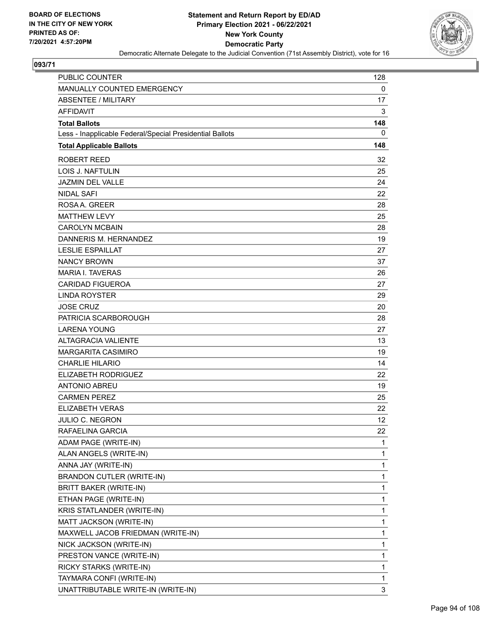

| PUBLIC COUNTER                                           | 128 |
|----------------------------------------------------------|-----|
| MANUALLY COUNTED EMERGENCY                               | 0   |
| <b>ABSENTEE / MILITARY</b>                               | 17  |
| <b>AFFIDAVIT</b>                                         | 3   |
| <b>Total Ballots</b>                                     | 148 |
| Less - Inapplicable Federal/Special Presidential Ballots | 0   |
| <b>Total Applicable Ballots</b>                          | 148 |
| <b>ROBERT REED</b>                                       | 32  |
| <b>LOIS J. NAFTULIN</b>                                  | 25  |
| <b>JAZMIN DEL VALLE</b>                                  | 24  |
| <b>NIDAL SAFI</b>                                        | 22  |
| ROSA A. GREER                                            | 28  |
| <b>MATTHEW LEVY</b>                                      | 25  |
| <b>CAROLYN MCBAIN</b>                                    | 28  |
| DANNERIS M. HERNANDEZ                                    | 19  |
| <b>LESLIE ESPAILLAT</b>                                  | 27  |
| <b>NANCY BROWN</b>                                       | 37  |
| <b>MARIA I. TAVERAS</b>                                  | 26  |
| <b>CARIDAD FIGUEROA</b>                                  | 27  |
| <b>LINDA ROYSTER</b>                                     | 29  |
| <b>JOSE CRUZ</b>                                         | 20  |
| PATRICIA SCARBOROUGH                                     | 28  |
| <b>LARENA YOUNG</b>                                      | 27  |
| ALTAGRACIA VALIENTE                                      | 13  |
| <b>MARGARITA CASIMIRO</b>                                | 19  |
| <b>CHARLIE HILARIO</b>                                   | 14  |
| ELIZABETH RODRIGUEZ                                      | 22  |
| <b>ANTONIO ABREU</b>                                     | 19  |
| <b>CARMEN PEREZ</b>                                      | 25  |
| <b>ELIZABETH VERAS</b>                                   | 22  |
| JULIO C. NEGRON                                          | 12  |
| RAFAELINA GARCIA                                         | 22  |
| ADAM PAGE (WRITE-IN)                                     | 1   |
| ALAN ANGELS (WRITE-IN)                                   | 1   |
| ANNA JAY (WRITE-IN)                                      | 1   |
| BRANDON CUTLER (WRITE-IN)                                | 1   |
| <b>BRITT BAKER (WRITE-IN)</b>                            | 1   |
| ETHAN PAGE (WRITE-IN)                                    | 1   |
| KRIS STATLANDER (WRITE-IN)                               | 1   |
| MATT JACKSON (WRITE-IN)                                  | 1   |
| MAXWELL JACOB FRIEDMAN (WRITE-IN)                        | 1   |
| NICK JACKSON (WRITE-IN)                                  | 1   |
| PRESTON VANCE (WRITE-IN)                                 | 1   |
| RICKY STARKS (WRITE-IN)                                  | 1   |
| TAYMARA CONFI (WRITE-IN)                                 | 1   |
| UNATTRIBUTABLE WRITE-IN (WRITE-IN)                       | 3   |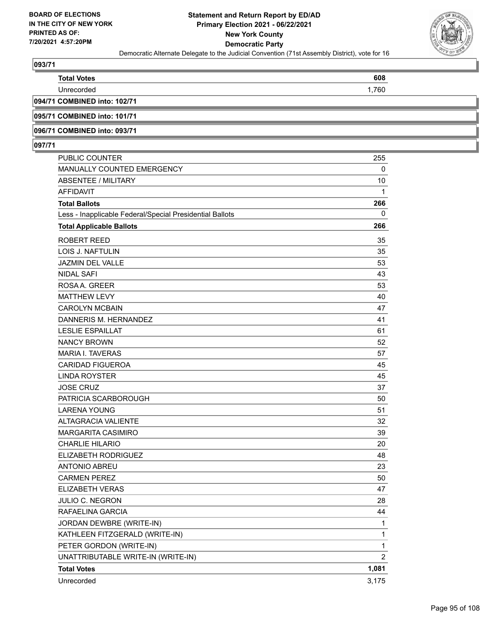

| <b>Total Votes</b>           | 608   |
|------------------------------|-------|
| Unrecorded                   | 1.760 |
| 094/71 COMBINED into: 102/71 |       |
|                              |       |

**095/71 COMBINED into: 101/71**

**096/71 COMBINED into: 093/71**

| PUBLIC COUNTER                                           | 255            |
|----------------------------------------------------------|----------------|
| MANUALLY COUNTED EMERGENCY                               | 0              |
| <b>ABSENTEE / MILITARY</b>                               | 10             |
| AFFIDAVIT                                                | 1              |
| <b>Total Ballots</b>                                     | 266            |
| Less - Inapplicable Federal/Special Presidential Ballots | 0              |
| <b>Total Applicable Ballots</b>                          | 266            |
| <b>ROBERT REED</b>                                       | 35             |
| <b>LOIS J. NAFTULIN</b>                                  | 35             |
| JAZMIN DEL VALLE                                         | 53             |
| <b>NIDAL SAFI</b>                                        | 43             |
| ROSAA, GREER                                             | 53             |
| <b>MATTHEW LEVY</b>                                      | 40             |
| <b>CAROLYN MCBAIN</b>                                    | 47             |
| DANNERIS M. HERNANDEZ                                    | 41             |
| <b>LESLIE ESPAILLAT</b>                                  | 61             |
| <b>NANCY BROWN</b>                                       | 52             |
| <b>MARIA I. TAVERAS</b>                                  | 57             |
| <b>CARIDAD FIGUEROA</b>                                  | 45             |
| <b>LINDA ROYSTER</b>                                     | 45             |
| <b>JOSE CRUZ</b>                                         | 37             |
| PATRICIA SCARBOROUGH                                     | 50             |
| <b>LARENA YOUNG</b>                                      | 51             |
| <b>ALTAGRACIA VALIENTE</b>                               | 32             |
| <b>MARGARITA CASIMIRO</b>                                | 39             |
| <b>CHARLIE HILARIO</b>                                   | 20             |
| ELIZABETH RODRIGUEZ                                      | 48             |
| <b>ANTONIO ABREU</b>                                     | 23             |
| <b>CARMEN PEREZ</b>                                      | 50             |
| <b>ELIZABETH VERAS</b>                                   | 47             |
| JULIO C. NEGRON                                          | 28             |
| RAFAELINA GARCIA                                         | 44             |
| JORDAN DEWBRE (WRITE-IN)                                 | 1              |
| KATHLEEN FITZGERALD (WRITE-IN)                           | $\mathbf{1}$   |
| PETER GORDON (WRITE-IN)                                  | $\mathbf{1}$   |
| UNATTRIBUTABLE WRITE-IN (WRITE-IN)                       | $\overline{c}$ |
| <b>Total Votes</b>                                       | 1,081          |
| Unrecorded                                               | 3,175          |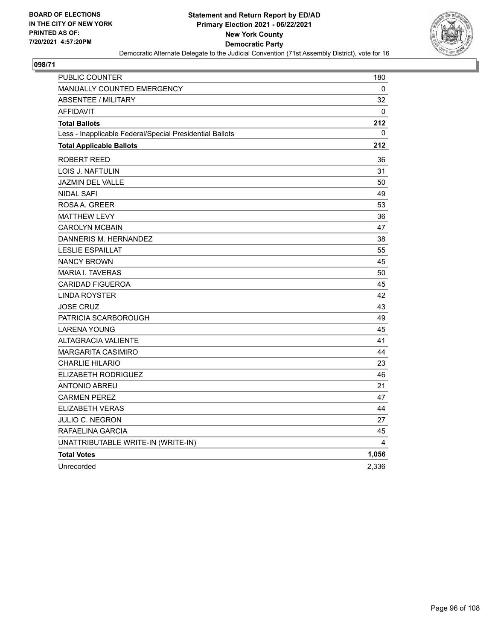

| <b>PUBLIC COUNTER</b>                                    | 180   |
|----------------------------------------------------------|-------|
| MANUALLY COUNTED EMERGENCY                               | 0     |
| <b>ABSENTEE / MILITARY</b>                               | 32    |
| <b>AFFIDAVIT</b>                                         | 0     |
| <b>Total Ballots</b>                                     | 212   |
| Less - Inapplicable Federal/Special Presidential Ballots | 0     |
| <b>Total Applicable Ballots</b>                          | 212   |
| ROBERT REED                                              | 36    |
| LOIS J. NAFTULIN                                         | 31    |
| <b>JAZMIN DEL VALLE</b>                                  | 50    |
| <b>NIDAL SAFI</b>                                        | 49    |
| ROSA A. GREER                                            | 53    |
| <b>MATTHEW LEVY</b>                                      | 36    |
| <b>CAROLYN MCBAIN</b>                                    | 47    |
| DANNERIS M. HERNANDEZ                                    | 38    |
| <b>LESLIE ESPAILLAT</b>                                  | 55    |
| <b>NANCY BROWN</b>                                       | 45    |
| <b>MARIA I. TAVERAS</b>                                  | 50    |
| <b>CARIDAD FIGUEROA</b>                                  | 45    |
| <b>LINDA ROYSTER</b>                                     | 42    |
| <b>JOSE CRUZ</b>                                         | 43    |
| PATRICIA SCARBOROUGH                                     | 49    |
| <b>LARENA YOUNG</b>                                      | 45    |
| <b>ALTAGRACIA VALIENTE</b>                               | 41    |
| <b>MARGARITA CASIMIRO</b>                                | 44    |
| <b>CHARLIE HILARIO</b>                                   | 23    |
| ELIZABETH RODRIGUEZ                                      | 46    |
| <b>ANTONIO ABREU</b>                                     | 21    |
| <b>CARMEN PEREZ</b>                                      | 47    |
| <b>ELIZABETH VERAS</b>                                   | 44    |
| JULIO C. NEGRON                                          | 27    |
| RAFAELINA GARCIA                                         | 45    |
| UNATTRIBUTABLE WRITE-IN (WRITE-IN)                       | 4     |
| <b>Total Votes</b>                                       | 1,056 |
| Unrecorded                                               | 2,336 |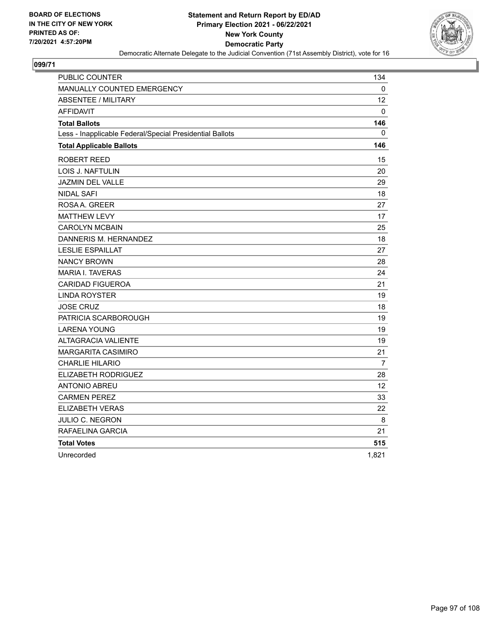

| PUBLIC COUNTER                                           | 134   |
|----------------------------------------------------------|-------|
| MANUALLY COUNTED EMERGENCY                               | 0     |
| ABSENTEE / MILITARY                                      | 12    |
| <b>AFFIDAVIT</b>                                         | 0     |
| <b>Total Ballots</b>                                     | 146   |
| Less - Inapplicable Federal/Special Presidential Ballots | 0     |
| <b>Total Applicable Ballots</b>                          | 146   |
| ROBERT REED                                              | 15    |
| LOIS J. NAFTULIN                                         | 20    |
| JAZMIN DEL VALLE                                         | 29    |
| <b>NIDAL SAFI</b>                                        | 18    |
| ROSA A. GREER                                            | 27    |
| <b>MATTHEW LEVY</b>                                      | 17    |
| <b>CAROLYN MCBAIN</b>                                    | 25    |
| DANNERIS M. HERNANDEZ                                    | 18    |
| <b>LESLIE ESPAILLAT</b>                                  | 27    |
| <b>NANCY BROWN</b>                                       | 28    |
| <b>MARIA I. TAVERAS</b>                                  | 24    |
| <b>CARIDAD FIGUEROA</b>                                  | 21    |
| <b>LINDA ROYSTER</b>                                     | 19    |
| <b>JOSE CRUZ</b>                                         | 18    |
| PATRICIA SCARBOROUGH                                     | 19    |
| <b>LARENA YOUNG</b>                                      | 19    |
| ALTAGRACIA VALIENTE                                      | 19    |
| MARGARITA CASIMIRO                                       | 21    |
| <b>CHARLIE HILARIO</b>                                   | 7     |
| ELIZABETH RODRIGUEZ                                      | 28    |
| <b>ANTONIO ABREU</b>                                     | 12    |
| <b>CARMEN PEREZ</b>                                      | 33    |
| <b>ELIZABETH VERAS</b>                                   | 22    |
| JULIO C. NEGRON                                          | 8     |
| RAFAELINA GARCIA                                         | 21    |
| <b>Total Votes</b>                                       | 515   |
| Unrecorded                                               | 1,821 |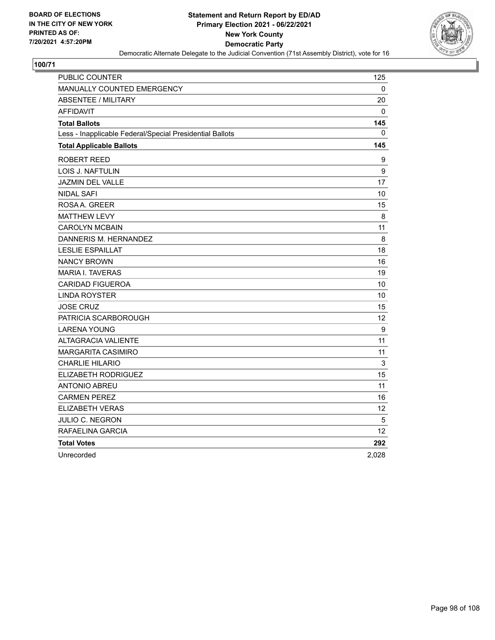

| PUBLIC COUNTER                                           | 125         |
|----------------------------------------------------------|-------------|
| MANUALLY COUNTED EMERGENCY                               | 0           |
| <b>ABSENTEE / MILITARY</b>                               | 20          |
| <b>AFFIDAVIT</b>                                         | 0           |
| <b>Total Ballots</b>                                     | 145         |
| Less - Inapplicable Federal/Special Presidential Ballots | 0           |
| <b>Total Applicable Ballots</b>                          | 145         |
| ROBERT REED                                              | 9           |
| LOIS J. NAFTULIN                                         | 9           |
| <b>JAZMIN DEL VALLE</b>                                  | 17          |
| <b>NIDAL SAFI</b>                                        | 10          |
| ROSA A. GREER                                            | 15          |
| <b>MATTHEW LEVY</b>                                      | 8           |
| <b>CAROLYN MCBAIN</b>                                    | 11          |
| DANNERIS M. HERNANDEZ                                    | 8           |
| <b>LESLIE ESPAILLAT</b>                                  | 18          |
| <b>NANCY BROWN</b>                                       | 16          |
| <b>MARIA I. TAVERAS</b>                                  | 19          |
| <b>CARIDAD FIGUEROA</b>                                  | 10          |
| <b>LINDA ROYSTER</b>                                     | 10          |
| <b>JOSE CRUZ</b>                                         | 15          |
| PATRICIA SCARBOROUGH                                     | 12          |
| <b>LARENA YOUNG</b>                                      | 9           |
| <b>ALTAGRACIA VALIENTE</b>                               | 11          |
| MARGARITA CASIMIRO                                       | 11          |
| <b>CHARLIE HILARIO</b>                                   | $\mathsf 3$ |
| ELIZABETH RODRIGUEZ                                      | 15          |
| <b>ANTONIO ABREU</b>                                     | 11          |
| <b>CARMEN PEREZ</b>                                      | 16          |
| <b>ELIZABETH VERAS</b>                                   | 12          |
| <b>JULIO C. NEGRON</b>                                   | 5           |
| RAFAELINA GARCIA                                         | 12          |
| <b>Total Votes</b>                                       | 292         |
| Unrecorded                                               | 2,028       |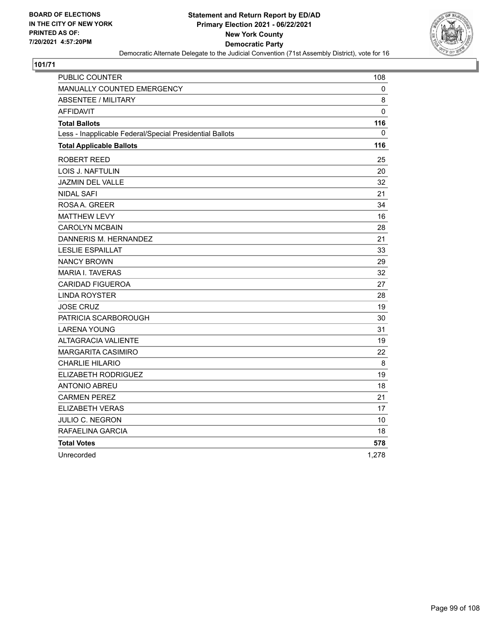

| PUBLIC COUNTER                                           | 108   |
|----------------------------------------------------------|-------|
| MANUALLY COUNTED EMERGENCY                               | 0     |
| <b>ABSENTEE / MILITARY</b>                               | 8     |
| <b>AFFIDAVIT</b>                                         | 0     |
| <b>Total Ballots</b>                                     | 116   |
| Less - Inapplicable Federal/Special Presidential Ballots | 0     |
| <b>Total Applicable Ballots</b>                          | 116   |
| ROBERT REED                                              | 25    |
| LOIS J. NAFTULIN                                         | 20    |
| JAZMIN DEL VALLE                                         | 32    |
| <b>NIDAL SAFI</b>                                        | 21    |
| ROSA A. GREER                                            | 34    |
| <b>MATTHEW LEVY</b>                                      | 16    |
| <b>CAROLYN MCBAIN</b>                                    | 28    |
| DANNERIS M. HERNANDEZ                                    | 21    |
| <b>LESLIE ESPAILLAT</b>                                  | 33    |
| <b>NANCY BROWN</b>                                       | 29    |
| <b>MARIA I. TAVERAS</b>                                  | 32    |
| <b>CARIDAD FIGUEROA</b>                                  | 27    |
| <b>LINDA ROYSTER</b>                                     | 28    |
| <b>JOSE CRUZ</b>                                         | 19    |
| PATRICIA SCARBOROUGH                                     | 30    |
| <b>LARENA YOUNG</b>                                      | 31    |
| <b>ALTAGRACIA VALIENTE</b>                               | 19    |
| <b>MARGARITA CASIMIRO</b>                                | 22    |
| <b>CHARLIE HILARIO</b>                                   | 8     |
| ELIZABETH RODRIGUEZ                                      | 19    |
| <b>ANTONIO ABREU</b>                                     | 18    |
| <b>CARMEN PEREZ</b>                                      | 21    |
| <b>ELIZABETH VERAS</b>                                   | 17    |
| JULIO C. NEGRON                                          | 10    |
| RAFAELINA GARCIA                                         | 18    |
| <b>Total Votes</b>                                       | 578   |
| Unrecorded                                               | 1,278 |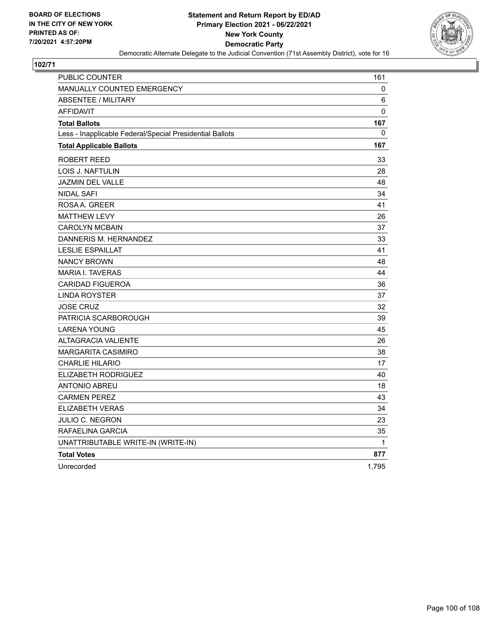

| PUBLIC COUNTER                                           | 161          |
|----------------------------------------------------------|--------------|
| <b>MANUALLY COUNTED EMERGENCY</b>                        | 0            |
| <b>ABSENTEE / MILITARY</b>                               | 6            |
| <b>AFFIDAVIT</b>                                         | $\Omega$     |
| <b>Total Ballots</b>                                     | 167          |
| Less - Inapplicable Federal/Special Presidential Ballots | 0            |
| <b>Total Applicable Ballots</b>                          | 167          |
| <b>ROBERT REED</b>                                       | 33           |
| <b>LOIS J. NAFTULIN</b>                                  | 28           |
| <b>JAZMIN DEL VALLE</b>                                  | 48           |
| <b>NIDAL SAFI</b>                                        | 34           |
| ROSA A. GREER                                            | 41           |
| <b>MATTHEW LEVY</b>                                      | 26           |
| <b>CAROLYN MCBAIN</b>                                    | 37           |
| DANNERIS M. HERNANDEZ                                    | 33           |
| <b>LESLIE ESPAILLAT</b>                                  | 41           |
| <b>NANCY BROWN</b>                                       | 48           |
| <b>MARIA I. TAVERAS</b>                                  | 44           |
| <b>CARIDAD FIGUEROA</b>                                  | 36           |
| <b>LINDA ROYSTER</b>                                     | 37           |
| <b>JOSE CRUZ</b>                                         | 32           |
| PATRICIA SCARBOROUGH                                     | 39           |
| <b>LARENA YOUNG</b>                                      | 45           |
| <b>ALTAGRACIA VALIENTE</b>                               | 26           |
| <b>MARGARITA CASIMIRO</b>                                | 38           |
| <b>CHARLIE HILARIO</b>                                   | 17           |
| ELIZABETH RODRIGUEZ                                      | 40           |
| <b>ANTONIO ABREU</b>                                     | 18           |
| <b>CARMEN PEREZ</b>                                      | 43           |
| <b>ELIZABETH VERAS</b>                                   | 34           |
| JULIO C. NEGRON                                          | 23           |
| RAFAELINA GARCIA                                         | 35           |
| UNATTRIBUTABLE WRITE-IN (WRITE-IN)                       | $\mathbf{1}$ |
| <b>Total Votes</b>                                       | 877          |
| Unrecorded                                               | 1,795        |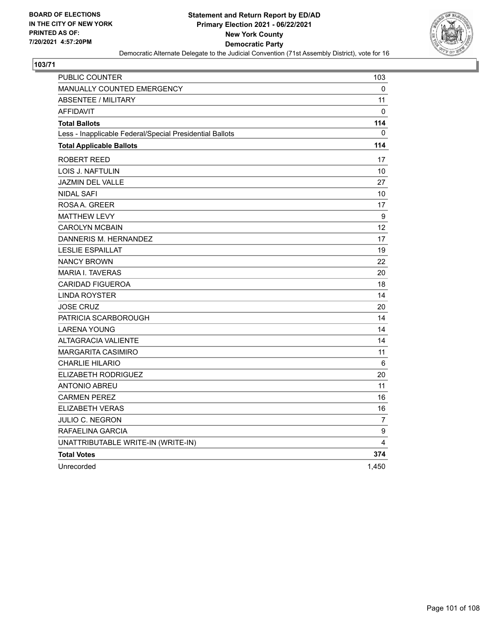

| <b>PUBLIC COUNTER</b>                                    | 103               |
|----------------------------------------------------------|-------------------|
| <b>MANUALLY COUNTED EMERGENCY</b>                        | 0                 |
| <b>ABSENTEE / MILITARY</b>                               | 11                |
| <b>AFFIDAVIT</b>                                         | 0                 |
| <b>Total Ballots</b>                                     | 114               |
| Less - Inapplicable Federal/Special Presidential Ballots | 0                 |
| <b>Total Applicable Ballots</b>                          | 114               |
| <b>ROBERT REED</b>                                       | 17                |
| LOIS J. NAFTULIN                                         | 10                |
| <b>JAZMIN DEL VALLE</b>                                  | 27                |
| <b>NIDAL SAFI</b>                                        | 10                |
| ROSAA, GREER                                             | 17                |
| <b>MATTHEW LEVY</b>                                      | 9                 |
| <b>CAROLYN MCBAIN</b>                                    | $12 \overline{ }$ |
| DANNERIS M. HERNANDEZ                                    | 17                |
| <b>LESLIE ESPAILLAT</b>                                  | 19                |
| <b>NANCY BROWN</b>                                       | 22                |
| <b>MARIA I. TAVERAS</b>                                  | 20                |
| <b>CARIDAD FIGUEROA</b>                                  | 18                |
| <b>LINDA ROYSTER</b>                                     | 14                |
| <b>JOSE CRUZ</b>                                         | 20                |
| PATRICIA SCARBOROUGH                                     | 14                |
| <b>LARENA YOUNG</b>                                      | 14                |
| <b>ALTAGRACIA VALIENTE</b>                               | 14                |
| <b>MARGARITA CASIMIRO</b>                                | 11                |
| <b>CHARLIE HILARIO</b>                                   | 6                 |
| ELIZABETH RODRIGUEZ                                      | 20                |
| <b>ANTONIO ABREU</b>                                     | 11                |
| <b>CARMEN PEREZ</b>                                      | 16                |
| ELIZABETH VERAS                                          | 16                |
| JULIO C. NEGRON                                          | $\overline{7}$    |
| RAFAELINA GARCIA                                         | 9                 |
| UNATTRIBUTABLE WRITE-IN (WRITE-IN)                       | 4                 |
| <b>Total Votes</b>                                       | 374               |
| Unrecorded                                               | 1,450             |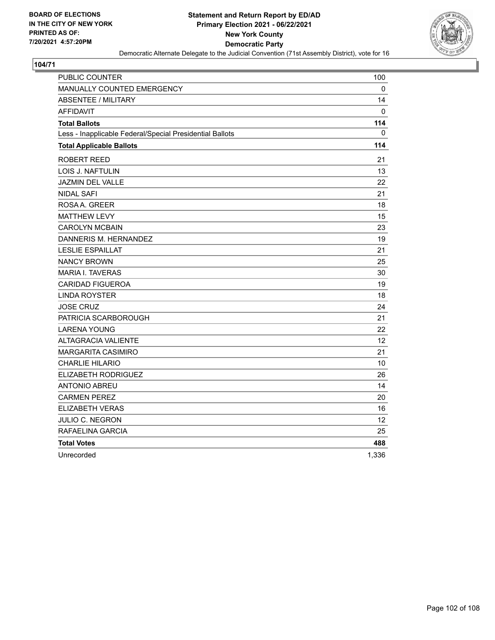

| PUBLIC COUNTER                                           | 100               |
|----------------------------------------------------------|-------------------|
| <b>MANUALLY COUNTED EMERGENCY</b>                        | 0                 |
| <b>ABSENTEE / MILITARY</b>                               | 14                |
| <b>AFFIDAVIT</b>                                         | 0                 |
| <b>Total Ballots</b>                                     | 114               |
| Less - Inapplicable Federal/Special Presidential Ballots | 0                 |
| <b>Total Applicable Ballots</b>                          | 114               |
| ROBERT REED                                              | 21                |
| LOIS J. NAFTULIN                                         | 13                |
| <b>JAZMIN DEL VALLE</b>                                  | 22                |
| NIDAL SAFI                                               | 21                |
| ROSAA, GREER                                             | 18                |
| <b>MATTHEW LEVY</b>                                      | 15                |
| <b>CAROLYN MCBAIN</b>                                    | 23                |
| DANNERIS M. HERNANDEZ                                    | 19                |
| <b>LESLIE ESPAILLAT</b>                                  | 21                |
| <b>NANCY BROWN</b>                                       | 25                |
| <b>MARIA I. TAVERAS</b>                                  | 30                |
| <b>CARIDAD FIGUEROA</b>                                  | 19                |
| <b>LINDA ROYSTER</b>                                     | 18                |
| <b>JOSE CRUZ</b>                                         | 24                |
| PATRICIA SCARBOROUGH                                     | 21                |
| <b>LARENA YOUNG</b>                                      | 22                |
| <b>ALTAGRACIA VALIENTE</b>                               | $12 \overline{ }$ |
| <b>MARGARITA CASIMIRO</b>                                | 21                |
| <b>CHARLIE HILARIO</b>                                   | 10                |
| <b>ELIZABETH RODRIGUEZ</b>                               | 26                |
| <b>ANTONIO ABREU</b>                                     | 14                |
| <b>CARMEN PEREZ</b>                                      | 20                |
| ELIZABETH VERAS                                          | 16                |
| JULIO C. NEGRON                                          | 12                |
| RAFAELINA GARCIA                                         | 25                |
| <b>Total Votes</b>                                       | 488               |
| Unrecorded                                               | 1,336             |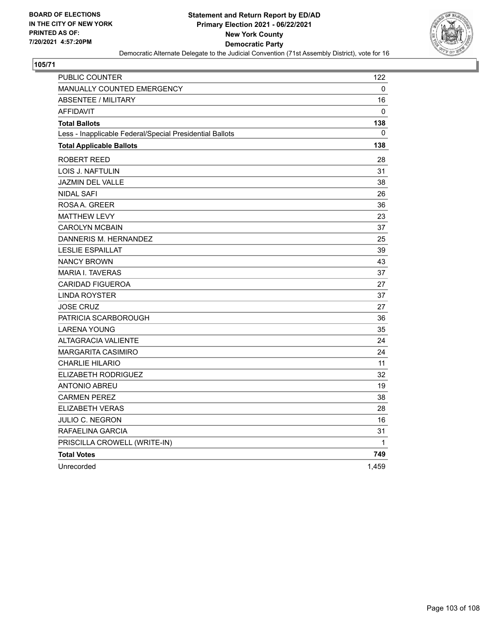

| <b>PUBLIC COUNTER</b>                                    | 122      |
|----------------------------------------------------------|----------|
| <b>MANUALLY COUNTED EMERGENCY</b>                        | 0        |
| <b>ABSENTEE / MILITARY</b>                               | 16       |
| <b>AFFIDAVIT</b>                                         | $\Omega$ |
| <b>Total Ballots</b>                                     | 138      |
| Less - Inapplicable Federal/Special Presidential Ballots | 0        |
| <b>Total Applicable Ballots</b>                          | 138      |
| <b>ROBERT REED</b>                                       | 28       |
| LOIS J. NAFTULIN                                         | 31       |
| <b>JAZMIN DEL VALLE</b>                                  | 38       |
| <b>NIDAL SAFI</b>                                        | 26       |
| ROSAA, GREER                                             | 36       |
| <b>MATTHEW LEVY</b>                                      | 23       |
| <b>CAROLYN MCBAIN</b>                                    | 37       |
| DANNERIS M. HERNANDEZ                                    | 25       |
| <b>LESLIE ESPAILLAT</b>                                  | 39       |
| <b>NANCY BROWN</b>                                       | 43       |
| <b>MARIA I. TAVERAS</b>                                  | 37       |
| <b>CARIDAD FIGUEROA</b>                                  | 27       |
| <b>LINDA ROYSTER</b>                                     | 37       |
| <b>JOSE CRUZ</b>                                         | 27       |
| PATRICIA SCARBOROUGH                                     | 36       |
| <b>LARENA YOUNG</b>                                      | 35       |
| <b>ALTAGRACIA VALIENTE</b>                               | 24       |
| <b>MARGARITA CASIMIRO</b>                                | 24       |
| <b>CHARLIE HILARIO</b>                                   | 11       |
| <b>ELIZABETH RODRIGUEZ</b>                               | 32       |
| <b>ANTONIO ABREU</b>                                     | 19       |
| <b>CARMEN PEREZ</b>                                      | 38       |
| <b>ELIZABETH VERAS</b>                                   | 28       |
| JULIO C. NEGRON                                          | 16       |
| RAFAELINA GARCIA                                         | 31       |
| PRISCILLA CROWELL (WRITE-IN)                             | 1        |
| <b>Total Votes</b>                                       | 749      |
| Unrecorded                                               | 1,459    |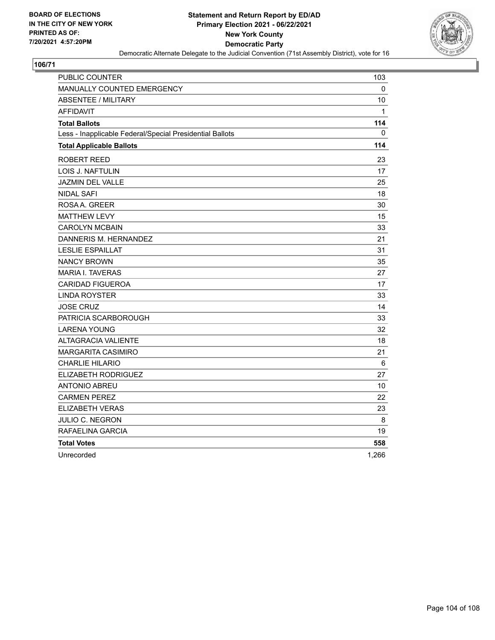

| PUBLIC COUNTER                                           | 103   |
|----------------------------------------------------------|-------|
| <b>MANUALLY COUNTED EMERGENCY</b>                        | 0     |
| <b>ABSENTEE / MILITARY</b>                               | 10    |
| AFFIDAVIT                                                | 1     |
| <b>Total Ballots</b>                                     | 114   |
| Less - Inapplicable Federal/Special Presidential Ballots | 0     |
| <b>Total Applicable Ballots</b>                          | 114   |
| ROBERT REED                                              | 23    |
| <b>LOIS J. NAFTULIN</b>                                  | 17    |
| JAZMIN DEL VALLE                                         | 25    |
| <b>NIDAL SAFI</b>                                        | 18    |
| ROSAA, GREER                                             | 30    |
| <b>MATTHEW LEVY</b>                                      | 15    |
| <b>CAROLYN MCBAIN</b>                                    | 33    |
| DANNERIS M. HERNANDEZ                                    | 21    |
| <b>LESLIE ESPAILLAT</b>                                  | 31    |
| <b>NANCY BROWN</b>                                       | 35    |
| <b>MARIA I. TAVERAS</b>                                  | 27    |
| <b>CARIDAD FIGUEROA</b>                                  | 17    |
| LINDA ROYSTER                                            | 33    |
| <b>JOSE CRUZ</b>                                         | 14    |
| PATRICIA SCARBOROUGH                                     | 33    |
| <b>LARENA YOUNG</b>                                      | 32    |
| <b>ALTAGRACIA VALIENTE</b>                               | 18    |
| <b>MARGARITA CASIMIRO</b>                                | 21    |
| <b>CHARLIE HILARIO</b>                                   | 6     |
| ELIZABETH RODRIGUEZ                                      | 27    |
| <b>ANTONIO ABREU</b>                                     | 10    |
| <b>CARMEN PEREZ</b>                                      | 22    |
| <b>ELIZABETH VERAS</b>                                   | 23    |
| <b>JULIO C. NEGRON</b>                                   | 8     |
| RAFAELINA GARCIA                                         | 19    |
| <b>Total Votes</b>                                       | 558   |
| Unrecorded                                               | 1,266 |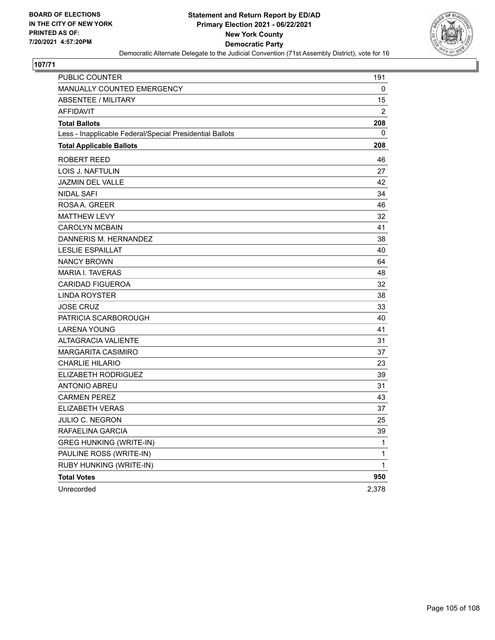

| PUBLIC COUNTER                                           | 191            |
|----------------------------------------------------------|----------------|
| <b>MANUALLY COUNTED EMERGENCY</b>                        | 0              |
| <b>ABSENTEE / MILITARY</b>                               | 15             |
| <b>AFFIDAVIT</b>                                         | $\overline{2}$ |
| <b>Total Ballots</b>                                     | 208            |
| Less - Inapplicable Federal/Special Presidential Ballots | 0              |
| <b>Total Applicable Ballots</b>                          | 208            |
| ROBERT REED                                              | 46             |
| LOIS J. NAFTULIN                                         | 27             |
| <b>JAZMIN DEL VALLE</b>                                  | 42             |
| <b>NIDAL SAFI</b>                                        | 34             |
| ROSA A. GREER                                            | 46             |
| <b>MATTHEW LEVY</b>                                      | 32             |
| <b>CAROLYN MCBAIN</b>                                    | 41             |
| DANNERIS M. HERNANDEZ                                    | 38             |
| <b>LESLIE ESPAILLAT</b>                                  | 40             |
| <b>NANCY BROWN</b>                                       | 64             |
| <b>MARIA I. TAVERAS</b>                                  | 48             |
| <b>CARIDAD FIGUEROA</b>                                  | 32             |
| LINDA ROYSTER                                            | 38             |
| <b>JOSE CRUZ</b>                                         | 33             |
| PATRICIA SCARBOROUGH                                     | 40             |
| <b>LARENA YOUNG</b>                                      | 41             |
| <b>ALTAGRACIA VALIENTE</b>                               | 31             |
| <b>MARGARITA CASIMIRO</b>                                | 37             |
| <b>CHARLIE HILARIO</b>                                   | 23             |
| ELIZABETH RODRIGUEZ                                      | 39             |
| <b>ANTONIO ABREU</b>                                     | 31             |
| <b>CARMEN PEREZ</b>                                      | 43             |
| <b>ELIZABETH VERAS</b>                                   | 37             |
| <b>JULIO C. NEGRON</b>                                   | 25             |
| RAFAELINA GARCIA                                         | 39             |
| <b>GREG HUNKING (WRITE-IN)</b>                           | 1              |
| PAULINE ROSS (WRITE-IN)                                  | 1              |
| RUBY HUNKING (WRITE-IN)                                  | 1              |
| <b>Total Votes</b>                                       | 950            |
| Unrecorded                                               | 2,378          |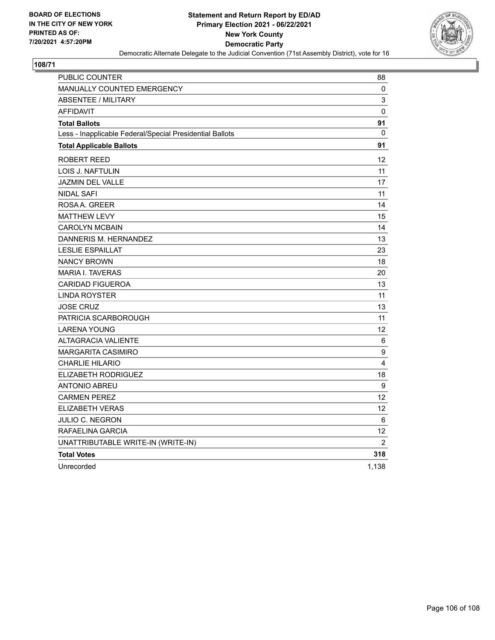

| PUBLIC COUNTER                                           | 88                |
|----------------------------------------------------------|-------------------|
| <b>MANUALLY COUNTED EMERGENCY</b>                        | 0                 |
| <b>ABSENTEE / MILITARY</b>                               | 3                 |
| <b>AFFIDAVIT</b>                                         | $\pmb{0}$         |
| <b>Total Ballots</b>                                     | 91                |
| Less - Inapplicable Federal/Special Presidential Ballots | 0                 |
| <b>Total Applicable Ballots</b>                          | 91                |
| <b>ROBERT REED</b>                                       | 12                |
| LOIS J. NAFTULIN                                         | 11                |
| <b>JAZMIN DEL VALLE</b>                                  | 17                |
| <b>NIDAL SAFI</b>                                        | 11                |
| ROSAA, GREER                                             | 14                |
| <b>MATTHEW LEVY</b>                                      | 15                |
| <b>CAROLYN MCBAIN</b>                                    | 14                |
| DANNERIS M. HERNANDEZ                                    | 13                |
| <b>LESLIE ESPAILLAT</b>                                  | 23                |
| <b>NANCY BROWN</b>                                       | 18                |
| <b>MARIA I. TAVERAS</b>                                  | 20                |
| <b>CARIDAD FIGUEROA</b>                                  | 13                |
| <b>LINDA ROYSTER</b>                                     | 11                |
| <b>JOSE CRUZ</b>                                         | 13                |
| PATRICIA SCARBOROUGH                                     | 11                |
| <b>LARENA YOUNG</b>                                      | 12                |
| <b>ALTAGRACIA VALIENTE</b>                               | 6                 |
| <b>MARGARITA CASIMIRO</b>                                | 9                 |
| <b>CHARLIE HILARIO</b>                                   | 4                 |
| ELIZABETH RODRIGUEZ                                      | 18                |
| <b>ANTONIO ABREU</b>                                     | 9                 |
| <b>CARMEN PEREZ</b>                                      | 12                |
| <b>ELIZABETH VERAS</b>                                   | $12 \overline{ }$ |
| JULIO C. NEGRON                                          | 6                 |
| RAFAELINA GARCIA                                         | 12                |
| UNATTRIBUTABLE WRITE-IN (WRITE-IN)                       | $\overline{2}$    |
| <b>Total Votes</b>                                       | 318               |
| Unrecorded                                               | 1,138             |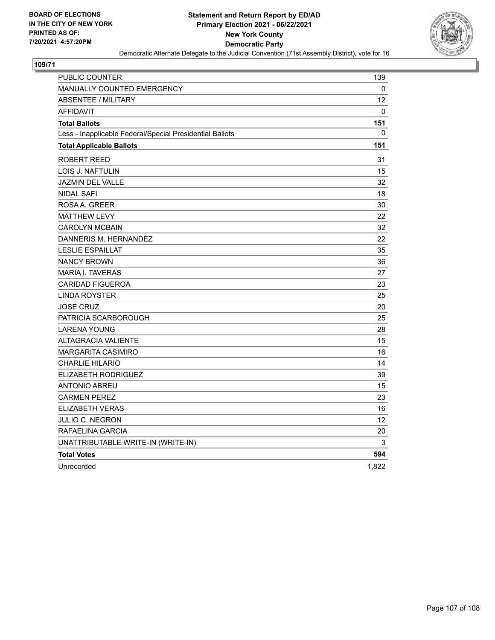

| <b>PUBLIC COUNTER</b>                                    | 139             |
|----------------------------------------------------------|-----------------|
| <b>MANUALLY COUNTED EMERGENCY</b>                        | 0               |
| <b>ABSENTEE / MILITARY</b>                               | 12 <sup>2</sup> |
| <b>AFFIDAVIT</b>                                         | 0               |
| <b>Total Ballots</b>                                     | 151             |
| Less - Inapplicable Federal/Special Presidential Ballots | 0               |
| <b>Total Applicable Ballots</b>                          | 151             |
| <b>ROBERT REED</b>                                       | 31              |
| LOIS J. NAFTULIN                                         | 15              |
| <b>JAZMIN DEL VALLE</b>                                  | 32              |
| <b>NIDAL SAFI</b>                                        | 18              |
| ROSAA, GREER                                             | 30              |
| <b>MATTHEW LEVY</b>                                      | 22              |
| <b>CAROLYN MCBAIN</b>                                    | 32              |
| DANNERIS M. HERNANDEZ                                    | 22              |
| <b>LESLIE ESPAILLAT</b>                                  | 35              |
| <b>NANCY BROWN</b>                                       | 36              |
| <b>MARIA I. TAVERAS</b>                                  | 27              |
| <b>CARIDAD FIGUEROA</b>                                  | 23              |
| <b>LINDA ROYSTER</b>                                     | 25              |
| <b>JOSE CRUZ</b>                                         | 20              |
| PATRICIA SCARBOROUGH                                     | 25              |
| <b>LARENA YOUNG</b>                                      | 28              |
| <b>ALTAGRACIA VALIENTE</b>                               | 15              |
| <b>MARGARITA CASIMIRO</b>                                | 16              |
| <b>CHARLIE HILARIO</b>                                   | 14              |
| ELIZABETH RODRIGUEZ                                      | 39              |
| <b>ANTONIO ABREU</b>                                     | 15              |
| <b>CARMEN PEREZ</b>                                      | 23              |
| <b>ELIZABETH VERAS</b>                                   | 16              |
| JULIO C. NEGRON                                          | 12 <sup>2</sup> |
| RAFAELINA GARCIA                                         | 20              |
| UNATTRIBUTABLE WRITE-IN (WRITE-IN)                       | 3               |
| <b>Total Votes</b>                                       | 594             |
| Unrecorded                                               | 1,822           |